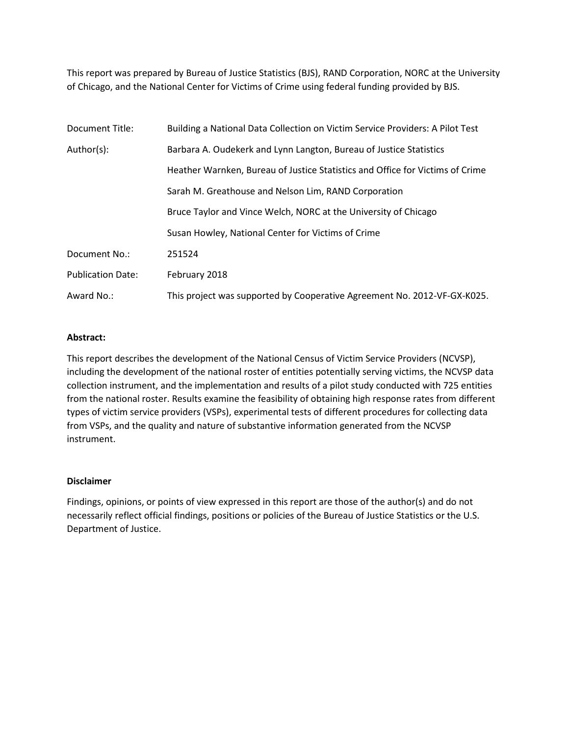This report was prepared by Bureau of Justice Statistics (BJS), RAND Corporation, NORC at the University of Chicago, and the National Center for Victims of Crime using federal funding provided by BJS.

| Document Title:          | Building a National Data Collection on Victim Service Providers: A Pilot Test |  |  |  |  |
|--------------------------|-------------------------------------------------------------------------------|--|--|--|--|
| Author(s):               | Barbara A. Oudekerk and Lynn Langton, Bureau of Justice Statistics            |  |  |  |  |
|                          | Heather Warnken, Bureau of Justice Statistics and Office for Victims of Crime |  |  |  |  |
|                          | Sarah M. Greathouse and Nelson Lim, RAND Corporation                          |  |  |  |  |
|                          | Bruce Taylor and Vince Welch, NORC at the University of Chicago               |  |  |  |  |
|                          | Susan Howley, National Center for Victims of Crime                            |  |  |  |  |
| Document No.:            | 251524                                                                        |  |  |  |  |
| <b>Publication Date:</b> | February 2018                                                                 |  |  |  |  |
| Award No.:               | This project was supported by Cooperative Agreement No. 2012-VF-GX-K025.      |  |  |  |  |

#### **Abstract:**

This report describes the development of the National Census of Victim Service Providers (NCVSP), including the development of the national roster of entities potentially serving victims, the NCVSP data collection instrument, and the implementation and results of a pilot study conducted with 725 entities from the national roster. Results examine the feasibility of obtaining high response rates from different types of victim service providers (VSPs), experimental tests of different procedures for collecting data from VSPs, and the quality and nature of substantive information generated from the NCVSP instrument.

#### **Disclaimer**

Findings, opinions, or points of view expressed in this report are those of the author(s) and do not necessarily reflect official findings, positions or policies of the Bureau of Justice Statistics or the U.S. Department of Justice.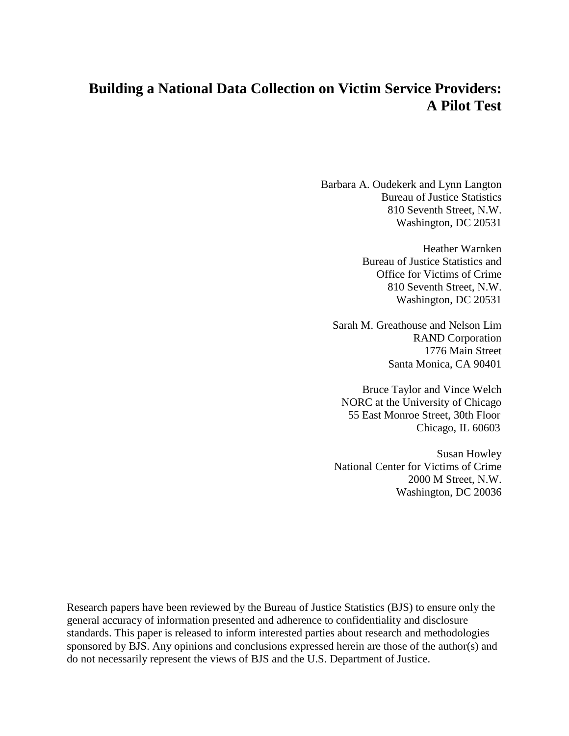# **Building a National Data Collection on Victim Service Providers: A Pilot Test**

Barbara A. Oudekerk and Lynn Langton Bureau of Justice Statistics 810 Seventh Street, N.W. Washington, DC 20531

> Heather Warnken Bureau of Justice Statistics and Office for Victims of Crime 810 Seventh Street, N.W. Washington, DC 20531

Sarah M. Greathouse and Nelson Lim RAND Corporation 1776 Main Street Santa Monica, CA 90401

Bruce Taylor and Vince Welch NORC at the University of Chicago 55 East Monroe Street, 30th Floor Chicago, IL 60603

Susan Howley National Center for Victims of Crime 2000 M Street, N.W. Washington, DC 20036

Research papers have been reviewed by the Bureau of Justice Statistics (BJS) to ensure only the general accuracy of information presented and adherence to confidentiality and disclosure standards. This paper is released to inform interested parties about research and methodologies sponsored by BJS. Any opinions and conclusions expressed herein are those of the author(s) and do not necessarily represent the views of BJS and the U.S. Department of Justice.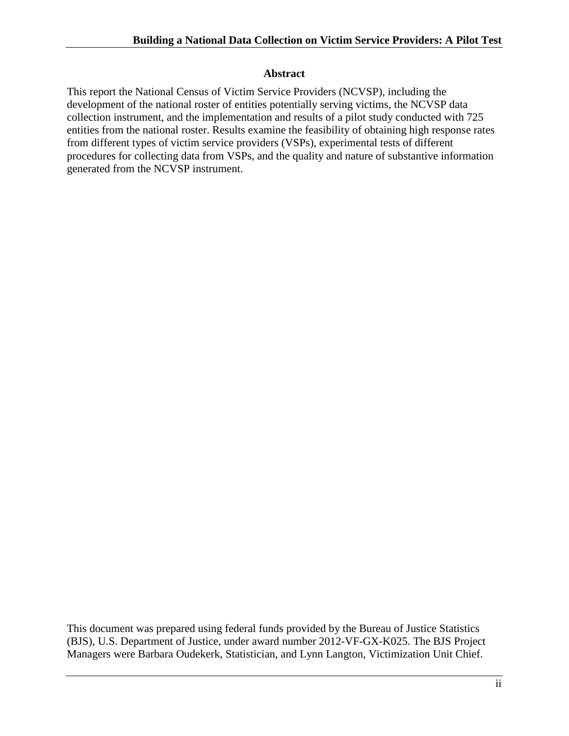### **Abstract**

This report the National Census of Victim Service Providers (NCVSP), including the development of the national roster of entities potentially serving victims, the NCVSP data collection instrument, and the implementation and results of a pilot study conducted with 725 entities from the national roster. Results examine the feasibility of obtaining high response rates from different types of victim service providers (VSPs), experimental tests of different procedures for collecting data from VSPs, and the quality and nature of substantive information generated from the NCVSP instrument.

This document was prepared using federal funds provided by the Bureau of Justice Statistics (BJS), U.S. Department of Justice, under award number 2012-VF-GX-K025. The BJS Project Managers were Barbara Oudekerk, Statistician, and Lynn Langton, Victimization Unit Chief.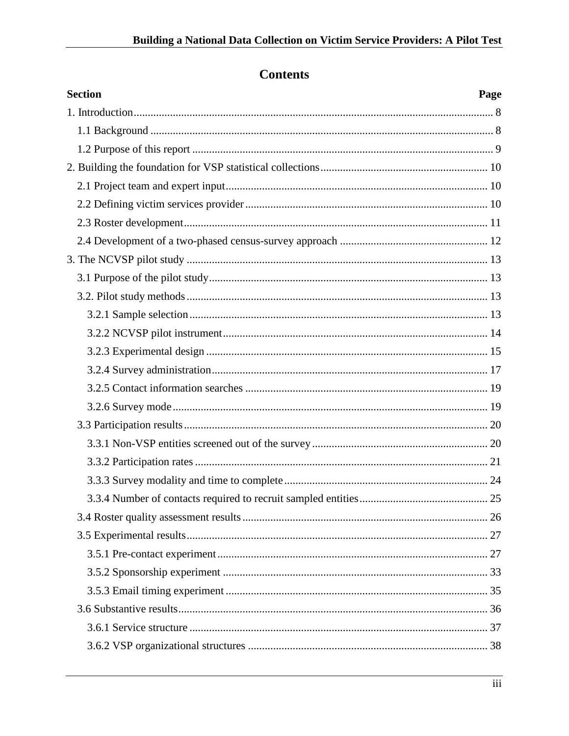# **Contents**

| <b>Section</b> | Page |
|----------------|------|
|                |      |
|                |      |
|                |      |
|                |      |
|                |      |
|                |      |
|                |      |
|                |      |
|                |      |
|                |      |
|                |      |
|                |      |
|                |      |
|                |      |
|                |      |
|                |      |
|                |      |
|                |      |
|                |      |
|                |      |
|                |      |
|                |      |
|                |      |
|                |      |
|                |      |
|                |      |
|                |      |
|                |      |
|                |      |
|                |      |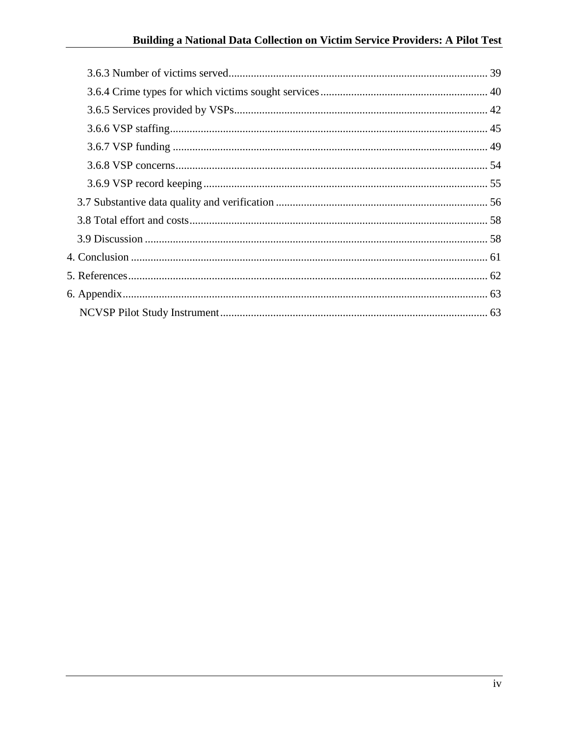# Building a National Data Collection on Victim Service Providers: A Pilot Test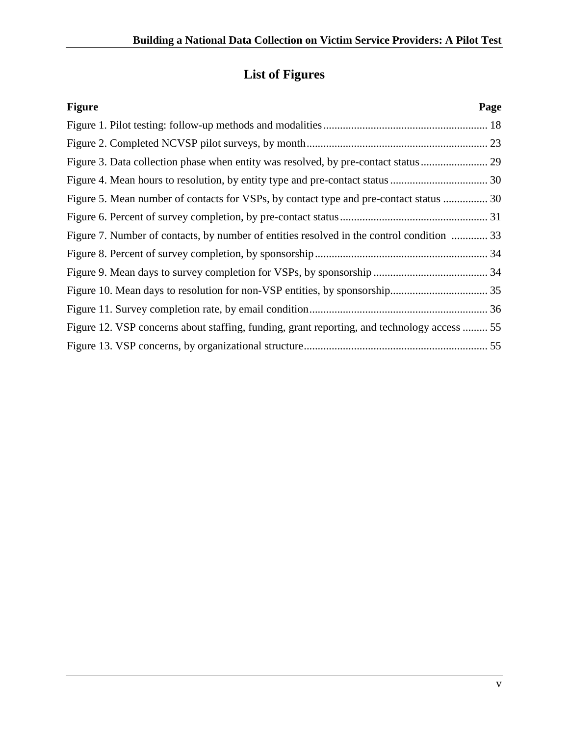# **List of Figures**

| <b>Figure</b>                                                                               | Page |
|---------------------------------------------------------------------------------------------|------|
|                                                                                             |      |
|                                                                                             |      |
|                                                                                             |      |
|                                                                                             |      |
| Figure 5. Mean number of contacts for VSPs, by contact type and pre-contact status  30      |      |
|                                                                                             |      |
| Figure 7. Number of contacts, by number of entities resolved in the control condition  33   |      |
|                                                                                             |      |
|                                                                                             |      |
|                                                                                             |      |
|                                                                                             |      |
| Figure 12. VSP concerns about staffing, funding, grant reporting, and technology access  55 |      |
|                                                                                             |      |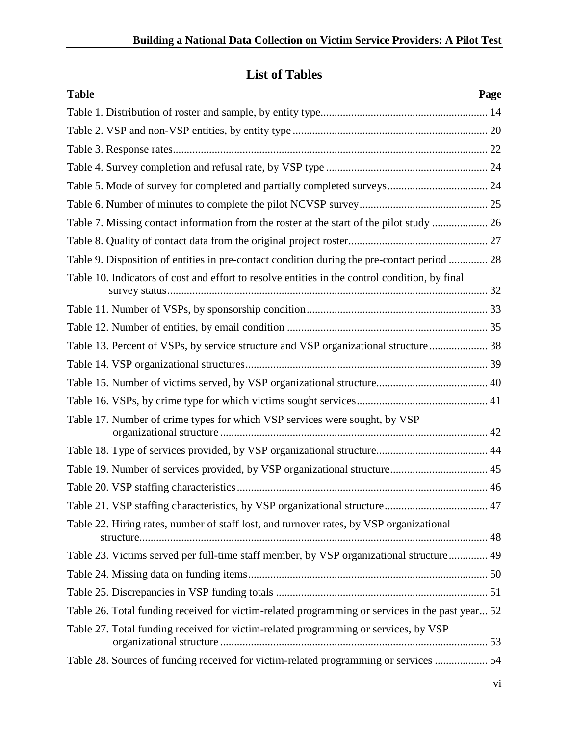# **List of Tables**

| <b>Table</b>                                                                                    | Page |
|-------------------------------------------------------------------------------------------------|------|
|                                                                                                 |      |
|                                                                                                 |      |
|                                                                                                 |      |
|                                                                                                 |      |
|                                                                                                 |      |
|                                                                                                 |      |
|                                                                                                 |      |
|                                                                                                 |      |
| Table 9. Disposition of entities in pre-contact condition during the pre-contact period  28     |      |
| Table 10. Indicators of cost and effort to resolve entities in the control condition, by final  |      |
|                                                                                                 |      |
|                                                                                                 |      |
| Table 13. Percent of VSPs, by service structure and VSP organizational structure 38             |      |
|                                                                                                 |      |
|                                                                                                 |      |
|                                                                                                 |      |
| Table 17. Number of crime types for which VSP services were sought, by VSP                      |      |
|                                                                                                 |      |
| Table 19. Number of services provided, by VSP organizational structure 45                       |      |
|                                                                                                 |      |
|                                                                                                 |      |
| Table 22. Hiring rates, number of staff lost, and turnover rates, by VSP organizational         |      |
| Table 23. Victims served per full-time staff member, by VSP organizational structure 49         |      |
|                                                                                                 |      |
|                                                                                                 |      |
| Table 26. Total funding received for victim-related programming or services in the past year 52 |      |
| Table 27. Total funding received for victim-related programming or services, by VSP             |      |
| Table 28. Sources of funding received for victim-related programming or services  54            |      |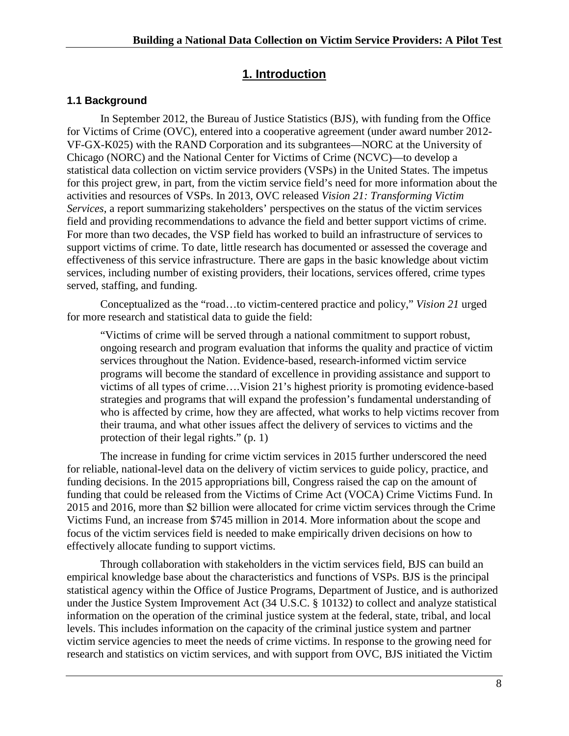# **1. Introduction**

### <span id="page-8-1"></span><span id="page-8-0"></span>**1.1 Background**

In September 2012, the Bureau of Justice Statistics (BJS), with funding from the Office for Victims of Crime (OVC), entered into a cooperative agreement (under award number 2012- VF-GX-K025) with the RAND Corporation and its subgrantees—NORC at the University of Chicago (NORC) and the National Center for Victims of Crime (NCVC)—to develop a statistical data collection on victim service providers (VSPs) in the United States. The impetus for this project grew, in part, from the victim service field's need for more information about the activities and resources of VSPs. In 2013, OVC released *Vision 21: Transforming Victim Services*, a report summarizing stakeholders' perspectives on the status of the victim services field and providing recommendations to advance the field and better support victims of crime. For more than two decades, the VSP field has worked to build an infrastructure of services to support victims of crime. To date, little research has documented or assessed the coverage and effectiveness of this service infrastructure. There are gaps in the basic knowledge about victim services, including number of existing providers, their locations, services offered, crime types served, staffing, and funding.

Conceptualized as the "road…to victim-centered practice and policy," *Vision 21* urged for more research and statistical data to guide the field:

"Victims of crime will be served through a national commitment to support robust, ongoing research and program evaluation that informs the quality and practice of victim services throughout the Nation. Evidence-based, research-informed victim service programs will become the standard of excellence in providing assistance and support to victims of all types of crime….Vision 21's highest priority is promoting evidence-based strategies and programs that will expand the profession's fundamental understanding of who is affected by crime, how they are affected, what works to help victims recover from their trauma, and what other issues affect the delivery of services to victims and the protection of their legal rights." (p. 1)

The increase in funding for crime victim services in 2015 further underscored the need for reliable, national-level data on the delivery of victim services to guide policy, practice, and funding decisions. In the 2015 appropriations bill, Congress raised the cap on the amount of funding that could be released from the Victims of Crime Act (VOCA) Crime Victims Fund. In 2015 and 2016, more than \$2 billion were allocated for crime victim services through the Crime Victims Fund, an increase from \$745 million in 2014. More information about the scope and focus of the victim services field is needed to make empirically driven decisions on how to effectively allocate funding to support victims.

Through collaboration with stakeholders in the victim services field, BJS can build an empirical knowledge base about the characteristics and functions of VSPs. BJS is the principal statistical agency within the Office of Justice Programs, Department of Justice, and is authorized under the Justice System Improvement Act (34 U.S.C. § 10132) to collect and analyze statistical information on the operation of the criminal justice system at the federal, state, tribal, and local levels. This includes information on the capacity of the criminal justice system and partner victim service agencies to meet the needs of crime victims. In response to the growing need for research and statistics on victim services, and with support from OVC, BJS initiated the Victim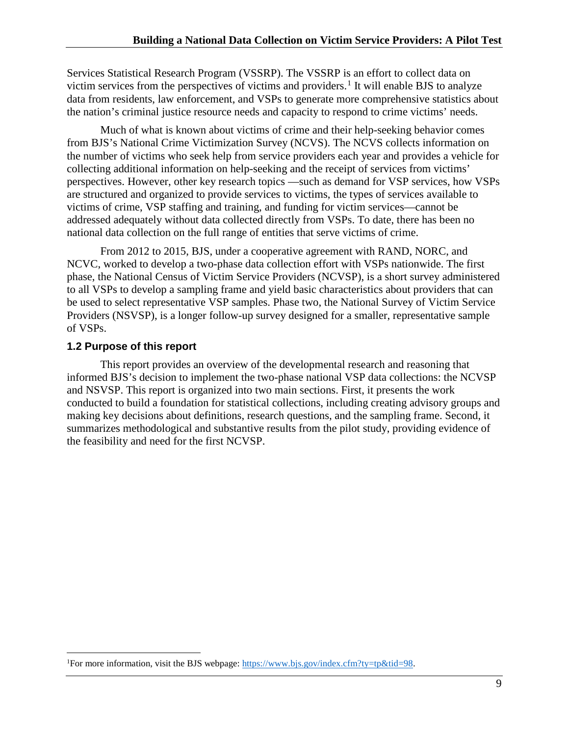Services Statistical Research Program (VSSRP). The VSSRP is an effort to collect data on victim services from the perspectives of victims and providers.<sup>[1](#page-9-2)</sup> It will enable BJS to analyze data from residents, law enforcement, and VSPs to generate more comprehensive statistics about the nation's criminal justice resource needs and capacity to respond to crime victims' needs.

Much of what is known about victims of crime and their help-seeking behavior comes from BJS's National Crime Victimization Survey (NCVS). The NCVS collects information on the number of victims who seek help from service providers each year and provides a vehicle for collecting additional information on help-seeking and the receipt of services from victims' perspectives. However, other key research topics —such as demand for VSP services, how VSPs are structured and organized to provide services to victims, the types of services available to victims of crime, VSP staffing and training, and funding for victim services—cannot be addressed adequately without data collected directly from VSPs. To date, there has been no national data collection on the full range of entities that serve victims of crime.

From 2012 to 2015, BJS, under a cooperative agreement with RAND, NORC, and NCVC, worked to develop a two-phase data collection effort with VSPs nationwide. The first phase, the National Census of Victim Service Providers (NCVSP), is a short survey administered to all VSPs to develop a sampling frame and yield basic characteristics about providers that can be used to select representative VSP samples. Phase two, the National Survey of Victim Service Providers (NSVSP), is a longer follow-up survey designed for a smaller, representative sample of VSPs.

## <span id="page-9-0"></span>**1.2 Purpose of this report**

<span id="page-9-1"></span>This report provides an overview of the developmental research and reasoning that informed BJS's decision to implement the two-phase national VSP data collections: the NCVSP and NSVSP. This report is organized into two main sections. First, it presents the work conducted to build a foundation for statistical collections, including creating advisory groups and making key decisions about definitions, research questions, and the sampling frame. Second, it summarizes methodological and substantive results from the pilot study, providing evidence of the feasibility and need for the first NCVSP.

<span id="page-9-2"></span> $\frac{1}{1}$ <sup>1</sup>For more information, visit the BJS webpage: [https://www.bjs.gov/index.cfm?ty=tp&tid=98.](https://www.bjs.gov/index.cfm?ty=tp&tid=98)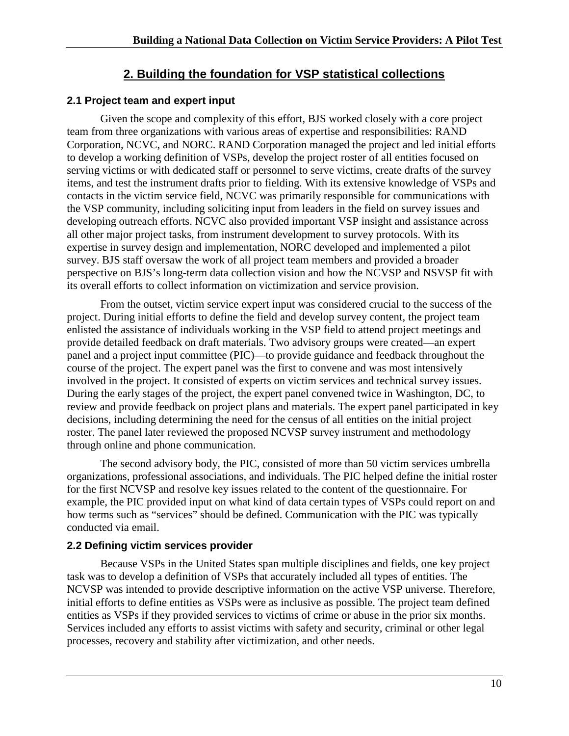# **2. Building the foundation for VSP statistical collections**

## <span id="page-10-0"></span>**2.1 Project team and expert input**

Given the scope and complexity of this effort, BJS worked closely with a core project team from three organizations with various areas of expertise and responsibilities: RAND Corporation, NCVC, and NORC. RAND Corporation managed the project and led initial efforts to develop a working definition of VSPs, develop the project roster of all entities focused on serving victims or with dedicated staff or personnel to serve victims, create drafts of the survey items, and test the instrument drafts prior to fielding. With its extensive knowledge of VSPs and contacts in the victim service field, NCVC was primarily responsible for communications with the VSP community, including soliciting input from leaders in the field on survey issues and developing outreach efforts. NCVC also provided important VSP insight and assistance across all other major project tasks, from instrument development to survey protocols. With its expertise in survey design and implementation, NORC developed and implemented a pilot survey. BJS staff oversaw the work of all project team members and provided a broader perspective on BJS's long-term data collection vision and how the NCVSP and NSVSP fit with its overall efforts to collect information on victimization and service provision.

From the outset, victim service expert input was considered crucial to the success of the project. During initial efforts to define the field and develop survey content, the project team enlisted the assistance of individuals working in the VSP field to attend project meetings and provide detailed feedback on draft materials. Two advisory groups were created—an expert panel and a project input committee (PIC)—to provide guidance and feedback throughout the course of the project. The expert panel was the first to convene and was most intensively involved in the project. It consisted of experts on victim services and technical survey issues. During the early stages of the project, the expert panel convened twice in Washington, DC, to review and provide feedback on project plans and materials. The expert panel participated in key decisions, including determining the need for the census of all entities on the initial project roster. The panel later reviewed the proposed NCVSP survey instrument and methodology through online and phone communication.

The second advisory body, the PIC, consisted of more than 50 victim services umbrella organizations, professional associations, and individuals. The PIC helped define the initial roster for the first NCVSP and resolve key issues related to the content of the questionnaire. For example, the PIC provided input on what kind of data certain types of VSPs could report on and how terms such as "services" should be defined. Communication with the PIC was typically conducted via email.

## <span id="page-10-1"></span>**2.2 Defining victim services provider**

Because VSPs in the United States span multiple disciplines and fields, one key project task was to develop a definition of VSPs that accurately included all types of entities. The NCVSP was intended to provide descriptive information on the active VSP universe. Therefore, initial efforts to define entities as VSPs were as inclusive as possible. The project team defined entities as VSPs if they provided services to victims of crime or abuse in the prior six months. Services included any efforts to assist victims with safety and security, criminal or other legal processes, recovery and stability after victimization, and other needs.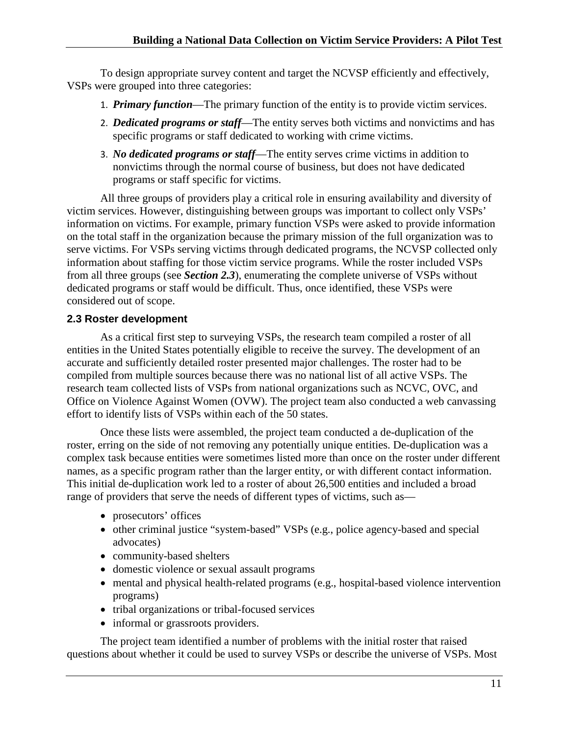To design appropriate survey content and target the NCVSP efficiently and effectively, VSPs were grouped into three categories:

- 1. *Primary function*—The primary function of the entity is to provide victim services.
- 2. *Dedicated programs or staff*—The entity serves both victims and nonvictims and has specific programs or staff dedicated to working with crime victims.
- 3. *No dedicated programs or staff*—The entity serves crime victims in addition to nonvictims through the normal course of business, but does not have dedicated programs or staff specific for victims.

All three groups of providers play a critical role in ensuring availability and diversity of victim services. However, distinguishing between groups was important to collect only VSPs' information on victims. For example, primary function VSPs were asked to provide information on the total staff in the organization because the primary mission of the full organization was to serve victims. For VSPs serving victims through dedicated programs, the NCVSP collected only information about staffing for those victim service programs. While the roster included VSPs from all three groups (see *Section 2.3*), enumerating the complete universe of VSPs without dedicated programs or staff would be difficult. Thus, once identified, these VSPs were considered out of scope.

### <span id="page-11-0"></span>**2.3 Roster development**

As a critical first step to surveying VSPs, the research team compiled a roster of all entities in the United States potentially eligible to receive the survey. The development of an accurate and sufficiently detailed roster presented major challenges. The roster had to be compiled from multiple sources because there was no national list of all active VSPs. The research team collected lists of VSPs from national organizations such as NCVC, OVC, and Office on Violence Against Women (OVW). The project team also conducted a web canvassing effort to identify lists of VSPs within each of the 50 states.

Once these lists were assembled, the project team conducted a de-duplication of the roster, erring on the side of not removing any potentially unique entities. De-duplication was a complex task because entities were sometimes listed more than once on the roster under different names, as a specific program rather than the larger entity, or with different contact information. This initial de-duplication work led to a roster of about 26,500 entities and included a broad range of providers that serve the needs of different types of victims, such as—

- prosecutors' offices
- other criminal justice "system-based" VSPs (e.g., police agency-based and special advocates)
- community-based shelters
- domestic violence or sexual assault programs
- mental and physical health-related programs (e.g., hospital-based violence intervention programs)
- tribal organizations or tribal-focused services
- informal or grassroots providers.

The project team identified a number of problems with the initial roster that raised questions about whether it could be used to survey VSPs or describe the universe of VSPs. Most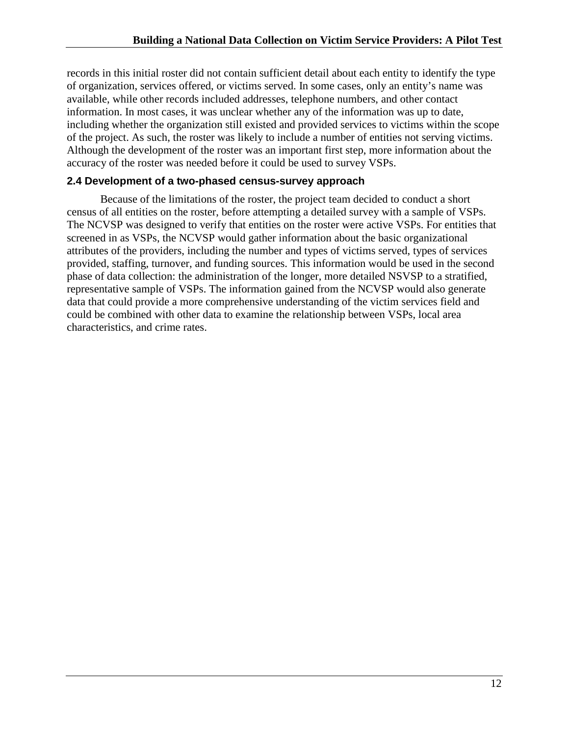records in this initial roster did not contain sufficient detail about each entity to identify the type of organization, services offered, or victims served. In some cases, only an entity's name was available, while other records included addresses, telephone numbers, and other contact information. In most cases, it was unclear whether any of the information was up to date, including whether the organization still existed and provided services to victims within the scope of the project. As such, the roster was likely to include a number of entities not serving victims. Although the development of the roster was an important first step, more information about the accuracy of the roster was needed before it could be used to survey VSPs.

#### <span id="page-12-0"></span>**2.4 Development of a two-phased census-survey approach**

Because of the limitations of the roster, the project team decided to conduct a short census of all entities on the roster, before attempting a detailed survey with a sample of VSPs. The NCVSP was designed to verify that entities on the roster were active VSPs. For entities that screened in as VSPs, the NCVSP would gather information about the basic organizational attributes of the providers, including the number and types of victims served, types of services provided, staffing, turnover, and funding sources. This information would be used in the second phase of data collection: the administration of the longer, more detailed NSVSP to a stratified, representative sample of VSPs. The information gained from the NCVSP would also generate data that could provide a more comprehensive understanding of the victim services field and could be combined with other data to examine the relationship between VSPs, local area characteristics, and crime rates.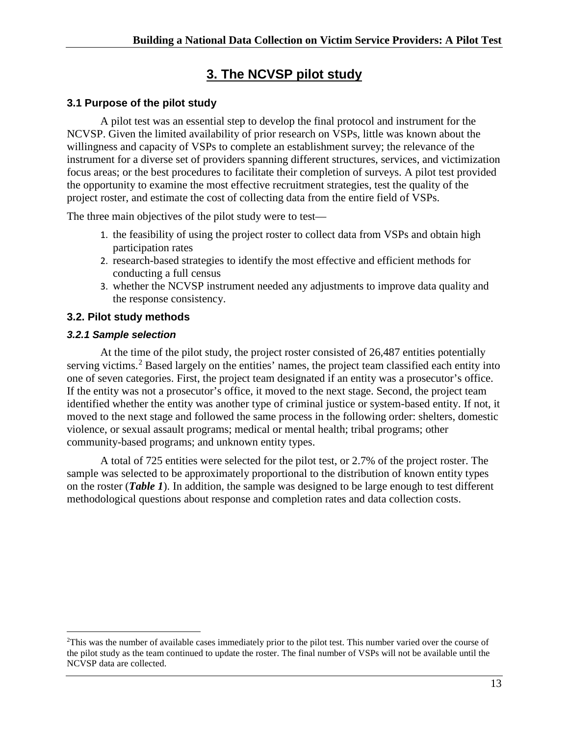# **3. The NCVSP pilot study**

## <span id="page-13-1"></span><span id="page-13-0"></span>**3.1 Purpose of the pilot study**

A pilot test was an essential step to develop the final protocol and instrument for the NCVSP. Given the limited availability of prior research on VSPs, little was known about the willingness and capacity of VSPs to complete an establishment survey; the relevance of the instrument for a diverse set of providers spanning different structures, services, and victimization focus areas; or the best procedures to facilitate their completion of surveys. A pilot test provided the opportunity to examine the most effective recruitment strategies, test the quality of the project roster, and estimate the cost of collecting data from the entire field of VSPs.

The three main objectives of the pilot study were to test—

- 1. the feasibility of using the project roster to collect data from VSPs and obtain high participation rates
- 2. research-based strategies to identify the most effective and efficient methods for conducting a full census
- 3. whether the NCVSP instrument needed any adjustments to improve data quality and the response consistency.

## <span id="page-13-2"></span>**3.2. Pilot study methods**

### <span id="page-13-3"></span>*3.2.1 Sample selection*

At the time of the pilot study, the project roster consisted of 26,487 entities potentially serving victims.<sup>[2](#page-13-5)</sup> Based largely on the entities' names, the project team classified each entity into one of seven categories. First, the project team designated if an entity was a prosecutor's office. If the entity was not a prosecutor's office, it moved to the next stage. Second, the project team identified whether the entity was another type of criminal justice or system-based entity. If not, it moved to the next stage and followed the same process in the following order: shelters, domestic violence, or sexual assault programs; medical or mental health; tribal programs; other community-based programs; and unknown entity types.

<span id="page-13-4"></span>A total of 725 entities were selected for the pilot test, or 2.7% of the project roster. The sample was selected to be approximately proportional to the distribution of known entity types on the roster (*Table 1*). In addition, the sample was designed to be large enough to test different methodological questions about response and completion rates and data collection costs.

<span id="page-13-5"></span> $\frac{1}{2}$ <sup>2</sup>This was the number of available cases immediately prior to the pilot test. This number varied over the course of the pilot study as the team continued to update the roster. The final number of VSPs will not be available until the NCVSP data are collected.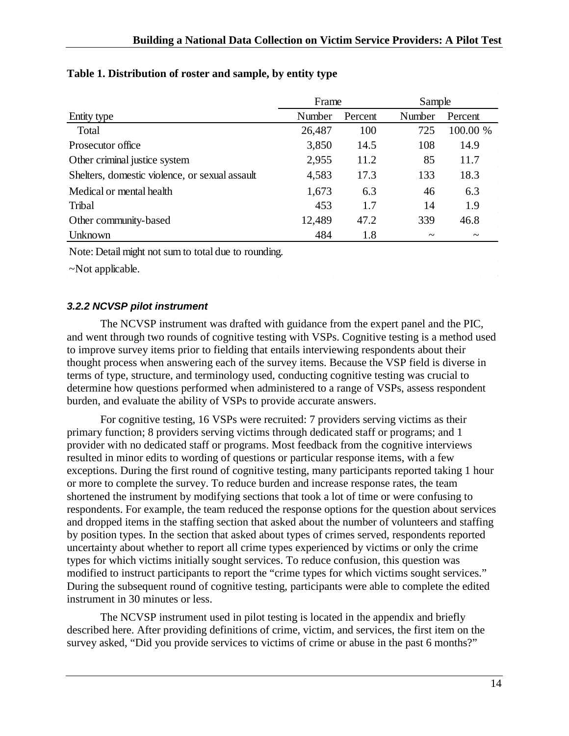|                                                | Frame  |         | Sample                |                       |
|------------------------------------------------|--------|---------|-----------------------|-----------------------|
| Entity type                                    | Number | Percent | Number                | Percent               |
| Total                                          | 26,487 | 100     | 725                   | 100.00 %              |
| Prosecutor office                              | 3,850  | 14.5    | 108                   | 14.9                  |
| Other criminal justice system                  | 2,955  | 11.2    | 85                    | 11.7                  |
| Shelters, domestic violence, or sexual assault | 4,583  | 17.3    | 133                   | 18.3                  |
| Medical or mental health                       | 1,673  | 6.3     | 46                    | 6.3                   |
| Tribal                                         | 453    | 1.7     | 14                    | 1.9                   |
| Other community-based                          | 12,489 | 47.2    | 339                   | 46.8                  |
| Unknown                                        | 484    | 1.8     | $\tilde{\phantom{a}}$ | $\tilde{\phantom{a}}$ |

### **Table 1. Distribution of roster and sample, by entity type**

Note: Detail might not sum to total due to rounding.

~Not applicable.

### <span id="page-14-0"></span>*3.2.2 NCVSP pilot instrument*

The NCVSP instrument was drafted with guidance from the expert panel and the PIC, and went through two rounds of cognitive testing with VSPs. Cognitive testing is a method used to improve survey items prior to fielding that entails interviewing respondents about their thought process when answering each of the survey items. Because the VSP field is diverse in terms of type, structure, and terminology used, conducting cognitive testing was crucial to determine how questions performed when administered to a range of VSPs, assess respondent burden, and evaluate the ability of VSPs to provide accurate answers.

For cognitive testing, 16 VSPs were recruited: 7 providers serving victims as their primary function; 8 providers serving victims through dedicated staff or programs; and 1 provider with no dedicated staff or programs. Most feedback from the cognitive interviews resulted in minor edits to wording of questions or particular response items, with a few exceptions. During the first round of cognitive testing, many participants reported taking 1 hour or more to complete the survey. To reduce burden and increase response rates, the team shortened the instrument by modifying sections that took a lot of time or were confusing to respondents. For example, the team reduced the response options for the question about services and dropped items in the staffing section that asked about the number of volunteers and staffing by position types. In the section that asked about types of crimes served, respondents reported uncertainty about whether to report all crime types experienced by victims or only the crime types for which victims initially sought services. To reduce confusion, this question was modified to instruct participants to report the "crime types for which victims sought services." During the subsequent round of cognitive testing, participants were able to complete the edited instrument in 30 minutes or less.

The NCVSP instrument used in pilot testing is located in the appendix and briefly described here. After providing definitions of crime, victim, and services, the first item on the survey asked, "Did you provide services to victims of crime or abuse in the past 6 months?"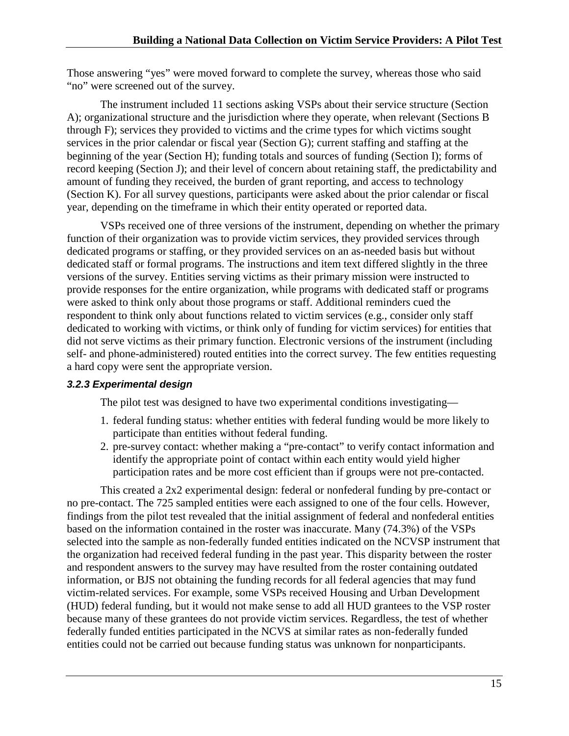Those answering "yes" were moved forward to complete the survey, whereas those who said "no" were screened out of the survey.

The instrument included 11 sections asking VSPs about their service structure (Section A); organizational structure and the jurisdiction where they operate, when relevant (Sections B through F); services they provided to victims and the crime types for which victims sought services in the prior calendar or fiscal year (Section G); current staffing and staffing at the beginning of the year (Section H); funding totals and sources of funding (Section I); forms of record keeping (Section J); and their level of concern about retaining staff, the predictability and amount of funding they received, the burden of grant reporting, and access to technology (Section K). For all survey questions, participants were asked about the prior calendar or fiscal year, depending on the timeframe in which their entity operated or reported data.

VSPs received one of three versions of the instrument, depending on whether the primary function of their organization was to provide victim services, they provided services through dedicated programs or staffing, or they provided services on an as-needed basis but without dedicated staff or formal programs. The instructions and item text differed slightly in the three versions of the survey. Entities serving victims as their primary mission were instructed to provide responses for the entire organization, while programs with dedicated staff or programs were asked to think only about those programs or staff. Additional reminders cued the respondent to think only about functions related to victim services (e.g., consider only staff dedicated to working with victims, or think only of funding for victim services) for entities that did not serve victims as their primary function. Electronic versions of the instrument (including self- and phone-administered) routed entities into the correct survey. The few entities requesting a hard copy were sent the appropriate version.

## <span id="page-15-0"></span>*3.2.3 Experimental design*

The pilot test was designed to have two experimental conditions investigating—

- 1. federal funding status: whether entities with federal funding would be more likely to participate than entities without federal funding.
- 2. pre-survey contact: whether making a "pre-contact" to verify contact information and identify the appropriate point of contact within each entity would yield higher participation rates and be more cost efficient than if groups were not pre-contacted.

This created a 2x2 experimental design: federal or nonfederal funding by pre-contact or no pre-contact. The 725 sampled entities were each assigned to one of the four cells. However, findings from the pilot test revealed that the initial assignment of federal and nonfederal entities based on the information contained in the roster was inaccurate. Many (74.3%) of the VSPs selected into the sample as non-federally funded entities indicated on the NCVSP instrument that the organization had received federal funding in the past year. This disparity between the roster and respondent answers to the survey may have resulted from the roster containing outdated information, or BJS not obtaining the funding records for all federal agencies that may fund victim-related services. For example, some VSPs received Housing and Urban Development (HUD) federal funding, but it would not make sense to add all HUD grantees to the VSP roster because many of these grantees do not provide victim services. Regardless, the test of whether federally funded entities participated in the NCVS at similar rates as non-federally funded entities could not be carried out because funding status was unknown for nonparticipants.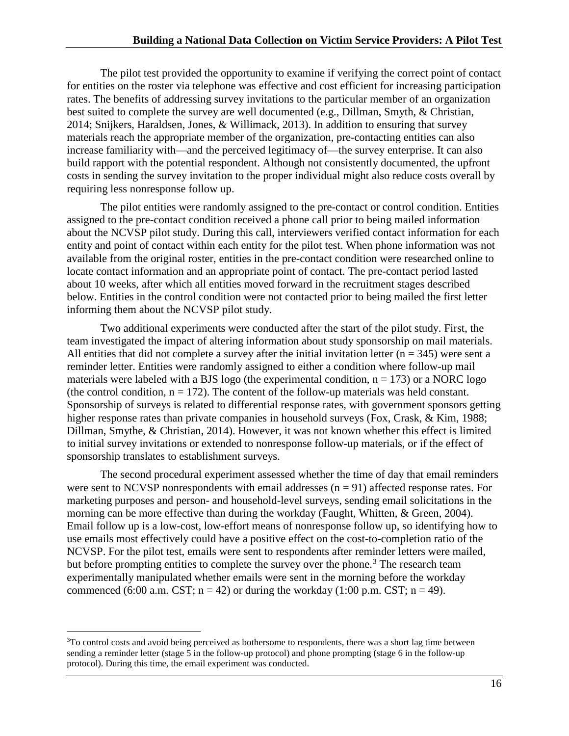The pilot test provided the opportunity to examine if verifying the correct point of contact for entities on the roster via telephone was effective and cost efficient for increasing participation rates. The benefits of addressing survey invitations to the particular member of an organization best suited to complete the survey are well documented (e.g., Dillman, Smyth, & Christian, 2014; Snijkers, Haraldsen, Jones, & Willimack, 2013). In addition to ensuring that survey materials reach the appropriate member of the organization, pre-contacting entities can also increase familiarity with—and the perceived legitimacy of—the survey enterprise. It can also build rapport with the potential respondent. Although not consistently documented, the upfront costs in sending the survey invitation to the proper individual might also reduce costs overall by requiring less nonresponse follow up.

The pilot entities were randomly assigned to the pre-contact or control condition. Entities assigned to the pre-contact condition received a phone call prior to being mailed information about the NCVSP pilot study. During this call, interviewers verified contact information for each entity and point of contact within each entity for the pilot test. When phone information was not available from the original roster, entities in the pre-contact condition were researched online to locate contact information and an appropriate point of contact. The pre-contact period lasted about 10 weeks, after which all entities moved forward in the recruitment stages described below. Entities in the control condition were not contacted prior to being mailed the first letter informing them about the NCVSP pilot study.

Two additional experiments were conducted after the start of the pilot study. First, the team investigated the impact of altering information about study sponsorship on mail materials. All entities that did not complete a survey after the initial invitation letter ( $n = 345$ ) were sent a reminder letter. Entities were randomly assigned to either a condition where follow-up mail materials were labeled with a BJS logo (the experimental condition,  $n = 173$ ) or a NORC logo (the control condition,  $n = 172$ ). The content of the follow-up materials was held constant. Sponsorship of surveys is related to differential response rates, with government sponsors getting higher response rates than private companies in household surveys (Fox, Crask, & Kim, 1988; Dillman, Smythe, & Christian, 2014). However, it was not known whether this effect is limited to initial survey invitations or extended to nonresponse follow-up materials, or if the effect of sponsorship translates to establishment surveys.

The second procedural experiment assessed whether the time of day that email reminders were sent to NCVSP nonrespondents with email addresses  $(n = 91)$  affected response rates. For marketing purposes and person- and household-level surveys, sending email solicitations in the morning can be more effective than during the workday (Faught, Whitten, & Green, 2004). Email follow up is a low-cost, low-effort means of nonresponse follow up, so identifying how to use emails most effectively could have a positive effect on the cost-to-completion ratio of the NCVSP. For the pilot test, emails were sent to respondents after reminder letters were mailed, but before prompting entities to complete the survey over the phone.<sup>[3](#page-16-0)</sup> The research team experimentally manipulated whether emails were sent in the morning before the workday commenced (6:00 a.m. CST;  $n = 42$ ) or during the workday (1:00 p.m. CST;  $n = 49$ ).

<span id="page-16-0"></span> $\frac{1}{3}$ <sup>3</sup>To control costs and avoid being perceived as bothersome to respondents, there was a short lag time between sending a reminder letter (stage 5 in the follow-up protocol) and phone prompting (stage 6 in the follow-up protocol). During this time, the email experiment was conducted.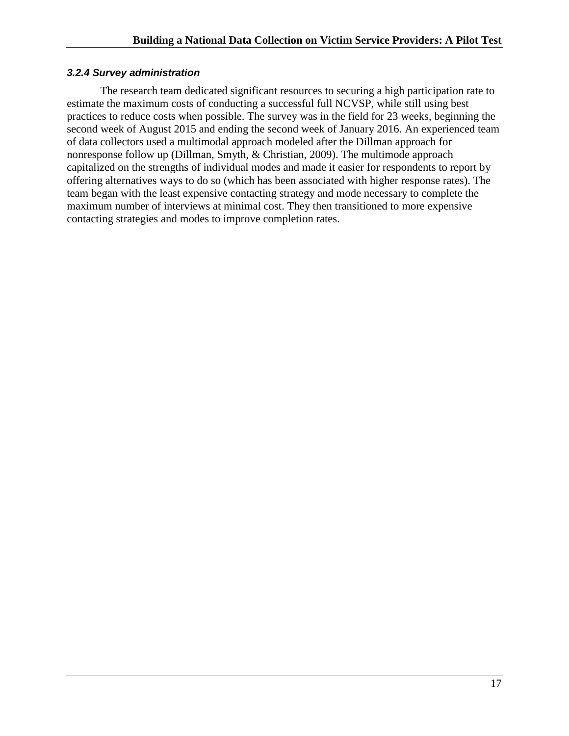#### <span id="page-17-0"></span>*3.2.4 Survey administration*

The research team dedicated significant resources to securing a high participation rate to estimate the maximum costs of conducting a successful full NCVSP, while still using best practices to reduce costs when possible. The survey was in the field for 23 weeks, beginning the second week of August 2015 and ending the second week of January 2016. An experienced team of data collectors used a multimodal approach modeled after the Dillman approach for nonresponse follow up (Dillman, Smyth, & Christian, 2009). The multimode approach capitalized on the strengths of individual modes and made it easier for respondents to report by offering alternatives ways to do so (which has been associated with higher response rates). The team began with the least expensive contacting strategy and mode necessary to complete the maximum number of interviews at minimal cost. They then transitioned to more expensive contacting strategies and modes to improve completion rates.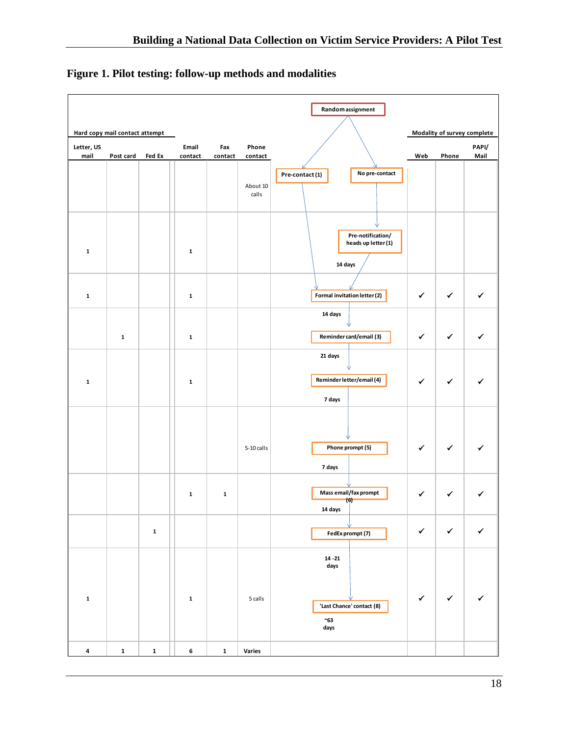|                         |                                |             |                  |                |                   | Random assignment                                                    |              |              |                             |
|-------------------------|--------------------------------|-------------|------------------|----------------|-------------------|----------------------------------------------------------------------|--------------|--------------|-----------------------------|
|                         | Hard copy mail contact attempt |             |                  |                |                   |                                                                      |              |              | Modality of survey complete |
| Letter, US<br>mail      | Post card                      | Fed Ex      | Email<br>contact | Fax<br>contact | Phone<br>contact  |                                                                      | Web          | Phone        | PAPI/<br>Mail               |
|                         |                                |             |                  |                | About 10<br>calls | No pre-contact<br>Pre-contact (1)                                    |              |              |                             |
| $\mathbf{1}$            |                                |             | $\mathbf 1$      |                |                   | Pre-notification/<br>heads up letter (1)<br>14 days                  |              |              |                             |
| $\mathbf{1}$            |                                |             | $\mathbf 1$      |                |                   | Formal invitation letter (2)                                         | ✓            | ✔            |                             |
|                         | $\mathbf{1}$                   |             | $\mathbf 1$      |                |                   | 14 days<br>Reminder card/email (3)                                   | ✔            | ✓            |                             |
| $\mathbf 1$             |                                |             | $\mathbf 1$      |                |                   | 21 days<br>Reminder letter/email (4)<br>7 days                       | ✓            | ✓            |                             |
|                         |                                |             |                  |                | 5-10 calls        | Phone prompt (5)<br>7 days                                           | ✔            |              |                             |
|                         |                                |             | $\mathbf 1$      | ${\bf 1}$      |                   | Mass email/fax prompt<br>(6)<br>14 days                              |              | ✓            |                             |
|                         |                                | $\mathbf 1$ |                  |                |                   | FedEx prompt (7)                                                     | $\checkmark$ | $\checkmark$ | $\checkmark$                |
| $\mathbf 1$             |                                |             | $\mathbf 1$      |                | 5 calls           | $14 - 21$<br>days<br>'Last Chance' contact (8)<br>$~\sim$ 63<br>days | $\checkmark$ | $\checkmark$ | ✓                           |
| $\overline{\mathbf{4}}$ | $\mathbf 1$                    | $\mathbf 1$ | 6                | $\mathbf 1$    | <b>Varies</b>     |                                                                      |              |              |                             |

# <span id="page-18-0"></span>**Figure 1. Pilot testing: follow-up methods and modalities**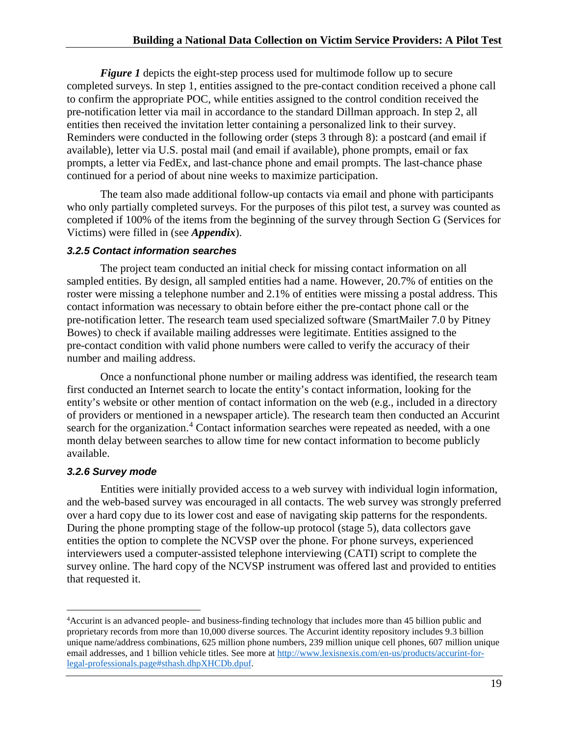*Figure 1* depicts the eight-step process used for multimode follow up to secure completed surveys. In step 1, entities assigned to the pre-contact condition received a phone call to confirm the appropriate POC, while entities assigned to the control condition received the pre-notification letter via mail in accordance to the standard Dillman approach. In step 2, all entities then received the invitation letter containing a personalized link to their survey. Reminders were conducted in the following order (steps 3 through 8): a postcard (and email if available), letter via U.S. postal mail (and email if available), phone prompts, email or fax prompts, a letter via FedEx, and last-chance phone and email prompts. The last-chance phase continued for a period of about nine weeks to maximize participation.

The team also made additional follow-up contacts via email and phone with participants who only partially completed surveys. For the purposes of this pilot test, a survey was counted as completed if 100% of the items from the beginning of the survey through Section G (Services for Victims) were filled in (see *Appendix*).

### <span id="page-19-0"></span>*3.2.5 Contact information searches*

The project team conducted an initial check for missing contact information on all sampled entities. By design, all sampled entities had a name. However, 20.7% of entities on the roster were missing a telephone number and 2.1% of entities were missing a postal address. This contact information was necessary to obtain before either the pre-contact phone call or the pre-notification letter. The research team used specialized software (SmartMailer 7.0 by Pitney Bowes) to check if available mailing addresses were legitimate. Entities assigned to the pre-contact condition with valid phone numbers were called to verify the accuracy of their number and mailing address.

Once a nonfunctional phone number or mailing address was identified, the research team first conducted an Internet search to locate the entity's contact information, looking for the entity's website or other mention of contact information on the web (e.g., included in a directory of providers or mentioned in a newspaper article). The research team then conducted an Accurint search for the organization.<sup>[4](#page-19-2)</sup> Contact information searches were repeated as needed, with a one month delay between searches to allow time for new contact information to become publicly available.

## <span id="page-19-1"></span>*3.2.6 Survey mode*

Entities were initially provided access to a web survey with individual login information, and the web-based survey was encouraged in all contacts. The web survey was strongly preferred over a hard copy due to its lower cost and ease of navigating skip patterns for the respondents. During the phone prompting stage of the follow-up protocol (stage 5), data collectors gave entities the option to complete the NCVSP over the phone. For phone surveys, experienced interviewers used a computer-assisted telephone interviewing (CATI) script to complete the survey online. The hard copy of the NCVSP instrument was offered last and provided to entities that requested it.

<span id="page-19-2"></span> $\frac{1}{4}$ Accurint is an advanced people- and business-finding technology that includes more than 45 billion public and proprietary records from more than 10,000 diverse sources. The Accurint identity repository includes 9.3 billion unique name/address combinations, 625 million phone numbers, 239 million unique cell phones, 607 million unique email addresses, and 1 billion vehicle titles. See more at [http://www.lexisnexis.com/en-us/products/accurint-for](http://www.lexisnexis.com/en-us/products/accurint-for-legal-professionals.page#sthash.dhpXHCDb.dpuf)[legal-professionals.page#sthash.dhpXHCDb.dpuf.](http://www.lexisnexis.com/en-us/products/accurint-for-legal-professionals.page#sthash.dhpXHCDb.dpuf)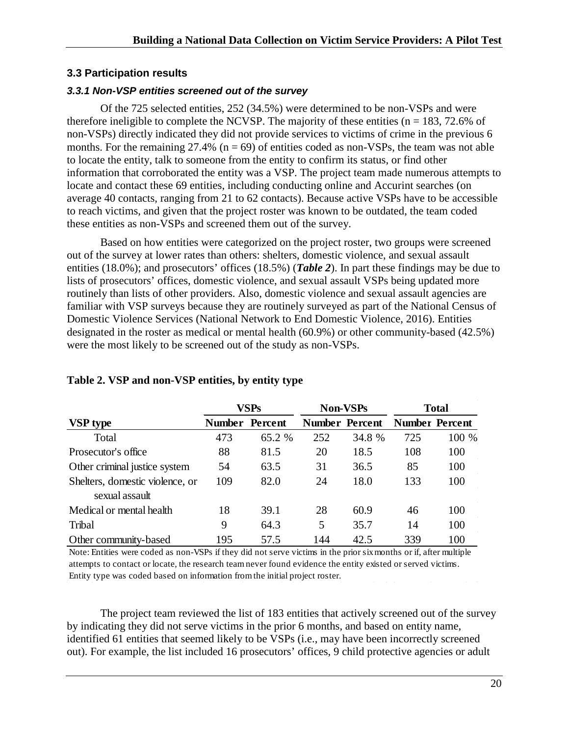#### <span id="page-20-0"></span>**3.3 Participation results**

#### <span id="page-20-1"></span>*3.3.1 Non-VSP entities screened out of the survey*

Of the 725 selected entities, 252 (34.5%) were determined to be non-VSPs and were therefore ineligible to complete the NCVSP. The majority of these entities ( $n = 183, 72.6\%$  of non-VSPs) directly indicated they did not provide services to victims of crime in the previous 6 months. For the remaining  $27.4\%$  (n = 69) of entities coded as non-VSPs, the team was not able to locate the entity, talk to someone from the entity to confirm its status, or find other information that corroborated the entity was a VSP. The project team made numerous attempts to locate and contact these 69 entities, including conducting online and Accurint searches (on average 40 contacts, ranging from 21 to 62 contacts). Because active VSPs have to be accessible to reach victims, and given that the project roster was known to be outdated, the team coded these entities as non-VSPs and screened them out of the survey.

Based on how entities were categorized on the project roster, two groups were screened out of the survey at lower rates than others: shelters, domestic violence, and sexual assault entities (18.0%); and prosecutors' offices (18.5%) (*Table 2*). In part these findings may be due to lists of prosecutors' offices, domestic violence, and sexual assault VSPs being updated more routinely than lists of other providers. Also, domestic violence and sexual assault agencies are familiar with VSP surveys because they are routinely surveyed as part of the National Census of Domestic Violence Services (National Network to End Domestic Violence, 2016). Entities designated in the roster as medical or mental health (60.9%) or other community-based (42.5%) were the most likely to be screened out of the study as non-VSPs.

|                                 | <b>VSPs</b>   |         | <b>Non-VSPs</b> |                       | <b>Total</b> |                       |
|---------------------------------|---------------|---------|-----------------|-----------------------|--------------|-----------------------|
| <b>VSP</b> type                 | <b>Number</b> | Percent |                 | <b>Number Percent</b> |              | <b>Number Percent</b> |
| Total                           | 473           | 65.2 %  | 252             | 34.8 %                | 725          | 100 %                 |
| Prosecutor's office             | 88            | 81.5    | 20              | 18.5                  | 108          | 100                   |
| Other criminal justice system   | 54            | 63.5    | 31              | 36.5                  | 85           | 100                   |
| Shelters, domestic violence, or | 109           | 82.0    | 24              | 18.0                  | 133          | 100                   |
| sexual assault                  |               |         |                 |                       |              |                       |
| Medical or mental health        | 18            | 39.1    | 28              | 60.9                  | 46           | 100                   |
| Tribal                          | 9             | 64.3    | 5               | 35.7                  | 14           | 100                   |
| Other community-based           | 195           | 57.5    | 144             | 42.5                  | 339          | 100                   |

#### <span id="page-20-2"></span>**Table 2. VSP and non-VSP entities, by entity type**

Note: Entities were coded as non-VSPs if they did not serve victims in the prior six months or if, after multiple attempts to contact or locate, the research team never found evidence the entity existed or served victims. Entity type was coded based on information from the initial project roster.

The project team reviewed the list of 183 entities that actively screened out of the survey by indicating they did not serve victims in the prior 6 months, and based on entity name, identified 61 entities that seemed likely to be VSPs (i.e., may have been incorrectly screened out). For example, the list included 16 prosecutors' offices, 9 child protective agencies or adult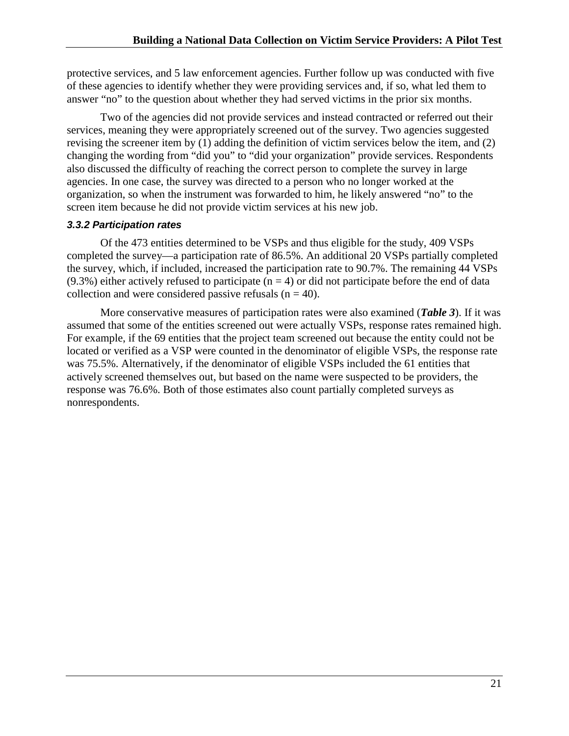protective services, and 5 law enforcement agencies. Further follow up was conducted with five of these agencies to identify whether they were providing services and, if so, what led them to answer "no" to the question about whether they had served victims in the prior six months.

Two of the agencies did not provide services and instead contracted or referred out their services, meaning they were appropriately screened out of the survey. Two agencies suggested revising the screener item by (1) adding the definition of victim services below the item, and (2) changing the wording from "did you" to "did your organization" provide services. Respondents also discussed the difficulty of reaching the correct person to complete the survey in large agencies. In one case, the survey was directed to a person who no longer worked at the organization, so when the instrument was forwarded to him, he likely answered "no" to the screen item because he did not provide victim services at his new job.

### <span id="page-21-0"></span>*3.3.2 Participation rates*

Of the 473 entities determined to be VSPs and thus eligible for the study, 409 VSPs completed the survey—a participation rate of 86.5%. An additional 20 VSPs partially completed the survey, which, if included, increased the participation rate to 90.7%. The remaining 44 VSPs  $(9.3\%)$  either actively refused to participate  $(n = 4)$  or did not participate before the end of data collection and were considered passive refusals  $(n = 40)$ .

<span id="page-21-1"></span>More conservative measures of participation rates were also examined (*Table 3*). If it was assumed that some of the entities screened out were actually VSPs, response rates remained high. For example, if the 69 entities that the project team screened out because the entity could not be located or verified as a VSP were counted in the denominator of eligible VSPs, the response rate was 75.5%. Alternatively, if the denominator of eligible VSPs included the 61 entities that actively screened themselves out, but based on the name were suspected to be providers, the response was 76.6%. Both of those estimates also count partially completed surveys as nonrespondents.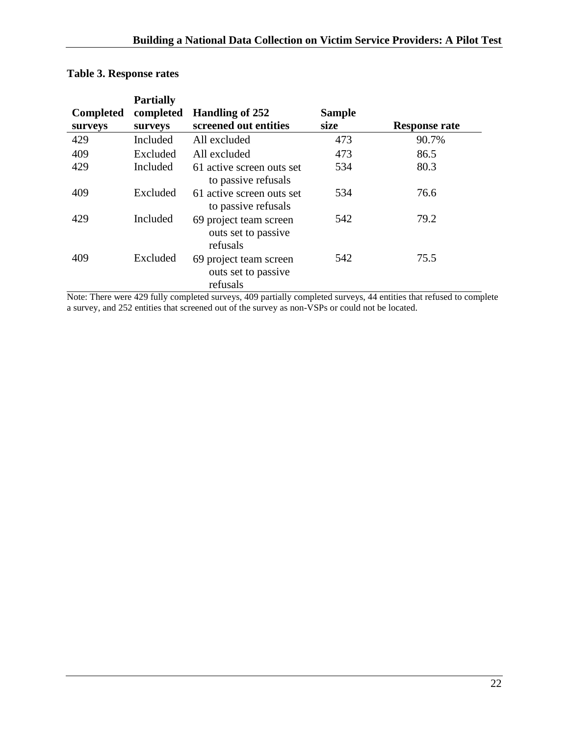| <b>Completed</b><br>surveys | <b>Partially</b><br>completed<br>surveys | Handling of 252<br>screened out entities                  | <b>Sample</b><br>size | <b>Response rate</b> |
|-----------------------------|------------------------------------------|-----------------------------------------------------------|-----------------------|----------------------|
| 429                         | Included                                 | All excluded                                              | 473                   | 90.7%                |
| 409                         | Excluded                                 | All excluded                                              | 473                   | 86.5                 |
| 429                         | Included                                 | 61 active screen outs set<br>to passive refusals          | 534                   | 80.3                 |
| 409                         | Excluded                                 | 61 active screen outs set<br>to passive refusals          | 534                   | 76.6                 |
| 429                         | Included                                 | 69 project team screen<br>outs set to passive<br>refusals | 542                   | 79.2                 |
| 409                         | Excluded                                 | 69 project team screen<br>outs set to passive<br>refusals | 542                   | 75.5                 |

## **Table 3. Response rates**

Note: There were 429 fully completed surveys, 409 partially completed surveys, 44 entities that refused to complete a survey, and 252 entities that screened out of the survey as non-VSPs or could not be located.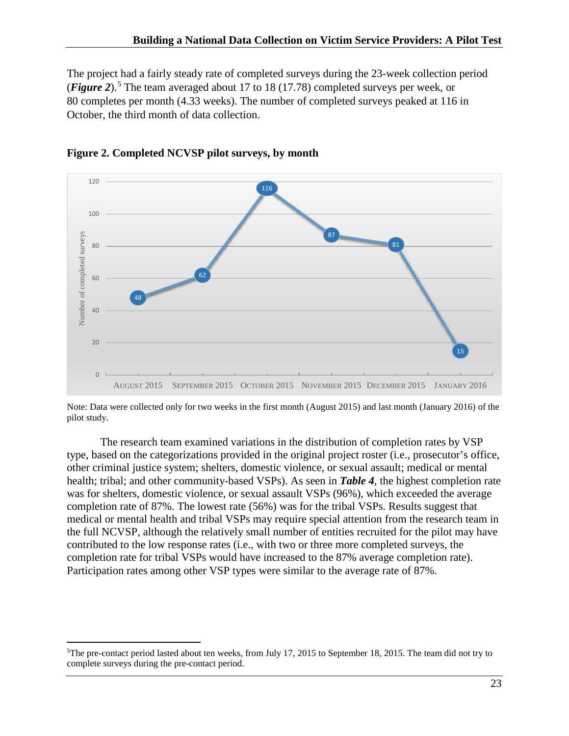The project had a fairly steady rate of completed surveys during the 23-week collection period (*Figure 2*).[5](#page-23-1) The team averaged about 17 to 18 (17.78) completed surveys per week, or 80 completes per month (4.33 weeks). The number of completed surveys peaked at 116 in October, the third month of data collection.



<span id="page-23-0"></span>

Note: Data were collected only for two weeks in the first month (August 2015) and last month (January 2016) of the pilot study.

The research team examined variations in the distribution of completion rates by VSP type, based on the categorizations provided in the original project roster (i.e., prosecutor's office, other criminal justice system; shelters, domestic violence, or sexual assault; medical or mental health; tribal; and other community-based VSPs). As seen in *Table 4*, the highest completion rate was for shelters, domestic violence, or sexual assault VSPs (96%), which exceeded the average completion rate of 87%. The lowest rate (56%) was for the tribal VSPs. Results suggest that medical or mental health and tribal VSPs may require special attention from the research team in the full NCVSP, although the relatively small number of entities recruited for the pilot may have contributed to the low response rates (i.e., with two or three more completed surveys, the completion rate for tribal VSPs would have increased to the 87% average completion rate). Participation rates among other VSP types were similar to the average rate of 87%.

<span id="page-23-1"></span> <sup>5</sup>  $5$ The pre-contact period lasted about ten weeks, from July 17, 2015 to September 18, 2015. The team did not try to complete surveys during the pre-contact period.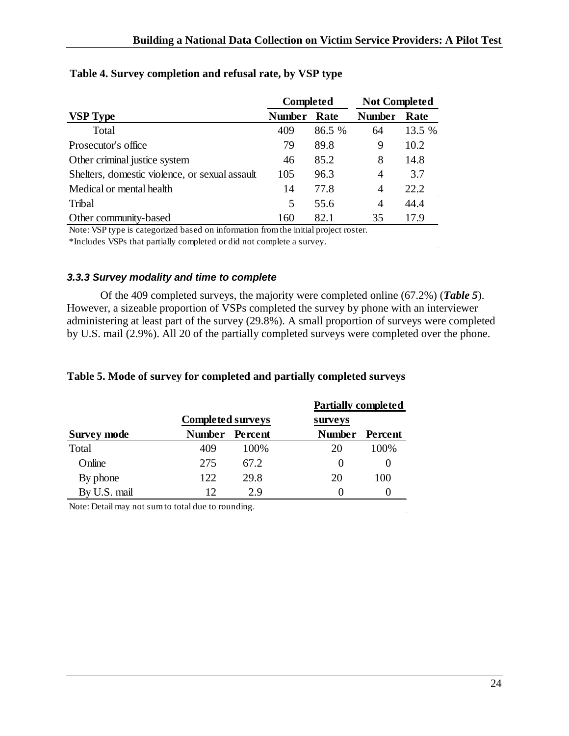<span id="page-24-0"></span>

|                                                | <b>Completed</b> |        | <b>Not Completed</b> |        |
|------------------------------------------------|------------------|--------|----------------------|--------|
| <b>VSP Type</b>                                | <b>Number</b>    | Rate   | <b>Number</b>        | Rate   |
| Total                                          | 409              | 86.5 % | 64                   | 13.5 % |
| Prosecutor's office                            | 79               | 89.8   | 9                    | 10.2   |
| Other criminal justice system                  | 46               | 85.2   | 8                    | 14.8   |
| Shelters, domestic violence, or sexual assault | 105              | 96.3   | 4                    | 3.7    |
| Medical or mental health                       | 14               | 77.8   | 4                    | 22.2   |
| Tribal                                         | 5                | 55.6   | 4                    | 44.4   |
| Other community-based                          | 160              | 82.1   | 35                   | 17.9   |

### <span id="page-24-1"></span>**Table 4. Survey completion and refusal rate, by VSP type**

Note: VSP type is categorized based on information from the initial project roster.

\*Includes VSPs that partially completed or did not complete a survey.

#### *3.3.3 Survey modality and time to complete*

Of the 409 completed surveys, the majority were completed online (67.2%) (*Table 5*). However, a sizeable proportion of VSPs completed the survey by phone with an interviewer administering at least part of the survey (29.8%). A small proportion of surveys were completed by U.S. mail (2.9%). All 20 of the partially completed surveys were completed over the phone.

 $\sim 10^{-1}$ 

 $\mathcal{L}^{\text{max}}$ 

### <span id="page-24-2"></span>**Table 5. Mode of survey for completed and partially completed surveys**

|                    |                          |       | <b>Partially completed</b> |         |
|--------------------|--------------------------|-------|----------------------------|---------|
|                    | <b>Completed surveys</b> |       | surveys                    |         |
| <b>Survey mode</b> | Number Percent           |       | <b>Number</b>              | Percent |
| Total              | 409                      | 100\% | 20                         | 100%    |
| Online             | 275                      | 67.2  | $\theta$                   |         |
| By phone           | 122.                     | 29.8  | 20                         | 100     |
| By U.S. mail       | 12                       | 29    |                            |         |

Note: Detail may not sum to total due to rounding.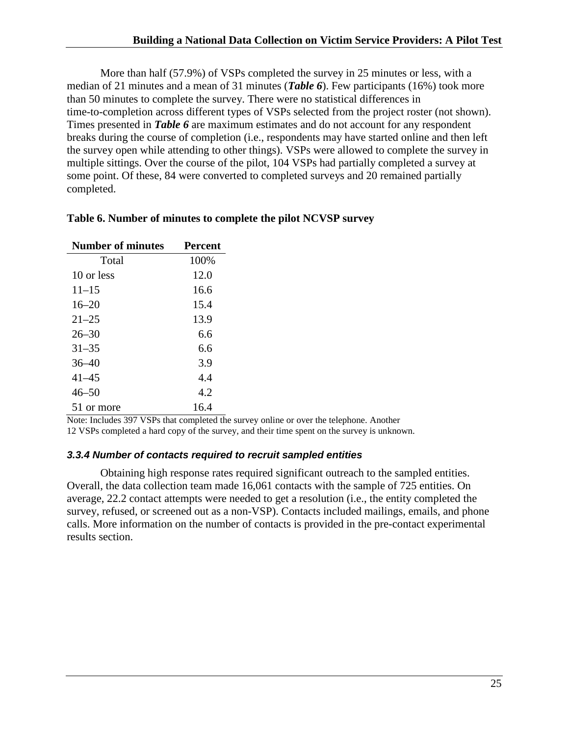More than half (57.9%) of VSPs completed the survey in 25 minutes or less, with a median of 21 minutes and a mean of 31 minutes (*Table 6*). Few participants (16%) took more than 50 minutes to complete the survey. There were no statistical differences in time-to-completion across different types of VSPs selected from the project roster (not shown). Times presented in *Table 6* are maximum estimates and do not account for any respondent breaks during the course of completion (i.e., respondents may have started online and then left the survey open while attending to other things). VSPs were allowed to complete the survey in multiple sittings. Over the course of the pilot, 104 VSPs had partially completed a survey at some point. Of these, 84 were converted to completed surveys and 20 remained partially completed.

| <b>Number of minutes</b> | <b>Percent</b> |
|--------------------------|----------------|
| Total                    | 100%           |
| 10 or less               | 12.0           |
| $11 - 15$                | 16.6           |
| $16 - 20$                | 15.4           |
| $21 - 25$                | 13.9           |
| $26 - 30$                | 6.6            |
| $31 - 35$                | 6.6            |
| $36 - 40$                | 3.9            |
| $41 - 45$                | 4.4            |
| $46 - 50$                | 4.2            |
| 51 or more               | 16.4           |

#### <span id="page-25-2"></span>**Table 6. Number of minutes to complete the pilot NCVSP survey**

Note: Includes 397 VSPs that completed the survey online or over the telephone. Another 12 VSPs completed a hard copy of the survey, and their time spent on the survey is unknown.

#### <span id="page-25-0"></span>*3.3.4 Number of contacts required to recruit sampled entities*

<span id="page-25-1"></span>Obtaining high response rates required significant outreach to the sampled entities. Overall, the data collection team made 16,061 contacts with the sample of 725 entities. On average, 22.2 contact attempts were needed to get a resolution (i.e., the entity completed the survey, refused, or screened out as a non-VSP). Contacts included mailings, emails, and phone calls. More information on the number of contacts is provided in the pre-contact experimental results section.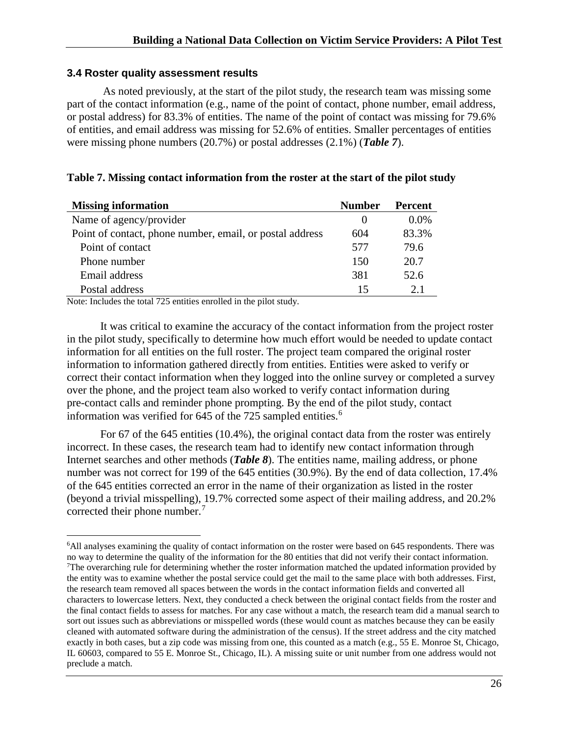#### **3.4 Roster quality assessment results**

As noted previously, at the start of the pilot study, the research team was missing some part of the contact information (e.g., name of the point of contact, phone number, email address, or postal address) for 83.3% of entities. The name of the point of contact was missing for 79.6% of entities, and email address was missing for 52.6% of entities. Smaller percentages of entities were missing phone numbers (20.7%) or postal addresses (2.1%) (*Table 7*).

#### <span id="page-26-0"></span>**Table 7. Missing contact information from the roster at the start of the pilot study**

| <b>Missing information</b>                               | <b>Number</b> | <b>Percent</b> |
|----------------------------------------------------------|---------------|----------------|
| Name of agency/provider                                  | $\theta$      | $0.0\%$        |
| Point of contact, phone number, email, or postal address | 604           | 83.3%          |
| Point of contact                                         | 577           | 79.6           |
| Phone number                                             | 150           | 20.7           |
| Email address                                            | 381           | 52.6           |
| Postal address                                           | 15            | 2.1            |

Note: Includes the total 725 entities enrolled in the pilot study.

It was critical to examine the accuracy of the contact information from the project roster in the pilot study, specifically to determine how much effort would be needed to update contact information for all entities on the full roster. The project team compared the original roster information to information gathered directly from entities. Entities were asked to verify or correct their contact information when they logged into the online survey or completed a survey over the phone, and the project team also worked to verify contact information during pre-contact calls and reminder phone prompting. By the end of the pilot study, contact information was verified for 645 of the 725 sampled entities. [6](#page-26-1)

For 67 of the 645 entities (10.4%), the original contact data from the roster was entirely incorrect. In these cases, the research team had to identify new contact information through Internet searches and other methods (*Table 8*). The entities name, mailing address, or phone number was not correct for 199 of the 645 entities (30.9%). By the end of data collection, 17.4% of the 645 entities corrected an error in the name of their organization as listed in the roster (beyond a trivial misspelling), 19.7% corrected some aspect of their mailing address, and 20.2% corrected their phone number. [7](#page-26-2)

<span id="page-26-2"></span><span id="page-26-1"></span> $\frac{1}{6}$ <sup>6</sup>All analyses examining the quality of contact information on the roster were based on 645 respondents. There was no way to determine the quality of the information for the 80 entities that did not verify their contact information. <sup>7</sup>The overarching rule for determining whether the roster information matched the updated information provided by the entity was to examine whether the postal service could get the mail to the same place with both addresses. First, the research team removed all spaces between the words in the contact information fields and converted all characters to lowercase letters. Next, they conducted a check between the original contact fields from the roster and the final contact fields to assess for matches. For any case without a match, the research team did a manual search to sort out issues such as abbreviations or misspelled words (these would count as matches because they can be easily cleaned with automated software during the administration of the census). If the street address and the city matched exactly in both cases, but a zip code was missing from one, this counted as a match (e.g., 55 E. Monroe St, Chicago, IL 60603, compared to 55 E. Monroe St., Chicago, IL). A missing suite or unit number from one address would not preclude a match.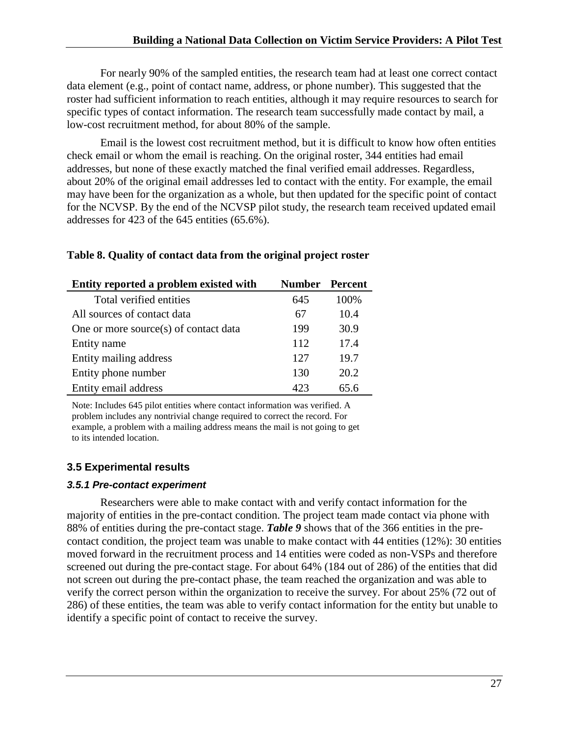<span id="page-27-0"></span>For nearly 90% of the sampled entities, the research team had at least one correct contact data element (e.g., point of contact name, address, or phone number). This suggested that the roster had sufficient information to reach entities, although it may require resources to search for specific types of contact information. The research team successfully made contact by mail, a low-cost recruitment method, for about 80% of the sample.

Email is the lowest cost recruitment method, but it is difficult to know how often entities check email or whom the email is reaching. On the original roster, 344 entities had email addresses, but none of these exactly matched the final verified email addresses. Regardless, about 20% of the original email addresses led to contact with the entity. For example, the email may have been for the organization as a whole, but then updated for the specific point of contact for the NCVSP. By the end of the NCVSP pilot study, the research team received updated email addresses for 423 of the 645 entities (65.6%).

| Entity reported a problem existed with | <b>Number</b> | Percent |
|----------------------------------------|---------------|---------|
| Total verified entities                | 645           | 100%    |
| All sources of contact data            | 67            | 10.4    |
| One or more source(s) of contact data  | 199           | 30.9    |
| Entity name                            | 112           | 17.4    |
| Entity mailing address                 | 127           | 19.7    |
| Entity phone number                    | 130           | 20.2    |
| Entity email address                   | 423           | 65.6    |

### **Table 8. Quality of contact data from the original project roster**

Note: Includes 645 pilot entities where contact information was verified. A problem includes any nontrivial change required to correct the record. For example, a problem with a mailing address means the mail is not going to get to its intended location.

## **3.5 Experimental results**

### *3.5.1 Pre-contact experiment*

Researchers were able to make contact with and verify contact information for the majority of entities in the pre-contact condition. The project team made contact via phone with 88% of entities during the pre-contact stage. *Table 9* shows that of the 366 entities in the precontact condition, the project team was unable to make contact with 44 entities (12%): 30 entities moved forward in the recruitment process and 14 entities were coded as non-VSPs and therefore screened out during the pre-contact stage. For about 64% (184 out of 286) of the entities that did not screen out during the pre-contact phase, the team reached the organization and was able to verify the correct person within the organization to receive the survey. For about 25% (72 out of 286) of these entities, the team was able to verify contact information for the entity but unable to identify a specific point of contact to receive the survey.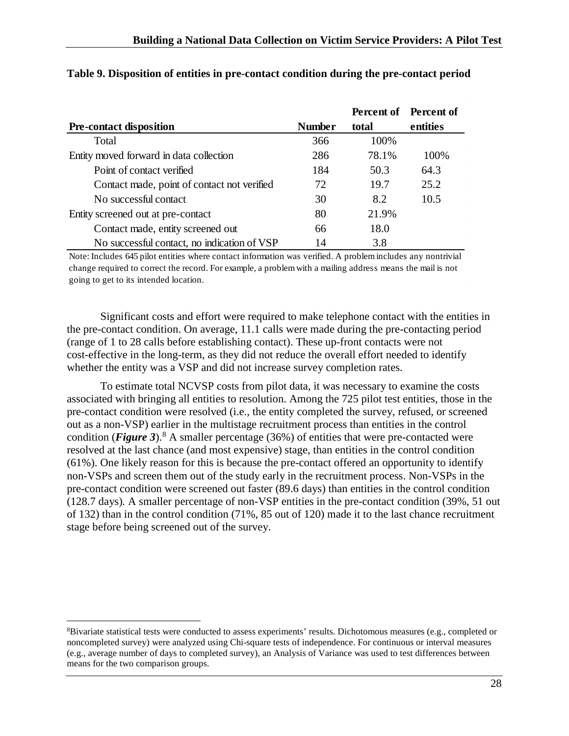|                                             |               | <b>Percent of</b> Percent of |          |
|---------------------------------------------|---------------|------------------------------|----------|
| <b>Pre-contact disposition</b>              | <b>Number</b> | total                        | entities |
| Total                                       | 366           | 100%                         |          |
| Entity moved forward in data collection     | 286           | 78.1%                        | 100%     |
| Point of contact verified                   | 184           | 50.3                         | 64.3     |
| Contact made, point of contact not verified | 72            | 19.7                         | 25.2     |
| No successful contact                       | 30            | 8.2                          | 10.5     |
| Entity screened out at pre-contact          | 80            | 21.9%                        |          |
| Contact made, entity screened out           | 66            | 18.0                         |          |
| No successful contact, no indication of VSP | 14            | 3.8                          |          |

#### **Table 9. Disposition of entities in pre-contact condition during the pre-contact period**

Note: Includes 645 pilot entities where contact information was verified. A problem includes any nontrivial change required to correct the record. For example, a problem with a mailing address means the mail is not going to get to its intended location.

Significant costs and effort were required to make telephone contact with the entities in the pre-contact condition. On average, 11.1 calls were made during the pre-contacting period (range of 1 to 28 calls before establishing contact). These up-front contacts were not cost-effective in the long-term, as they did not reduce the overall effort needed to identify whether the entity was a VSP and did not increase survey completion rates.

To estimate total NCVSP costs from pilot data, it was necessary to examine the costs associated with bringing all entities to resolution. Among the 725 pilot test entities, those in the pre-contact condition were resolved (i.e., the entity completed the survey, refused, or screened out as a non-VSP) earlier in the multistage recruitment process than entities in the control condition (*Figure 3*).<sup>[8](#page-28-0)</sup> A smaller percentage (36%) of entities that were pre-contacted were resolved at the last chance (and most expensive) stage, than entities in the control condition (61%). One likely reason for this is because the pre-contact offered an opportunity to identify non-VSPs and screen them out of the study early in the recruitment process. Non-VSPs in the pre-contact condition were screened out faster (89.6 days) than entities in the control condition (128.7 days)*.* A smaller percentage of non-VSP entities in the pre-contact condition (39%, 51 out of 132) than in the control condition (71%, 85 out of 120) made it to the last chance recruitment stage before being screened out of the survey.

<span id="page-28-0"></span> $\frac{1}{8}$  ${}^8$ Bivariate statistical tests were conducted to assess experiments' results. Dichotomous measures (e.g., completed or noncompleted survey) were analyzed using Chi-square tests of independence. For continuous or interval measures (e.g., average number of days to completed survey), an Analysis of Variance was used to test differences between means for the two comparison groups.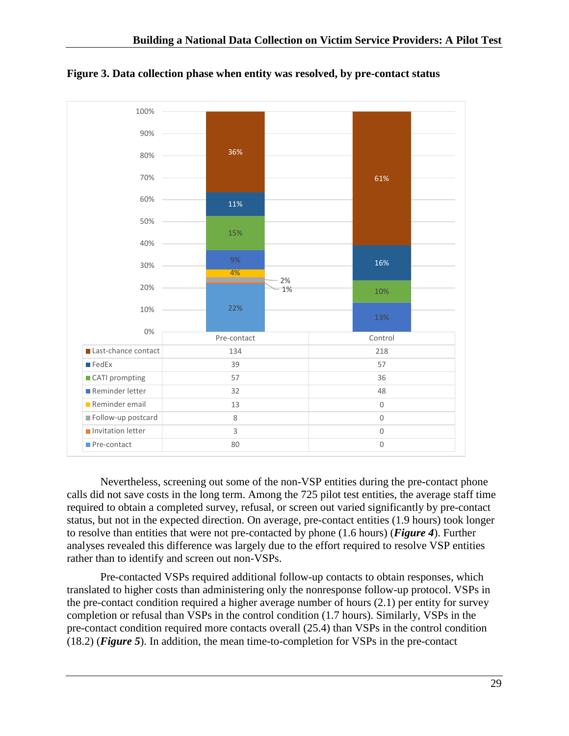

<span id="page-29-0"></span>**Figure 3. Data collection phase when entity was resolved, by pre-contact status**

Nevertheless, screening out some of the non-VSP entities during the pre-contact phone calls did not save costs in the long term. Among the 725 pilot test entities, the average staff time required to obtain a completed survey, refusal, or screen out varied significantly by pre-contact status, but not in the expected direction. On average, pre-contact entities (1.9 hours) took longer to resolve than entities that were not pre-contacted by phone (1.6 hours) (*Figure 4*). Further analyses revealed this difference was largely due to the effort required to resolve VSP entities rather than to identify and screen out non-VSPs.

Pre-contacted VSPs required additional follow-up contacts to obtain responses, which translated to higher costs than administering only the nonresponse follow-up protocol. VSPs in the pre-contact condition required a higher average number of hours (2.1) per entity for survey completion or refusal than VSPs in the control condition (1.7 hours). Similarly, VSPs in the pre-contact condition required more contacts overall (25.4) than VSPs in the control condition (18.2) (*Figure 5*). In addition, the mean time-to-completion for VSPs in the pre-contact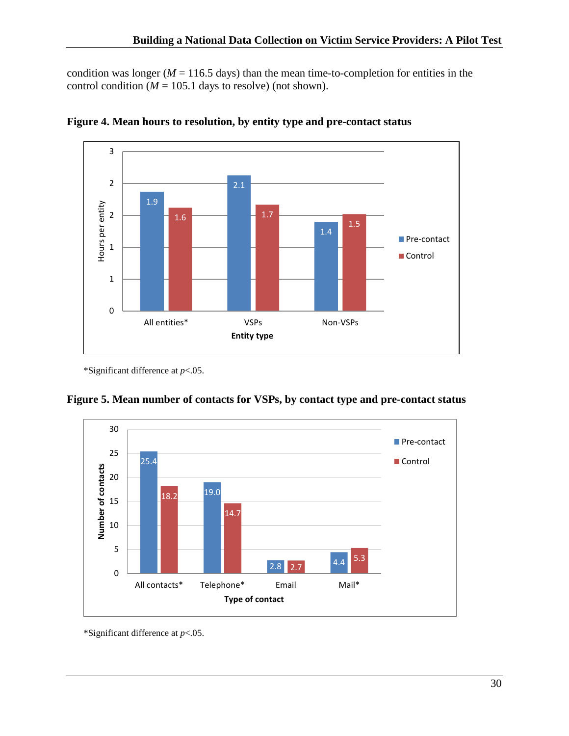condition was longer ( $M = 116.5$  days) than the mean time-to-completion for entities in the control condition ( $M = 105.1$  days to resolve) (not shown).



<span id="page-30-0"></span>

\*Significant difference at *p*<.05.

<span id="page-30-1"></span>



\*Significant difference at *p*<.05.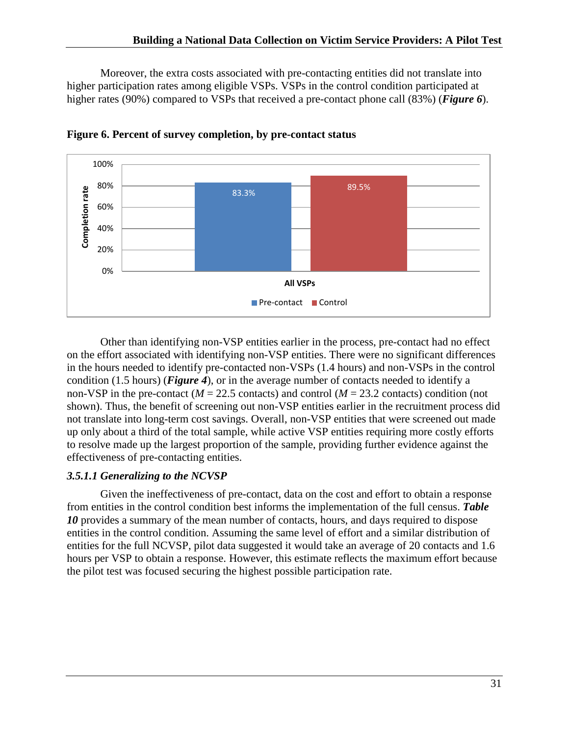Moreover, the extra costs associated with pre-contacting entities did not translate into higher participation rates among eligible VSPs. VSPs in the control condition participated at higher rates (90%) compared to VSPs that received a pre-contact phone call (83%) (*Figure 6*).



<span id="page-31-0"></span>**Figure 6. Percent of survey completion, by pre-contact status**

Other than identifying non-VSP entities earlier in the process, pre-contact had no effect on the effort associated with identifying non-VSP entities. There were no significant differences in the hours needed to identify pre-contacted non-VSPs (1.4 hours) and non-VSPs in the control condition (1.5 hours) (*Figure 4*), or in the average number of contacts needed to identify a non-VSP in the pre-contact ( $M = 22.5$  contacts) and control ( $M = 23.2$  contacts) condition (not shown). Thus, the benefit of screening out non-VSP entities earlier in the recruitment process did not translate into long-term cost savings. Overall, non-VSP entities that were screened out made up only about a third of the total sample, while active VSP entities requiring more costly efforts to resolve made up the largest proportion of the sample, providing further evidence against the effectiveness of pre-contacting entities.

## *3.5.1.1 Generalizing to the NCVSP*

Given the ineffectiveness of pre-contact, data on the cost and effort to obtain a response from entities in the control condition best informs the implementation of the full census. *Table*  10 provides a summary of the mean number of contacts, hours, and days required to dispose entities in the control condition. Assuming the same level of effort and a similar distribution of entities for the full NCVSP, pilot data suggested it would take an average of 20 contacts and 1.6 hours per VSP to obtain a response. However, this estimate reflects the maximum effort because the pilot test was focused securing the highest possible participation rate.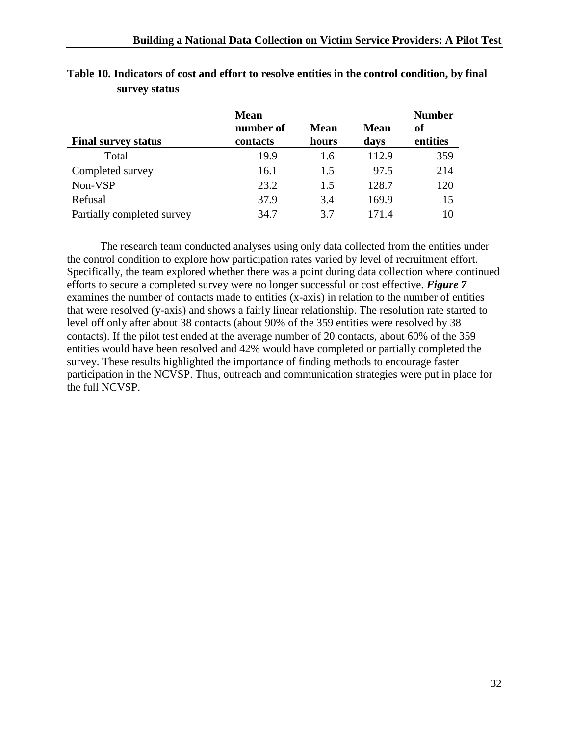|                            | <b>Mean</b>           |                      |                     | <b>Number</b>  |
|----------------------------|-----------------------|----------------------|---------------------|----------------|
| <b>Final survey status</b> | number of<br>contacts | <b>Mean</b><br>hours | <b>Mean</b><br>days | оf<br>entities |
| Total                      | 19.9                  | 1.6                  | 112.9               | 359            |
| Completed survey           | 16.1                  | 1.5                  | 97.5                | 214            |
| Non-VSP                    | 23.2                  | 1.5                  | 128.7               | 120            |
| Refusal                    | 37.9                  | 3.4                  | 169.9               | 15             |
| Partially completed survey | 34.7                  | 3.7                  | 171.4               | 10             |

## <span id="page-32-0"></span>**Table 10. Indicators of cost and effort to resolve entities in the control condition, by final survey status**

The research team conducted analyses using only data collected from the entities under the control condition to explore how participation rates varied by level of recruitment effort. Specifically, the team explored whether there was a point during data collection where continued efforts to secure a completed survey were no longer successful or cost effective. *Figure 7* examines the number of contacts made to entities (x-axis) in relation to the number of entities that were resolved (y-axis) and shows a fairly linear relationship. The resolution rate started to level off only after about 38 contacts (about 90% of the 359 entities were resolved by 38 contacts). If the pilot test ended at the average number of 20 contacts, about 60% of the 359 entities would have been resolved and 42% would have completed or partially completed the survey. These results highlighted the importance of finding methods to encourage faster participation in the NCVSP. Thus, outreach and communication strategies were put in place for the full NCVSP.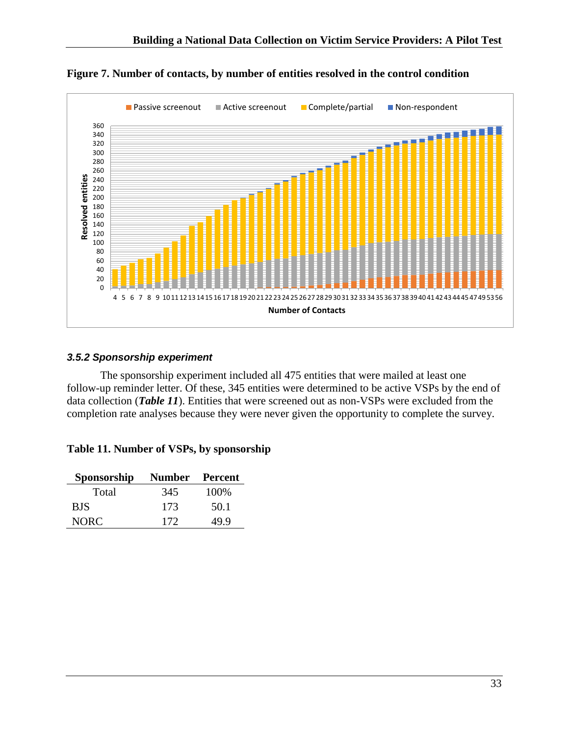

<span id="page-33-1"></span>**Figure 7. Number of contacts, by number of entities resolved in the control condition**

### <span id="page-33-0"></span>*3.5.2 Sponsorship experiment*

The sponsorship experiment included all 475 entities that were mailed at least one follow-up reminder letter. Of these, 345 entities were determined to be active VSPs by the end of data collection (*Table 11*). Entities that were screened out as non-VSPs were excluded from the completion rate analyses because they were never given the opportunity to complete the survey.

<span id="page-33-2"></span>

|  |  |  |  |  | Table 11. Number of VSPs, by sponsorship |
|--|--|--|--|--|------------------------------------------|
|--|--|--|--|--|------------------------------------------|

| Sponsorship | Number Percent |       |
|-------------|----------------|-------|
| Total       | 345            | 100\% |
| <b>BJS</b>  | 173            | 50.1  |
| NORC.       | 172            | 49.9  |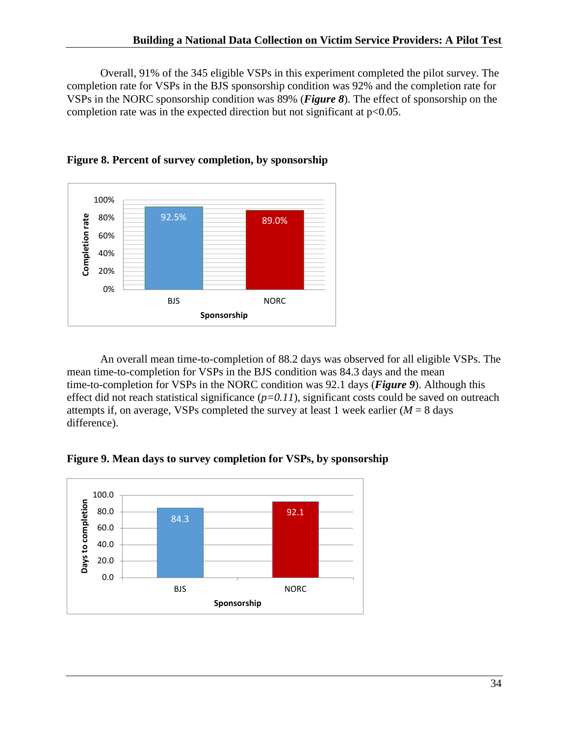Overall, 91% of the 345 eligible VSPs in this experiment completed the pilot survey. The completion rate for VSPs in the BJS sponsorship condition was 92% and the completion rate for VSPs in the NORC sponsorship condition was 89% (*Figure 8*). The effect of sponsorship on the completion rate was in the expected direction but not significant at  $p<0.05$ .



<span id="page-34-0"></span>

An overall mean time-to-completion of 88.2 days was observed for all eligible VSPs. The mean time-to-completion for VSPs in the BJS condition was 84.3 days and the mean time-to-completion for VSPs in the NORC condition was 92.1 days (*Figure 9*). Although this effect did not reach statistical significance  $(p=0.11)$ , significant costs could be saved on outreach attempts if, on average, VSPs completed the survey at least 1 week earlier  $(M = 8$  days difference).

<span id="page-34-1"></span>**Figure 9. Mean days to survey completion for VSPs, by sponsorship**

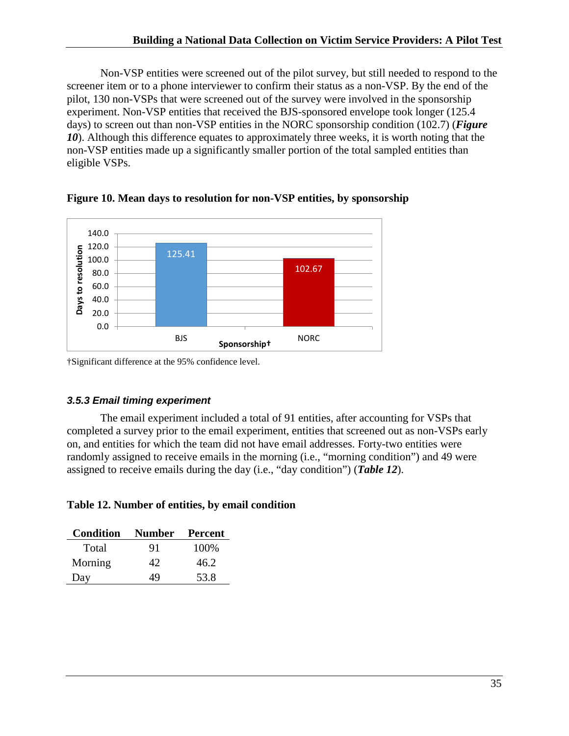Non-VSP entities were screened out of the pilot survey, but still needed to respond to the screener item or to a phone interviewer to confirm their status as a non-VSP. By the end of the pilot, 130 non-VSPs that were screened out of the survey were involved in the sponsorship experiment. Non-VSP entities that received the BJS-sponsored envelope took longer (125.4 days) to screen out than non-VSP entities in the NORC sponsorship condition (102.7) (*Figure*  10). Although this difference equates to approximately three weeks, it is worth noting that the non-VSP entities made up a significantly smaller portion of the total sampled entities than eligible VSPs.



<span id="page-35-1"></span>**Figure 10. Mean days to resolution for non-VSP entities, by sponsorship** 

†Significant difference at the 95% confidence level.

### <span id="page-35-0"></span>*3.5.3 Email timing experiment*

The email experiment included a total of 91 entities, after accounting for VSPs that completed a survey prior to the email experiment, entities that screened out as non-VSPs early on, and entities for which the team did not have email addresses. Forty-two entities were randomly assigned to receive emails in the morning (i.e., "morning condition") and 49 were assigned to receive emails during the day (i.e., "day condition") (*Table 12*).

### <span id="page-35-2"></span>**Table 12. Number of entities, by email condition**

| <b>Condition</b> | <b>Number</b> | Percent |
|------------------|---------------|---------|
| Total            | 91            | 100\%   |
| Morning          | 42            | 46.2    |
| Day              | 49            | 53.8    |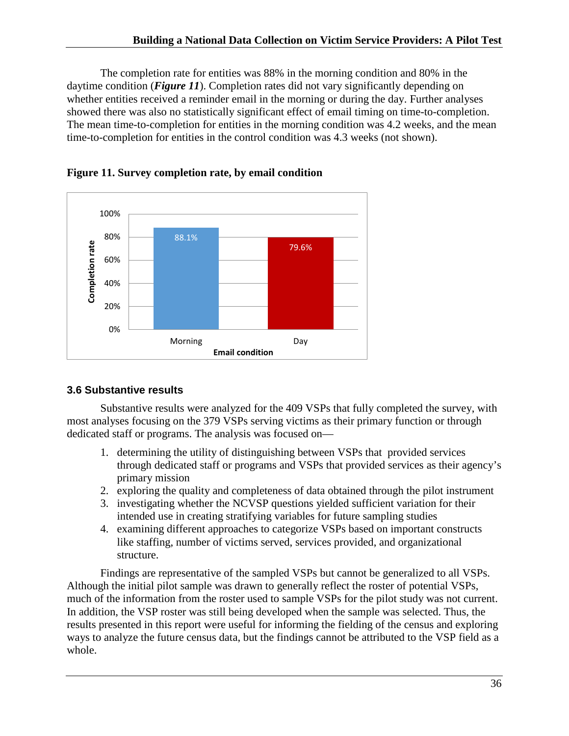The completion rate for entities was 88% in the morning condition and 80% in the daytime condition (*Figure 11*). Completion rates did not vary significantly depending on whether entities received a reminder email in the morning or during the day. Further analyses showed there was also no statistically significant effect of email timing on time-to-completion. The mean time-to-completion for entities in the morning condition was 4.2 weeks, and the mean time-to-completion for entities in the control condition was 4.3 weeks (not shown).



<span id="page-36-1"></span>

### <span id="page-36-0"></span>**3.6 Substantive results**

Substantive results were analyzed for the 409 VSPs that fully completed the survey, with most analyses focusing on the 379 VSPs serving victims as their primary function or through dedicated staff or programs. The analysis was focused on—

- 1. determining the utility of distinguishing between VSPs that provided services through dedicated staff or programs and VSPs that provided services as their agency's primary mission
- 2. exploring the quality and completeness of data obtained through the pilot instrument
- 3. investigating whether the NCVSP questions yielded sufficient variation for their intended use in creating stratifying variables for future sampling studies
- 4. examining different approaches to categorize VSPs based on important constructs like staffing, number of victims served, services provided, and organizational structure.

Findings are representative of the sampled VSPs but cannot be generalized to all VSPs. Although the initial pilot sample was drawn to generally reflect the roster of potential VSPs, much of the information from the roster used to sample VSPs for the pilot study was not current. In addition, the VSP roster was still being developed when the sample was selected. Thus, the results presented in this report were useful for informing the fielding of the census and exploring ways to analyze the future census data, but the findings cannot be attributed to the VSP field as a whole.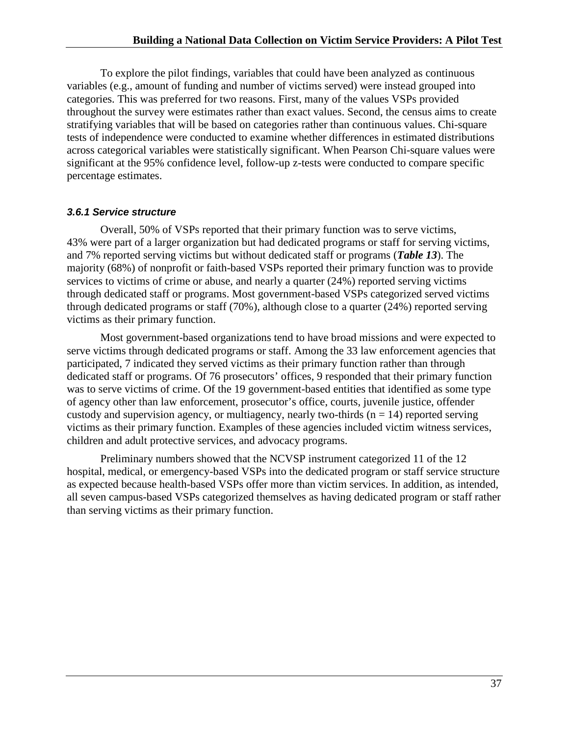To explore the pilot findings, variables that could have been analyzed as continuous variables (e.g., amount of funding and number of victims served) were instead grouped into categories. This was preferred for two reasons. First, many of the values VSPs provided throughout the survey were estimates rather than exact values. Second, the census aims to create stratifying variables that will be based on categories rather than continuous values. Chi-square tests of independence were conducted to examine whether differences in estimated distributions across categorical variables were statistically significant. When Pearson Chi-square values were significant at the 95% confidence level, follow-up z-tests were conducted to compare specific percentage estimates.

#### <span id="page-37-0"></span>*3.6.1 Service structure*

Overall, 50% of VSPs reported that their primary function was to serve victims, 43% were part of a larger organization but had dedicated programs or staff for serving victims, and 7% reported serving victims but without dedicated staff or programs (*Table 13*). The majority (68%) of nonprofit or faith-based VSPs reported their primary function was to provide services to victims of crime or abuse, and nearly a quarter (24%) reported serving victims through dedicated staff or programs. Most government-based VSPs categorized served victims through dedicated programs or staff (70%), although close to a quarter (24%) reported serving victims as their primary function.

Most government-based organizations tend to have broad missions and were expected to serve victims through dedicated programs or staff. Among the 33 law enforcement agencies that participated, 7 indicated they served victims as their primary function rather than through dedicated staff or programs. Of 76 prosecutors' offices, 9 responded that their primary function was to serve victims of crime. Of the 19 government-based entities that identified as some type of agency other than law enforcement, prosecutor's office, courts, juvenile justice, offender custody and supervision agency, or multiagency, nearly two-thirds ( $n = 14$ ) reported serving victims as their primary function. Examples of these agencies included victim witness services, children and adult protective services, and advocacy programs.

Preliminary numbers showed that the NCVSP instrument categorized 11 of the 12 hospital, medical, or emergency-based VSPs into the dedicated program or staff service structure as expected because health-based VSPs offer more than victim services. In addition, as intended, all seven campus-based VSPs categorized themselves as having dedicated program or staff rather than serving victims as their primary function.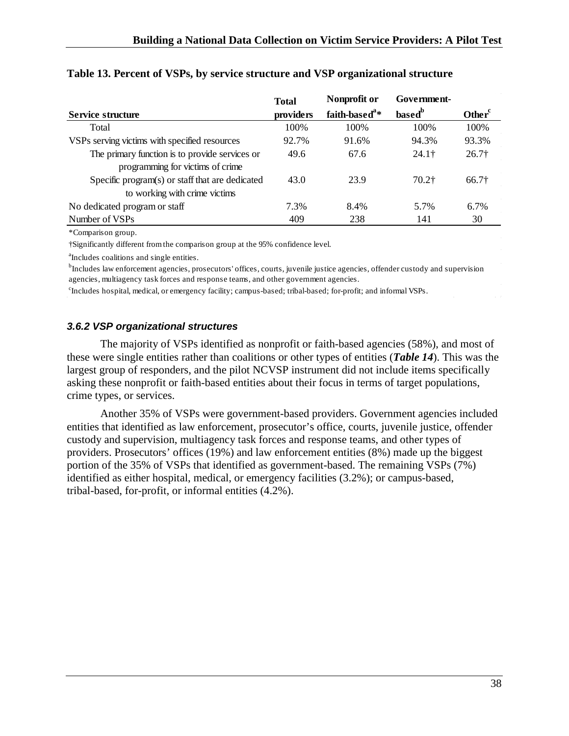|                                                 | <b>Total</b> | Nonprofit or              | Government-        |                    |
|-------------------------------------------------|--------------|---------------------------|--------------------|--------------------|
| Service structure                               | providers    | faith-based <sup>a*</sup> | based <sup>b</sup> | Other <sup>c</sup> |
| Total                                           | 100\%        | 100\%                     | 100\%              | 100\%              |
| VSPs serving victims with specified resources   | 92.7%        | 91.6%                     | 94.3%              | 93.3%              |
| The primary function is to provide services or  | 49.6         | 67.6                      | 24.1 <sup>†</sup>  | 26.7 <sup>†</sup>  |
| programming for victims of crime                |              |                           |                    |                    |
| Specific program(s) or staff that are dedicated | 43.0         | 23.9                      | $70.2+$            | 66.7†              |
| to working with crime victims                   |              |                           |                    |                    |
| No dedicated program or staff                   | 7.3%         | 8.4%                      | 5.7%               | $6.7\%$            |
| Number of VSPs                                  | 409          | 238                       | 141                | 30                 |

#### **Table 13. Percent of VSPs, by service structure and VSP organizational structure**

\*Comparison group.

†Significantly different from the comparison group at the 95% confidence level.

<sup>a</sup>Includes coalitions and single entities.

<sup>b</sup>Includes law enforcement agencies, prosecutors' offices, courts, juvenile justice agencies, offender custody and supervision agencies, multiagency task forces and response teams, and other government agencies.

<span id="page-38-0"></span>c Includes hospital, medical, or emergency facility; campus-based; tribal-based; for-profit; and informal VSPs.

#### *3.6.2 VSP organizational structures*

The majority of VSPs identified as nonprofit or faith-based agencies (58%), and most of these were single entities rather than coalitions or other types of entities (*Table 14*). This was the largest group of responders, and the pilot NCVSP instrument did not include items specifically asking these nonprofit or faith-based entities about their focus in terms of target populations, crime types, or services.

Another 35% of VSPs were government-based providers. Government agencies included entities that identified as law enforcement, prosecutor's office, courts, juvenile justice, offender custody and supervision, multiagency task forces and response teams, and other types of providers. Prosecutors' offices (19%) and law enforcement entities (8%) made up the biggest portion of the 35% of VSPs that identified as government-based. The remaining VSPs (7%) identified as either hospital, medical, or emergency facilities (3.2%); or campus-based, tribal-based, for-profit, or informal entities (4.2%).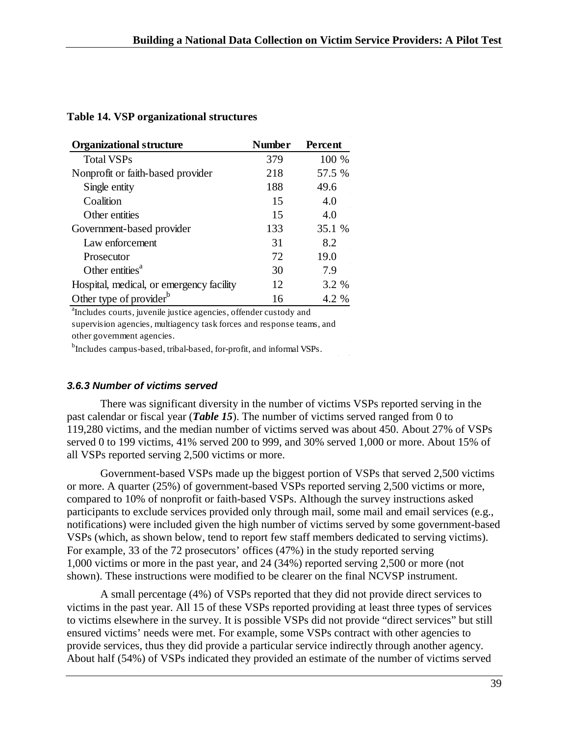<span id="page-39-1"></span>

|  |  | <b>Table 14. VSP organizational structures</b> |  |
|--|--|------------------------------------------------|--|
|--|--|------------------------------------------------|--|

| <b>Organizational structure</b>          | <b>Number</b> | <b>Percent</b> |
|------------------------------------------|---------------|----------------|
| <b>Total VSPs</b>                        | 379           | 100 %          |
| Nonprofit or faith-based provider        | 218           | 57.5 %         |
| Single entity                            | 188           | 49.6           |
| Coalition                                | 15            | 4.0            |
| Other entities                           | 15            | 4.0            |
| Government-based provider                | 133           | 35.1 %         |
| Law enforcement                          | 31            | 8.2            |
| Prosecutor                               | 72            | 19.0           |
| Other entities <sup>a</sup>              | 30            | 7.9            |
| Hospital, medical, or emergency facility | 12            | 3.2 %          |
| Other type of provider <sup>b</sup>      | 16            | 4.2 %          |

a Includes courts, juvenile justice agencies, offender custody and

supervision agencies, multiagency task forces and response teams, and other government agencies.

<sup>b</sup>Includes campus-based, tribal-based, for-profit, and informal VSPs.

### <span id="page-39-0"></span>*3.6.3 Number of victims served*

There was significant diversity in the number of victims VSPs reported serving in the past calendar or fiscal year (*Table 15*). The number of victims served ranged from 0 to 119,280 victims, and the median number of victims served was about 450. About 27% of VSPs served 0 to 199 victims, 41% served 200 to 999, and 30% served 1,000 or more. About 15% of all VSPs reported serving 2,500 victims or more.

Government-based VSPs made up the biggest portion of VSPs that served 2,500 victims or more. A quarter (25%) of government-based VSPs reported serving 2,500 victims or more, compared to 10% of nonprofit or faith-based VSPs. Although the survey instructions asked participants to exclude services provided only through mail, some mail and email services (e.g., notifications) were included given the high number of victims served by some government-based VSPs (which, as shown below, tend to report few staff members dedicated to serving victims). For example, 33 of the 72 prosecutors' offices (47%) in the study reported serving 1,000 victims or more in the past year, and 24 (34%) reported serving 2,500 or more (not shown). These instructions were modified to be clearer on the final NCVSP instrument.

A small percentage (4%) of VSPs reported that they did not provide direct services to victims in the past year. All 15 of these VSPs reported providing at least three types of services to victims elsewhere in the survey. It is possible VSPs did not provide "direct services" but still ensured victims' needs were met. For example, some VSPs contract with other agencies to provide services, thus they did provide a particular service indirectly through another agency. About half (54%) of VSPs indicated they provided an estimate of the number of victims served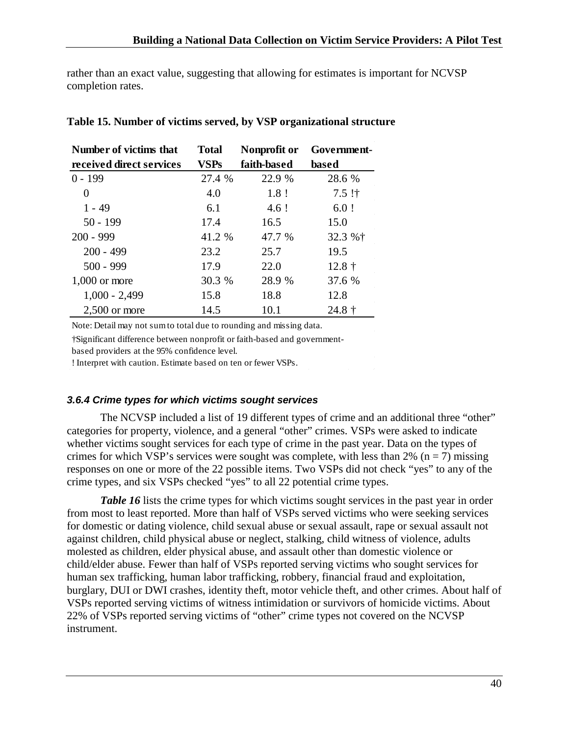rather than an exact value, suggesting that allowing for estimates is important for NCVSP completion rates.

| Number of victims that   | <b>Total</b> | Nonprofit or | Government-   |
|--------------------------|--------------|--------------|---------------|
| received direct services | <b>VSPs</b>  | faith-based  | based         |
| $0 - 199$                | 27.4 %       | 22.9 %       | 28.6 %        |
| $\theta$                 | 4.0          | $1.8$ !      | $7.5$ !†      |
| 1 - 49                   | 6.1          | 4.6!         | $6.0$ !       |
| $50 - 199$               | 17.4         | 16.5         | 15.0          |
| $200 - 999$              | 41.2 %       | 47.7 %       | 32.3 %†       |
| $200 - 499$              | 23.2         | 25.7         | 19.5          |
| $500 - 999$              | 17.9         | 22.0         | $12.8\dagger$ |
| $1,000$ or more          | 30.3 %       | 28.9 %       | 37.6 %        |
| $1,000 - 2,499$          | 15.8         | 18.8         | 12.8          |
| $2,500$ or more          | 14.5         | 10.1         | $24.8 \t{+}$  |

#### <span id="page-40-1"></span>**Table 15. Number of victims served, by VSP organizational structure**

Note: Detail may not sum to total due to rounding and missing data.

†Significant difference between nonprofit or faith-based and government-

based providers at the 95% confidence level.

! Interpret with caution. Estimate based on ten or fewer VSPs.

#### <span id="page-40-0"></span>*3.6.4 Crime types for which victims sought services*

The NCVSP included a list of 19 different types of crime and an additional three "other" categories for property, violence, and a general "other" crimes. VSPs were asked to indicate whether victims sought services for each type of crime in the past year. Data on the types of crimes for which VSP's services were sought was complete, with less than 2% ( $n = 7$ ) missing responses on one or more of the 22 possible items. Two VSPs did not check "yes" to any of the crime types, and six VSPs checked "yes" to all 22 potential crime types.

*Table* 16 lists the crime types for which victims sought services in the past year in order from most to least reported. More than half of VSPs served victims who were seeking services for domestic or dating violence, child sexual abuse or sexual assault, rape or sexual assault not against children, child physical abuse or neglect, stalking, child witness of violence, adults molested as children, elder physical abuse, and assault other than domestic violence or child/elder abuse. Fewer than half of VSPs reported serving victims who sought services for human sex trafficking, human labor trafficking, robbery, financial fraud and exploitation, burglary, DUI or DWI crashes, identity theft, motor vehicle theft, and other crimes. About half of VSPs reported serving victims of witness intimidation or survivors of homicide victims. About 22% of VSPs reported serving victims of "other" crime types not covered on the NCVSP instrument.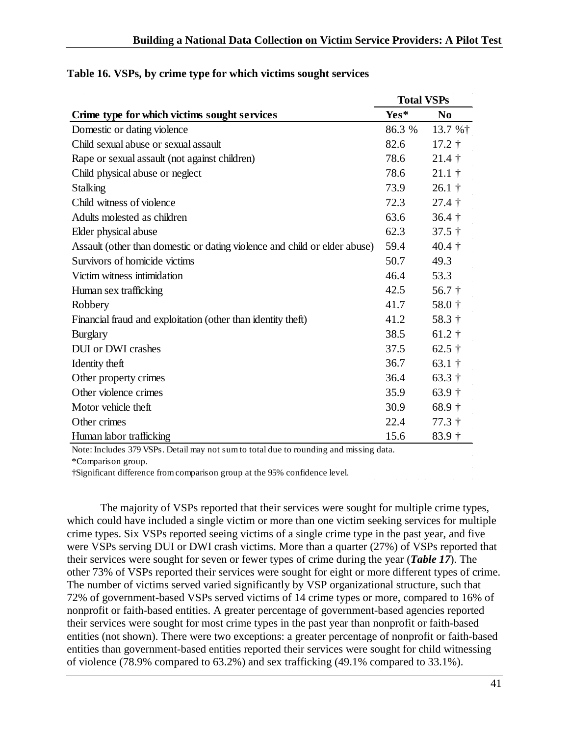|                                                                           |        | <b>Total VSPs</b>       |  |  |
|---------------------------------------------------------------------------|--------|-------------------------|--|--|
| Crime type for which victims sought services                              | Yes*   | N <sub>0</sub>          |  |  |
| Domestic or dating violence                                               | 86.3 % | 13.7 % $\dagger$        |  |  |
| Child sexual abuse or sexual assault                                      | 82.6   | $17.2 \text{ }^{\circ}$ |  |  |
| Rape or sexual assault (not against children)                             | 78.6   | $21.4 \dagger$          |  |  |
| Child physical abuse or neglect                                           | 78.6   | $21.1 \dagger$          |  |  |
| <b>Stalking</b>                                                           | 73.9   | $26.1$ †                |  |  |
| Child witness of violence                                                 | 72.3   | $27.4\dagger$           |  |  |
| Adults molested as children                                               | 63.6   | $36.4\dagger$           |  |  |
| Elder physical abuse                                                      | 62.3   | $37.5 \text{ }^{\circ}$ |  |  |
| Assault (other than domestic or dating violence and child or elder abuse) | 59.4   | $40.4$ †                |  |  |
| Survivors of homicide victims                                             | 50.7   | 49.3                    |  |  |
| Victim witness intimidation                                               | 46.4   | 53.3                    |  |  |
| Human sex trafficking                                                     | 42.5   | $56.7 +$                |  |  |
| Robbery                                                                   | 41.7   | 58.0 $\dagger$          |  |  |
| Financial fraud and exploitation (other than identity theft)              | 41.2   | 58.3 $\dagger$          |  |  |
| <b>Burglary</b>                                                           | 38.5   | $61.2 \dagger$          |  |  |
| DUI or DWI crashes                                                        | 37.5   | 62.5 $\dagger$          |  |  |
| Identity theft                                                            | 36.7   | 63.1 $\dagger$          |  |  |
| Other property crimes                                                     | 36.4   | 63.3 $\dagger$          |  |  |
| Other violence crimes                                                     | 35.9   | $63.9\dagger$           |  |  |
| Motor vehicle theft                                                       | 30.9   | $68.9\dagger$           |  |  |
| Other crimes                                                              | 22.4   | $77.3 \text{ }^{\circ}$ |  |  |
| Human labor trafficking                                                   | 15.6   | $83.9 +$                |  |  |

#### <span id="page-41-0"></span>**Table 16. VSPs, by crime type for which victims sought services**

Note: Includes 379 VSPs. Detail may not sum to total due to rounding and missing data.

\*Comparison group.

†Significant difference from comparison group at the 95% confidence level.

The majority of VSPs reported that their services were sought for multiple crime types, which could have included a single victim or more than one victim seeking services for multiple crime types. Six VSPs reported seeing victims of a single crime type in the past year, and five were VSPs serving DUI or DWI crash victims. More than a quarter (27%) of VSPs reported that their services were sought for seven or fewer types of crime during the year (*Table 17*). The other 73% of VSPs reported their services were sought for eight or more different types of crime. The number of victims served varied significantly by VSP organizational structure, such that 72% of government-based VSPs served victims of 14 crime types or more, compared to 16% of nonprofit or faith-based entities. A greater percentage of government-based agencies reported their services were sought for most crime types in the past year than nonprofit or faith-based entities (not shown). There were two exceptions: a greater percentage of nonprofit or faith-based entities than government-based entities reported their services were sought for child witnessing of violence (78.9% compared to 63.2%) and sex trafficking (49.1% compared to 33.1%).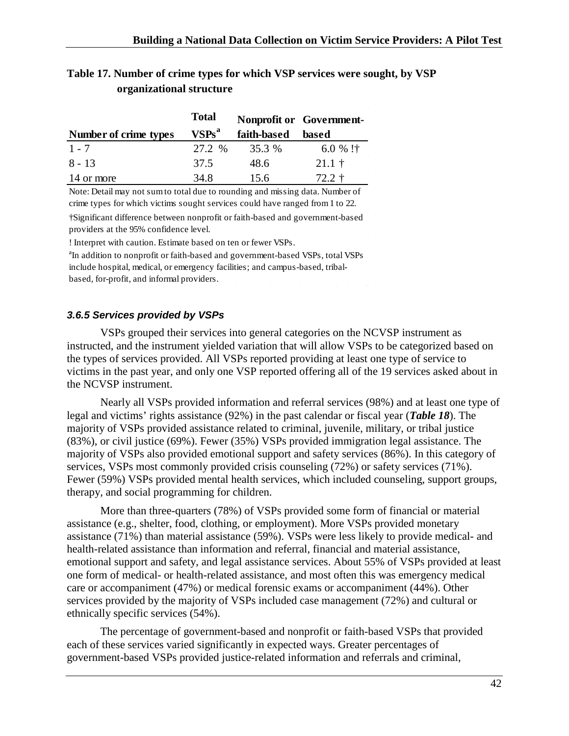<span id="page-42-1"></span>

| Table 17. Number of crime types for which VSP services were sought, by VSP |  |  |
|----------------------------------------------------------------------------|--|--|
| organizational structure                                                   |  |  |

|                       | <b>Total</b>      |             | Nonprofit or Government- |
|-----------------------|-------------------|-------------|--------------------------|
| Number of crime types | VSPs <sup>a</sup> | faith-based | based                    |
| $1 - 7$               | 27.2 %            | 35.3 %      | 6.0 % !†                 |
| $8 - 13$              | 37.5              | 48.6        | $21.1 \;{\rm \ddagger}$  |
| 14 or more            | 34.8              | 15.6        | $72.2 \pm$               |

Note: Detail may not sum to total due to rounding and missing data. Number of crime types for which victims sought services could have ranged from 1 to 22.

†Significant difference between nonprofit or faith-based and government-based providers at the 95% confidence level.

! Interpret with caution. Estimate based on ten or fewer VSPs.

<sup>a</sup>In addition to nonprofit or faith-based and government-based VSPs, total VSPs include hospital, medical, or emergency facilities; and campus-based, tribalbased, for-profit, and informal providers.

#### <span id="page-42-0"></span>*3.6.5 Services provided by VSPs*

VSPs grouped their services into general categories on the NCVSP instrument as instructed, and the instrument yielded variation that will allow VSPs to be categorized based on the types of services provided. All VSPs reported providing at least one type of service to victims in the past year, and only one VSP reported offering all of the 19 services asked about in the NCVSP instrument.

Nearly all VSPs provided information and referral services (98%) and at least one type of legal and victims' rights assistance (92%) in the past calendar or fiscal year (*Table 18*). The majority of VSPs provided assistance related to criminal, juvenile, military, or tribal justice (83%), or civil justice (69%). Fewer (35%) VSPs provided immigration legal assistance. The majority of VSPs also provided emotional support and safety services (86%). In this category of services, VSPs most commonly provided crisis counseling (72%) or safety services (71%). Fewer (59%) VSPs provided mental health services, which included counseling, support groups, therapy, and social programming for children.

More than three-quarters (78%) of VSPs provided some form of financial or material assistance (e.g., shelter, food, clothing, or employment). More VSPs provided monetary assistance (71%) than material assistance (59%). VSPs were less likely to provide medical- and health-related assistance than information and referral, financial and material assistance, emotional support and safety, and legal assistance services. About 55% of VSPs provided at least one form of medical- or health-related assistance, and most often this was emergency medical care or accompaniment (47%) or medical forensic exams or accompaniment (44%). Other services provided by the majority of VSPs included case management (72%) and cultural or ethnically specific services (54%).

The percentage of government-based and nonprofit or faith-based VSPs that provided each of these services varied significantly in expected ways. Greater percentages of government-based VSPs provided justice-related information and referrals and criminal,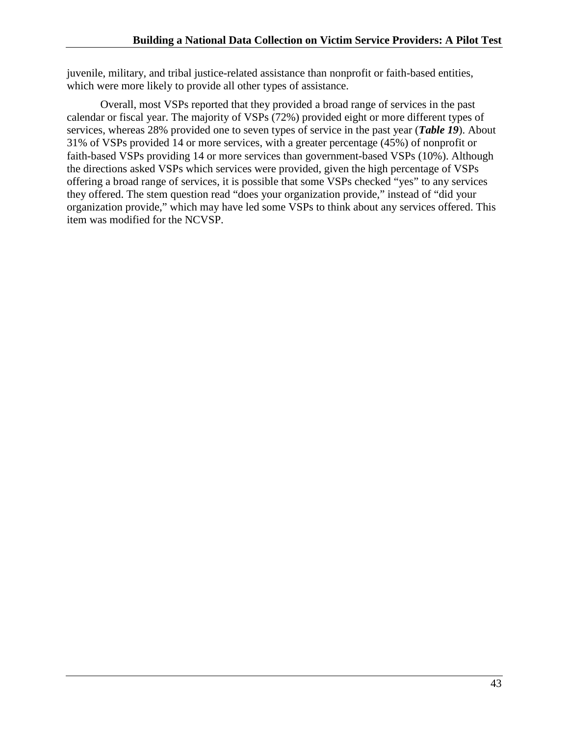juvenile, military, and tribal justice-related assistance than nonprofit or faith-based entities, which were more likely to provide all other types of assistance.

Overall, most VSPs reported that they provided a broad range of services in the past calendar or fiscal year. The majority of VSPs (72%) provided eight or more different types of services, whereas 28% provided one to seven types of service in the past year (*Table 19*). About 31% of VSPs provided 14 or more services, with a greater percentage (45%) of nonprofit or faith-based VSPs providing 14 or more services than government-based VSPs (10%). Although the directions asked VSPs which services were provided, given the high percentage of VSPs offering a broad range of services, it is possible that some VSPs checked "yes" to any services they offered. The stem question read "does your organization provide," instead of "did your organization provide," which may have led some VSPs to think about any services offered. This item was modified for the NCVSP.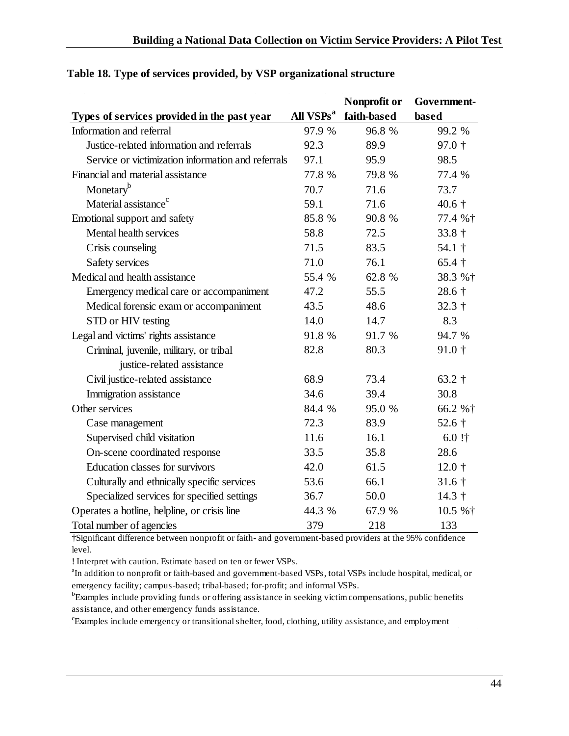|                                                    |                       | Nonprofit or | Government-             |
|----------------------------------------------------|-----------------------|--------------|-------------------------|
| Types of services provided in the past year        | All VSPs <sup>a</sup> | faith-based  | based                   |
| Information and referral                           | 97.9 %                | 96.8%        | 99.2 %                  |
| Justice-related information and referrals          | 92.3                  | 89.9         | $97.0 +$                |
| Service or victimization information and referrals | 97.1                  | 95.9         | 98.5                    |
| Financial and material assistance                  | 77.8 %                | 79.8 %       | 77.4 %                  |
| Monetary <sup>b</sup>                              | 70.7                  | 71.6         | 73.7                    |
| Material assistance <sup>c</sup>                   | 59.1                  | 71.6         | $40.6\dagger$           |
| Emotional support and safety                       | 85.8 %                | 90.8 %       | 77.4 %†                 |
| Mental health services                             | 58.8                  | 72.5         | $33.8 +$                |
| Crisis counseling                                  | 71.5                  | 83.5         | 54.1 $\dagger$          |
| Safety services                                    | 71.0                  | 76.1         | $65.4$ †                |
| Medical and health assistance                      | 55.4 %                | 62.8 %       | 38.3 %†                 |
| Emergency medical care or accompaniment            | 47.2                  | 55.5         | $28.6\dagger$           |
| Medical forensic exam or accompaniment             | 43.5                  | 48.6         | $32.3 +$                |
| STD or HIV testing                                 | 14.0                  | 14.7         | 8.3                     |
| Legal and victims' rights assistance               | 91.8 %                | 91.7 %       | 94.7 %                  |
| Criminal, juvenile, military, or tribal            | 82.8                  | 80.3         | $91.0 +$                |
| justice-related assistance                         |                       |              |                         |
| Civil justice-related assistance                   | 68.9                  | 73.4         | 63.2 $\dagger$          |
| Immigration assistance                             | 34.6                  | 39.4         | 30.8                    |
| Other services                                     | 84.4 %                | 95.0 %       | 66.2 %†                 |
| Case management                                    | 72.3                  | 83.9         | 52.6 $\dagger$          |
| Supervised child visitation                        | 11.6                  | 16.1         | $6.0$ !†                |
| On-scene coordinated response                      | 33.5                  | 35.8         | 28.6                    |
| <b>Education classes for survivors</b>             | 42.0                  | 61.5         | $12.0 \;{\rm \ddagger}$ |
| Culturally and ethnically specific services        | 53.6                  | 66.1         | $31.6 \;{\dagger}$      |
| Specialized services for specified settings        | 36.7                  | 50.0         | $14.3 \dagger$          |
| Operates a hotline, helpline, or crisis line       | 44.3 %                | 67.9 %       | 10.5 %†                 |
| Total number of agencies                           | 379                   | 218          | 133                     |

## <span id="page-44-0"></span>**Table 18. Type of services provided, by VSP organizational structure**

†Significant difference between nonprofit or faith- and government-based providers at the 95% confidence level.

! Interpret with caution. Estimate based on ten or fewer VSPs.

<sup>a</sup>In addition to nonprofit or faith-based and government-based VSPs, total VSPs include hospital, medical, or emergency facility; campus-based; tribal-based; for-profit; and informal VSPs.

<sup>b</sup>Examples include providing funds or offering assistance in seeking victim compensations, public benefits assistance, and other emergency funds assistance.

c Examples include emergency or transitional shelter, food, clothing, utility assistance, and employment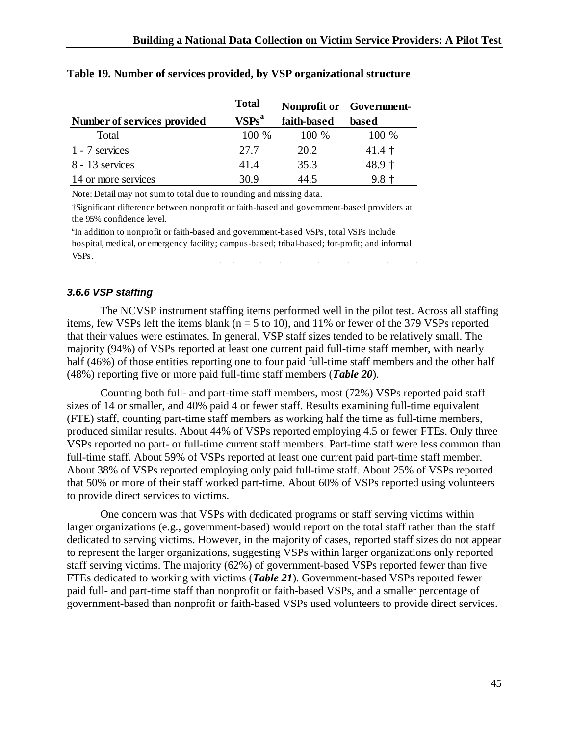|                             | <b>Total</b> |             | Nonprofit or Government- |
|-----------------------------|--------------|-------------|--------------------------|
| Number of services provided | $VSPs^a$     | faith-based | based                    |
| Total                       | 100 %        | 100 %       | 100 %                    |
| 1 - 7 services              | 27.7         | 20.2        | $41.4 \;{\rm \ddagger}$  |
| 8 - 13 services             | 41.4         | 35.3        | 48.9 †                   |
| 14 or more services         | 30.9         | 44.5        | $9.8 +$                  |

#### <span id="page-45-1"></span>**Table 19. Number of services provided, by VSP organizational structure**

Note: Detail may not sum to total due to rounding and missing data.

†Significant difference between nonprofit or faith-based and government-based providers at the 95% confidence level.

<sup>a</sup>In addition to nonprofit or faith-based and government-based VSPs, total VSPs include hospital, medical, or emergency facility; campus-based; tribal-based; for-profit; and informal VSPs.

### <span id="page-45-0"></span>*3.6.6 VSP staffing*

The NCVSP instrument staffing items performed well in the pilot test. Across all staffing items, few VSPs left the items blank ( $n = 5$  to 10), and 11% or fewer of the 379 VSPs reported that their values were estimates. In general, VSP staff sizes tended to be relatively small. The majority (94%) of VSPs reported at least one current paid full-time staff member, with nearly half (46%) of those entities reporting one to four paid full-time staff members and the other half (48%) reporting five or more paid full-time staff members (*Table 20*).

Counting both full- and part-time staff members, most (72%) VSPs reported paid staff sizes of 14 or smaller, and 40% paid 4 or fewer staff. Results examining full-time equivalent (FTE) staff, counting part-time staff members as working half the time as full-time members, produced similar results. About 44% of VSPs reported employing 4.5 or fewer FTEs. Only three VSPs reported no part- or full-time current staff members. Part-time staff were less common than full-time staff. About 59% of VSPs reported at least one current paid part-time staff member. About 38% of VSPs reported employing only paid full-time staff. About 25% of VSPs reported that 50% or more of their staff worked part-time. About 60% of VSPs reported using volunteers to provide direct services to victims.

One concern was that VSPs with dedicated programs or staff serving victims within larger organizations (e.g., government-based) would report on the total staff rather than the staff dedicated to serving victims. However, in the majority of cases, reported staff sizes do not appear to represent the larger organizations, suggesting VSPs within larger organizations only reported staff serving victims. The majority (62%) of government-based VSPs reported fewer than five FTEs dedicated to working with victims (*Table 21*). Government-based VSPs reported fewer paid full- and part-time staff than nonprofit or faith-based VSPs, and a smaller percentage of government-based than nonprofit or faith-based VSPs used volunteers to provide direct services.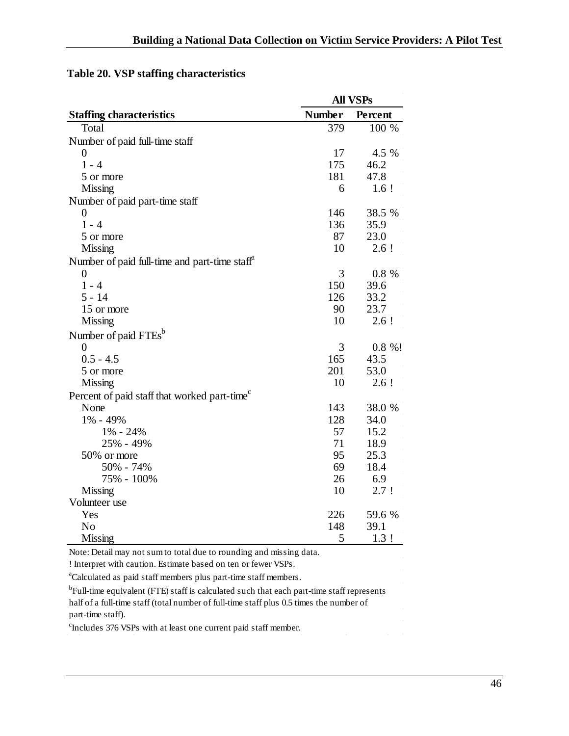|                                                           |               | <b>All VSPs</b> |
|-----------------------------------------------------------|---------------|-----------------|
| <b>Staffing characteristics</b>                           | <b>Number</b> | Percent         |
| Total                                                     | 379           | 100 %           |
| Number of paid full-time staff                            |               |                 |
| 0                                                         | 17            | 4.5 %           |
| $1 - 4$                                                   | 175           | 46.2            |
| 5 or more                                                 | 181           | 47.8            |
| <b>Missing</b>                                            | 6             | $1.6$ !         |
| Number of paid part-time staff                            |               |                 |
| $\overline{0}$                                            | 146           | 38.5 %          |
| $1 - 4$                                                   | 136           | 35.9            |
| 5 or more                                                 | 87            | 23.0            |
| <b>Missing</b>                                            | 10            | $2.6$ !         |
| Number of paid full-time and part-time staff <sup>"</sup> |               |                 |
| $\boldsymbol{0}$                                          | 3             | 0.8 %           |
| $1 - 4$                                                   | 150           | 39.6            |
| $5 - 14$                                                  | 126           | 33.2            |
| 15 or more                                                | 90            | 23.7            |
| <b>Missing</b>                                            | 10            | $2.6$ !         |
| Number of paid FTEs <sup>b</sup>                          |               |                 |
| $\boldsymbol{0}$                                          | 3             | $0.8 \%$ !      |
| $0.5 - 4.5$                                               | 165           | 43.5            |
| 5 or more                                                 | 201           | 53.0            |
| <b>Missing</b>                                            | 10            | 2.6!            |
| Percent of paid staff that worked part-time <sup>c</sup>  |               |                 |
| None                                                      | 143           | 38.0 %          |
| 1% - 49%                                                  | 128           | 34.0            |
| $1\% - 24\%$                                              | 57            | 15.2            |
| 25% - 49%                                                 | 71            | 18.9            |
| 50% or more                                               | 95            | 25.3            |
| 50% - 74%                                                 | 69            | 18.4            |
| 75% - 100%                                                | 26            | 6.9             |
| <b>Missing</b>                                            | 10            | 2.7!            |
| Volunteer use                                             |               |                 |
| Yes                                                       | 226           | 59.6 %          |
| N <sub>o</sub>                                            | 148           | 39.1            |
| <b>Missing</b>                                            | 5             | 1.3!            |

# <span id="page-46-0"></span>**Table 20. VSP staffing characteristics**

Note: Detail may not sum to total due to rounding and missing data.

! Interpret with caution. Estimate based on ten or fewer VSPs.

<sup>a</sup>Calculated as paid staff members plus part-time staff members.

<sup>b</sup>Full-time equivalent (FTE) staff is calculated such that each part-time staff represents half of a full-time staff (total number of full-time staff plus 0.5 times the number of part-time staff).

c Includes 376 VSPs with at least one current paid staff member.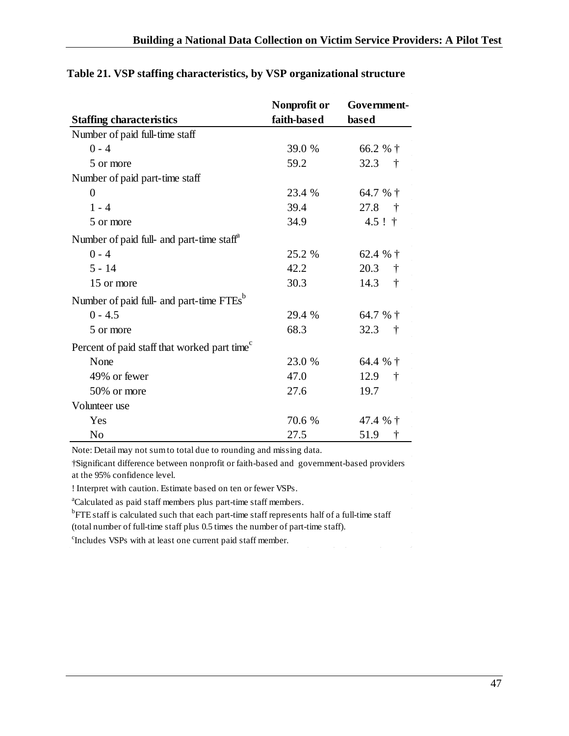|                                                          | Nonprofit or | Government-        |
|----------------------------------------------------------|--------------|--------------------|
| <b>Staffing characteristics</b>                          | faith-based  | based              |
| Number of paid full-time staff                           |              |                    |
| $0 - 4$                                                  | 39.0 %       | 66.2 % †           |
| 5 or more                                                | 59.2         | 32.3<br>$\dagger$  |
| Number of paid part-time staff                           |              |                    |
| $\theta$                                                 | 23.4 %       | 64.7 % $\dagger$   |
| $1 - 4$                                                  | 39.4         | 27.8<br>$\ddagger$ |
| 5 or more                                                | 34.9         | $4.5$ ! †          |
| Number of paid full- and part-time staff <sup>th</sup>   |              |                    |
| $0 - 4$                                                  | 25.2 %       | 62.4 % $\dagger$   |
| $5 - 14$                                                 | 42.2         | 20.3<br>$\dagger$  |
| 15 or more                                               | 30.3         | 14.3<br>$\dagger$  |
| Number of paid full- and part-time FTEs <sup>b</sup>     |              |                    |
| $0 - 4.5$                                                | 29.4 %       | 64.7 % †           |
| 5 or more                                                | 68.3         | 32.3<br>$\dagger$  |
| Percent of paid staff that worked part time <sup>c</sup> |              |                    |
| None                                                     | 23.0 %       | 64.4 % †           |
| 49% or fewer                                             | 47.0         | 12.9<br>$\dagger$  |
| 50% or more                                              | 27.6         | 19.7               |
| Volunteer use                                            |              |                    |
| Yes                                                      | 70.6 %       | 47.4 $%$ †         |
| N <sub>o</sub>                                           | 27.5         | 51.9<br>Ť          |

## <span id="page-47-0"></span>**Table 21. VSP staffing characteristics, by VSP organizational structure**

Note: Detail may not sum to total due to rounding and missing data.

†Significant difference between nonprofit or faith-based and government-based providers at the 95% confidence level.

! Interpret with caution. Estimate based on ten or fewer VSPs.

<sup>a</sup>Calculated as paid staff members plus part-time staff members.

<sup>b</sup>FTE staff is calculated such that each part-time staff represents half of a full-time staff (total number of full-time staff plus 0.5 times the number of part-time staff).

<sup>c</sup>Includes VSPs with at least one current paid staff member.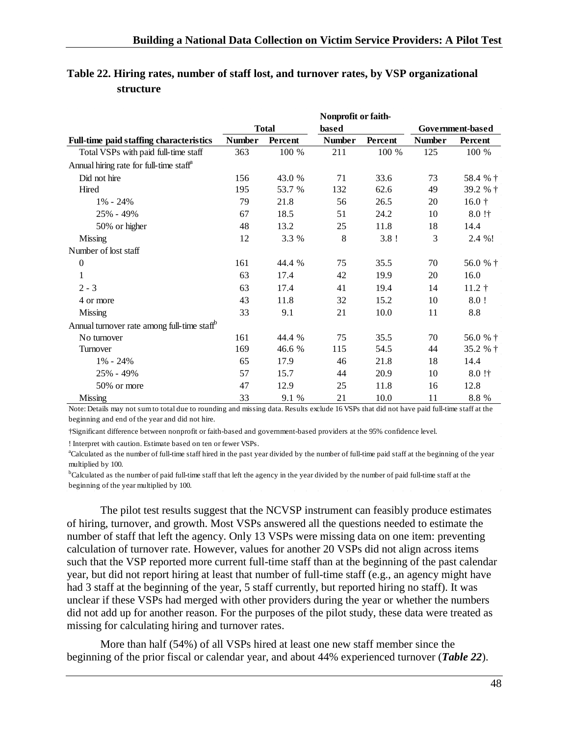|                                                         |               |              | Nonprofit or faith- |         |               |                         |
|---------------------------------------------------------|---------------|--------------|---------------------|---------|---------------|-------------------------|
|                                                         |               | <b>Total</b> | based               |         |               | Government-based        |
| <b>Full-time paid staffing characteristics</b>          | <b>Number</b> | Percent      | <b>Number</b>       | Percent | <b>Number</b> | Percent                 |
| Total VSPs with paid full-time staff                    | 363           | 100 %        | 211                 | 100 %   | 125           | 100 %                   |
| Annual hiring rate for full-time staff <sup>a</sup>     |               |              |                     |         |               |                         |
| Did not hire                                            | 156           | 43.0 %       | 71                  | 33.6    | 73            | 58.4 % †                |
| Hired                                                   | 195           | 53.7 %       | 132                 | 62.6    | 49            | 39.2 % †                |
| $1\% - 24\%$                                            | 79            | 21.8         | 56                  | 26.5    | 20            | $16.0 +$                |
| 25% - 49%                                               | 67            | 18.5         | 51                  | 24.2    | 10            | $8.0$ !†                |
| 50% or higher                                           | 48            | 13.2         | 25                  | 11.8    | 18            | 14.4                    |
| Missing                                                 | 12            | 3.3 %        | 8                   | 3.8!    | 3             | 2.4 %!                  |
| Number of lost staff                                    |               |              |                     |         |               |                         |
| $\boldsymbol{0}$                                        | 161           | 44.4 %       | 75                  | 35.5    | 70            | 56.0 % †                |
| $\mathbf{1}$                                            | 63            | 17.4         | 42                  | 19.9    | 20            | 16.0                    |
| $2 - 3$                                                 | 63            | 17.4         | 41                  | 19.4    | 14            | $11.2 \;{\rm \ddagger}$ |
| 4 or more                                               | 43            | 11.8         | 32                  | 15.2    | 10            | 8.0!                    |
| <b>Missing</b>                                          | 33            | 9.1          | 21                  | 10.0    | 11            | 8.8                     |
| Annual turnover rate among full-time staff <sup>b</sup> |               |              |                     |         |               |                         |
| No turnover                                             | 161           | 44.4 %       | 75                  | 35.5    | 70            | 56.0 % †                |
| Turnover                                                | 169           | 46.6 %       | 115                 | 54.5    | 44            | 35.2 % †                |
| $1\% - 24\%$                                            | 65            | 17.9         | 46                  | 21.8    | 18            | 14.4                    |
| 25% - 49%                                               | 57            | 15.7         | 44                  | 20.9    | 10            | $8.0$ !†                |
| 50% or more                                             | 47            | 12.9         | 25                  | 11.8    | 16            | 12.8                    |
| <b>Missing</b>                                          | 33            | 9.1 %        | 21                  | 10.0    | 11            | 8.8 %                   |

## <span id="page-48-0"></span>**Table 22. Hiring rates, number of staff lost, and turnover rates, by VSP organizational structure**

Note: Details may not sum to total due to rounding and missing data. Results exclude 16 VSPs that did not have paid full-time staff at the beginning and end of the year and did not hire.

†Significant difference between nonprofit or faith-based and government-based providers at the 95% confidence level.

! Interpret with caution. Estimate based on ten or fewer VSPs.

a Calculated as the number of full-time staff hired in the past year divided by the number of full-time paid staff at the beginning of the year multiplied by 100.

<sup>b</sup>Calculated as the number of paid full-time staff that left the agency in the year divided by the number of paid full-time staff at the beginning of the year multiplied by 100.

The pilot test results suggest that the NCVSP instrument can feasibly produce estimates of hiring, turnover, and growth. Most VSPs answered all the questions needed to estimate the number of staff that left the agency. Only 13 VSPs were missing data on one item: preventing calculation of turnover rate. However, values for another 20 VSPs did not align across items such that the VSP reported more current full-time staff than at the beginning of the past calendar year, but did not report hiring at least that number of full-time staff (e.g., an agency might have had 3 staff at the beginning of the year, 5 staff currently, but reported hiring no staff). It was unclear if these VSPs had merged with other providers during the year or whether the numbers did not add up for another reason. For the purposes of the pilot study, these data were treated as missing for calculating hiring and turnover rates.

More than half (54%) of all VSPs hired at least one new staff member since the beginning of the prior fiscal or calendar year, and about 44% experienced turnover (*Table 22*).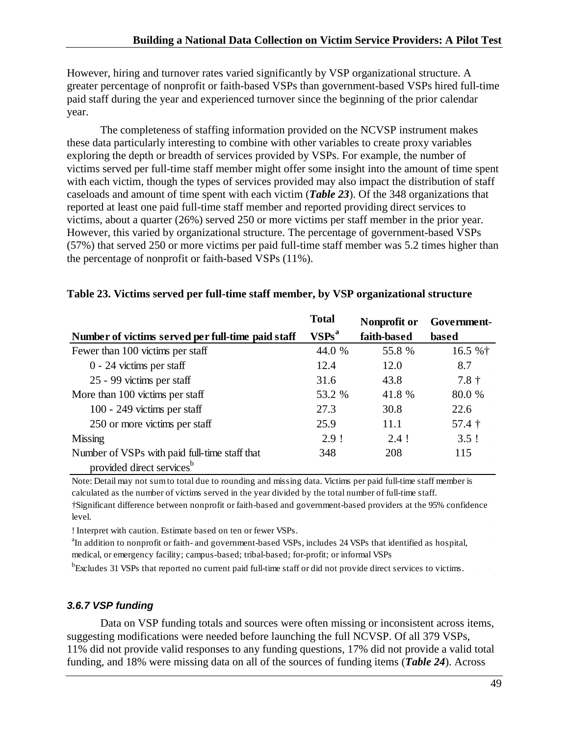However, hiring and turnover rates varied significantly by VSP organizational structure. A greater percentage of nonprofit or faith-based VSPs than government-based VSPs hired full-time paid staff during the year and experienced turnover since the beginning of the prior calendar year.

The completeness of staffing information provided on the NCVSP instrument makes these data particularly interesting to combine with other variables to create proxy variables exploring the depth or breadth of services provided by VSPs. For example, the number of victims served per full-time staff member might offer some insight into the amount of time spent with each victim, though the types of services provided may also impact the distribution of staff caseloads and amount of time spent with each victim (*Table 23*). Of the 348 organizations that reported at least one paid full-time staff member and reported providing direct services to victims, about a quarter (26%) served 250 or more victims per staff member in the prior year. However, this varied by organizational structure. The percentage of government-based VSPs (57%) that served 250 or more victims per paid full-time staff member was 5.2 times higher than the percentage of nonprofit or faith-based VSPs (11%).

|                                                                                        | <b>Total</b>      | Nonprofit or | Government-         |
|----------------------------------------------------------------------------------------|-------------------|--------------|---------------------|
| Number of victims served per full-time paid staff                                      | VSPs <sup>a</sup> | faith-based  | based               |
| Fewer than 100 victims per staff                                                       | 44.0 %            | 55.8 %       | 16.5 %†             |
| $0 - 24$ victims per staff                                                             | 12.4              | 12.0         | 8.7                 |
| 25 - 99 victims per staff                                                              | 31.6              | 43.8         | $7.8 +$             |
| More than 100 victims per staff                                                        | 53.2 %            | 41.8 %       | 80.0 %              |
| 100 - 249 victims per staff                                                            | 27.3              | 30.8         | 22.6                |
| 250 or more victims per staff                                                          | 25.9              | 11.1         | $57.4 \t{\text{+}}$ |
| Missing                                                                                | 2.9!              | $2.4$ !      | 3.5!                |
| Number of VSPs with paid full-time staff that<br>provided direct services <sup>b</sup> | 348               | 208          | 115                 |

### <span id="page-49-1"></span>**Table 23. Victims served per full-time staff member, by VSP organizational structure**

Note: Detail may not sum to total due to rounding and missing data. Victims per paid full-time staff member is calculated as the number of victims served in the year divided by the total number of full-time staff.

†Significant difference between nonprofit or faith-based and government-based providers at the 95% confidence level.

! Interpret with caution. Estimate based on ten or fewer VSPs.

<sup>a</sup>In addition to nonprofit or faith- and government-based VSPs, includes 24 VSPs that identified as hospital, medical, or emergency facility; campus-based; tribal-based; for-profit; or informal VSPs

<sup>b</sup>Excludes 31 VSPs that reported no current paid full-time staff or did not provide direct services to victims.

### <span id="page-49-0"></span>*3.6.7 VSP funding*

Data on VSP funding totals and sources were often missing or inconsistent across items, suggesting modifications were needed before launching the full NCVSP. Of all 379 VSPs, 11% did not provide valid responses to any funding questions, 17% did not provide a valid total funding, and 18% were missing data on all of the sources of funding items (*Table 24*). Across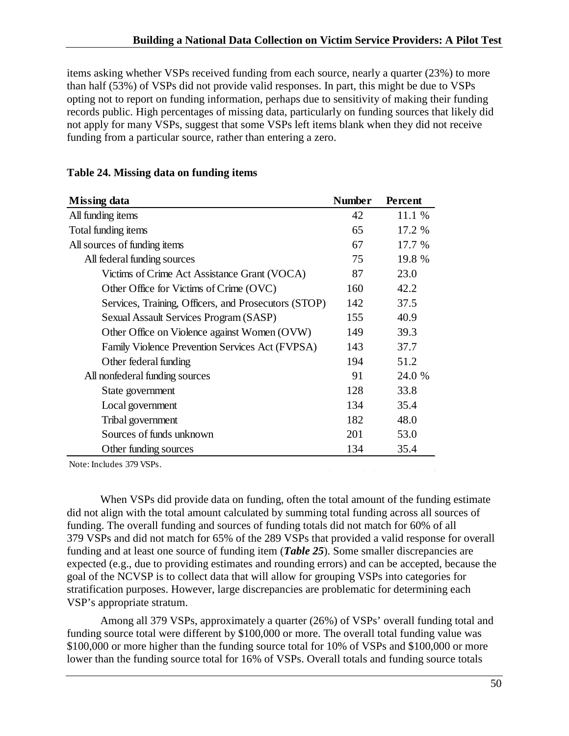items asking whether VSPs received funding from each source, nearly a quarter (23%) to more than half (53%) of VSPs did not provide valid responses. In part, this might be due to VSPs opting not to report on funding information, perhaps due to sensitivity of making their funding records public. High percentages of missing data, particularly on funding sources that likely did not apply for many VSPs, suggest that some VSPs left items blank when they did not receive funding from a particular source, rather than entering a zero.

| Missing data                                         | <b>Number</b> | Percent |
|------------------------------------------------------|---------------|---------|
| All funding items                                    | 42            | 11.1 %  |
| Total funding items                                  | 65            | 17.2 %  |
| All sources of funding items                         | 67            | 17.7 %  |
| All federal funding sources                          | 75            | 19.8 %  |
| Victims of Crime Act Assistance Grant (VOCA)         | 87            | 23.0    |
| Other Office for Victims of Crime (OVC)              | 160           | 42.2    |
| Services, Training, Officers, and Prosecutors (STOP) | 142           | 37.5    |
| Sexual Assault Services Program (SASP)               | 155           | 40.9    |
| Other Office on Violence against Women (OVW)         | 149           | 39.3    |
| Family Violence Prevention Services Act (FVPSA)      | 143           | 37.7    |
| Other federal funding                                | 194           | 51.2    |
| All nonfederal funding sources                       | 91            | 24.0 %  |
| State government                                     | 128           | 33.8    |
| Local government                                     | 134           | 35.4    |
| Tribal government                                    | 182           | 48.0    |
| Sources of funds unknown                             | 201           | 53.0    |
| Other funding sources                                | 134           | 35.4    |

#### <span id="page-50-0"></span>**Table 24. Missing data on funding items**

Note: Includes 379 VSPs.

When VSPs did provide data on funding, often the total amount of the funding estimate did not align with the total amount calculated by summing total funding across all sources of funding. The overall funding and sources of funding totals did not match for 60% of all 379 VSPs and did not match for 65% of the 289 VSPs that provided a valid response for overall funding and at least one source of funding item (*Table 25*). Some smaller discrepancies are expected (e.g., due to providing estimates and rounding errors) and can be accepted, because the goal of the NCVSP is to collect data that will allow for grouping VSPs into categories for stratification purposes. However, large discrepancies are problematic for determining each VSP's appropriate stratum.

Among all 379 VSPs, approximately a quarter (26%) of VSPs' overall funding total and funding source total were different by \$100,000 or more. The overall total funding value was \$100,000 or more higher than the funding source total for 10% of VSPs and \$100,000 or more lower than the funding source total for 16% of VSPs. Overall totals and funding source totals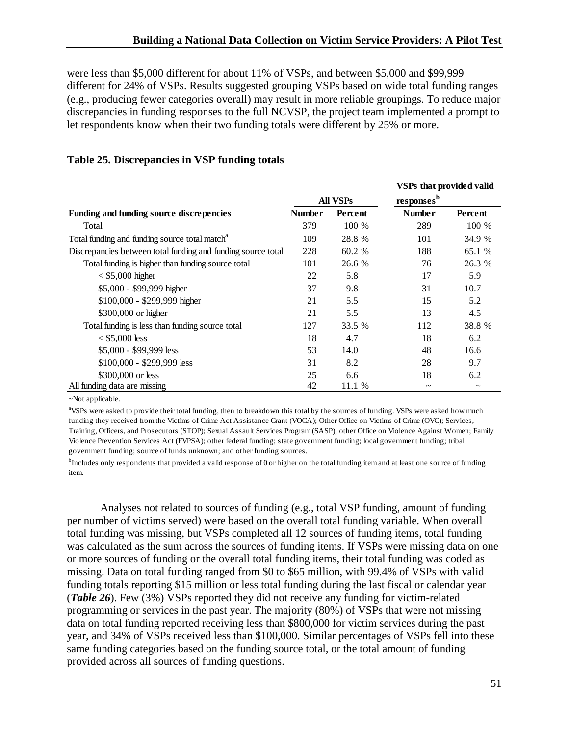were less than \$5,000 different for about 11% of VSPs, and between \$5,000 and \$99,999 different for 24% of VSPs. Results suggested grouping VSPs based on wide total funding ranges (e.g., producing fewer categories overall) may result in more reliable groupings. To reduce major discrepancies in funding responses to the full NCVSP, the project team implemented a prompt to let respondents know when their two funding totals were different by 25% or more.

|                                                              |               |          | <b>VSPs that provided valid</b> |                       |
|--------------------------------------------------------------|---------------|----------|---------------------------------|-----------------------|
|                                                              |               | All VSPs | responsesb                      |                       |
| Funding and funding source discrepencies                     | <b>Number</b> | Percent  | <b>Number</b>                   | Percent               |
| Total                                                        | 379           | 100 %    | 289                             | 100 %                 |
| Total funding and funding source total match <sup>a</sup>    | 109           | 28.8 %   | 101                             | 34.9 %                |
| Discrepancies between total funding and funding source total | 228           | 60.2 %   | 188                             | 65.1 %                |
| Total funding is higher than funding source total            | 101           | 26.6 %   | 76                              | 26.3 %                |
| $<$ \$5,000 higher                                           | 22            | 5.8      | 17                              | 5.9                   |
| \$5,000 - \$99,999 higher                                    | 37            | 9.8      | 31                              | 10.7                  |
| \$100,000 - \$299,999 higher                                 | 21            | 5.5      | 15                              | 5.2                   |
| \$300,000 or higher                                          | 21            | 5.5      | 13                              | 4.5                   |
| Total funding is less than funding source total              | 127           | 33.5 %   | 112                             | 38.8 %                |
| $< $5,000$ less                                              | 18            | 4.7      | 18                              | 6.2                   |
| $$5,000 - $99,999$ less                                      | 53            | 14.0     | 48                              | 16.6                  |
| $$100,000 - $299,999$ less                                   | 31            | 8.2      | 28                              | 9.7                   |
| \$300,000 or less                                            | 25            | 6.6      | 18                              | 6.2                   |
| All funding data are missing                                 | 42            | 11.1 %   | $\tilde{\phantom{a}}$           | $\tilde{\phantom{a}}$ |

## <span id="page-51-0"></span>**Table 25. Discrepancies in VSP funding totals**

~Not applicable.

<sup>a</sup>VSPs were asked to provide their total funding, then to breakdown this total by the sources of funding. VSPs were asked how much funding they received from the Victims of Crime Act Assistance Grant (VOCA); Other Office on Victims of Crime (OVC); Services, Training, Officers, and Prosecutors (STOP); Sexual Assault Services Program (SASP); other Office on Violence Against Women; Family Violence Prevention Services Act (FVPSA); other federal funding; state government funding; local government funding; tribal government funding; source of funds unknown; and other funding sources.

<sup>b</sup>Includes only respondents that provided a valid response of 0 or higher on the total funding item and at least one source of funding item.

Analyses not related to sources of funding (e.g., total VSP funding, amount of funding per number of victims served) were based on the overall total funding variable. When overall total funding was missing, but VSPs completed all 12 sources of funding items, total funding was calculated as the sum across the sources of funding items. If VSPs were missing data on one or more sources of funding or the overall total funding items, their total funding was coded as missing. Data on total funding ranged from \$0 to \$65 million, with 99.4% of VSPs with valid funding totals reporting \$15 million or less total funding during the last fiscal or calendar year (*Table 26*). Few (3%) VSPs reported they did not receive any funding for victim-related programming or services in the past year. The majority (80%) of VSPs that were not missing data on total funding reported receiving less than \$800,000 for victim services during the past year, and 34% of VSPs received less than \$100,000. Similar percentages of VSPs fell into these same funding categories based on the funding source total*,* or the total amount of funding provided across all sources of funding questions.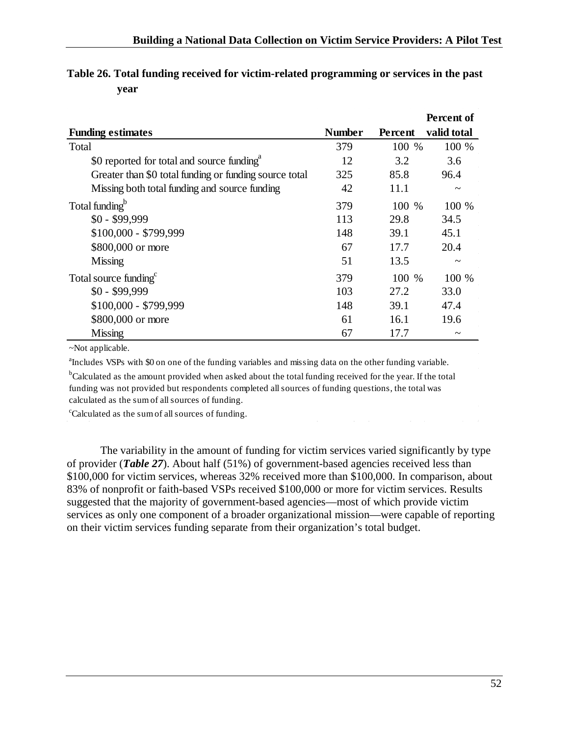|                                                        |               |         | Percent of            |
|--------------------------------------------------------|---------------|---------|-----------------------|
| <b>Funding estimates</b>                               | <b>Number</b> | Percent | valid total           |
| Total                                                  | 379           | 100 %   | 100 %                 |
| \$0 reported for total and source funding <sup>a</sup> | 12            | 3.2     | 3.6                   |
| Greater than \$0 total funding or funding source total | 325           | 85.8    | 96.4                  |
| Missing both total funding and source funding          | 42            | 11.1    | $\tilde{\phantom{a}}$ |
| Total funding <sup>b</sup>                             | 379           | 100 %   | 100 %                 |
| $$0 - $99,999$                                         | 113           | 29.8    | 34.5                  |
| \$100,000 - \$799,999                                  | 148           | 39.1    | 45.1                  |
| \$800,000 or more                                      | 67            | 17.7    | 20.4                  |
| Missing                                                | 51            | 13.5    | $\tilde{\phantom{a}}$ |
| Total source funding <sup>c</sup>                      | 379           | 100 %   | 100 %                 |
| $$0 - $99,999$                                         | 103           | 27.2    | 33.0                  |
| $$100,000 - $799,999$                                  | 148           | 39.1    | 47.4                  |
| \$800,000 or more                                      | 61            | 16.1    | 19.6                  |
| <b>Missing</b>                                         | 67            | 17.7    | $\tilde{\phantom{a}}$ |

# <span id="page-52-0"></span>**Table 26. Total funding received for victim-related programming or services in the past year**

~Not applicable.

<sup>a</sup>Includes VSPs with \$0 on one of the funding variables and missing data on the other funding variable. <sup>b</sup>Calculated as the amount provided when asked about the total funding received for the year. If the total funding was not provided but respondents completed all sources of funding questions, the total was

calculated as the sum of all sources of funding.

<sup>c</sup>Calculated as the sum of all sources of funding.

The variability in the amount of funding for victim services varied significantly by type of provider (*Table 27*). About half (51%) of government-based agencies received less than \$100,000 for victim services, whereas 32% received more than \$100,000. In comparison, about 83% of nonprofit or faith-based VSPs received \$100,000 or more for victim services. Results suggested that the majority of government-based agencies—most of which provide victim services as only one component of a broader organizational mission—were capable of reporting on their victim services funding separate from their organization's total budget.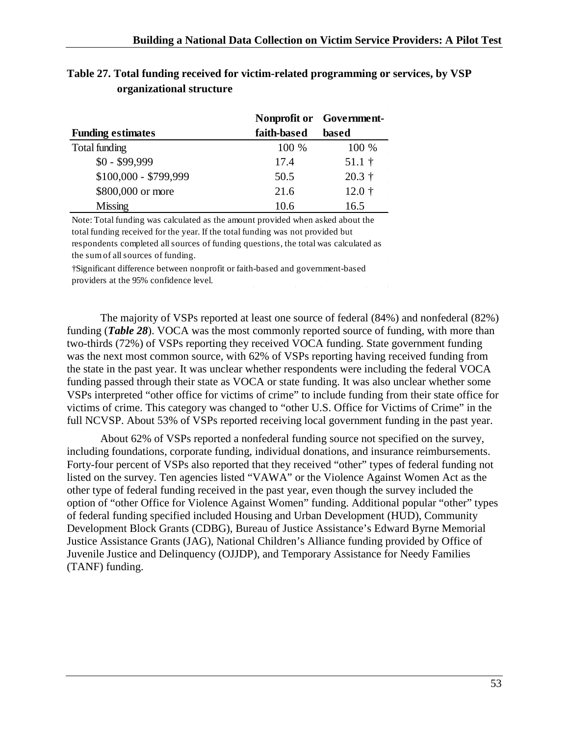|                          |             | Nonprofit or Government- |  |
|--------------------------|-------------|--------------------------|--|
| <b>Funding estimates</b> | faith-based | based                    |  |
| Total funding            | 100 %       | 100 %                    |  |
| $$0 - $99,999$           | 17.4        | $51.1$ †                 |  |
| \$100,000 - \$799,999    | 50.5        | $20.3 +$                 |  |
| \$800,000 or more        | 21.6        | $12.0 +$                 |  |
| <b>Missing</b>           | 10.6        | 16.5                     |  |

# <span id="page-53-0"></span>**Table 27. Total funding received for victim-related programming or services, by VSP organizational structure**

Note: Total funding was calculated as the amount provided when asked about the total funding received for the year. If the total funding was not provided but respondents completed all sources of funding questions, the total was calculated as the sum of all sources of funding.

†Significant difference between nonprofit or faith-based and government-based providers at the 95% confidence level.

The majority of VSPs reported at least one source of federal (84%) and nonfederal (82%) funding (*Table 28*). VOCA was the most commonly reported source of funding, with more than two-thirds (72%) of VSPs reporting they received VOCA funding. State government funding was the next most common source, with 62% of VSPs reporting having received funding from the state in the past year. It was unclear whether respondents were including the federal VOCA funding passed through their state as VOCA or state funding. It was also unclear whether some VSPs interpreted "other office for victims of crime" to include funding from their state office for victims of crime. This category was changed to "other U.S. Office for Victims of Crime" in the full NCVSP. About 53% of VSPs reported receiving local government funding in the past year.

About 62% of VSPs reported a nonfederal funding source not specified on the survey, including foundations, corporate funding, individual donations, and insurance reimbursements. Forty-four percent of VSPs also reported that they received "other" types of federal funding not listed on the survey. Ten agencies listed "VAWA" or the Violence Against Women Act as the other type of federal funding received in the past year, even though the survey included the option of "other Office for Violence Against Women" funding. Additional popular "other" types of federal funding specified included Housing and Urban Development (HUD), Community Development Block Grants (CDBG), Bureau of Justice Assistance's Edward Byrne Memorial Justice Assistance Grants (JAG), National Children's Alliance funding provided by Office of Juvenile Justice and Delinquency (OJJDP), and Temporary Assistance for Needy Families (TANF) funding.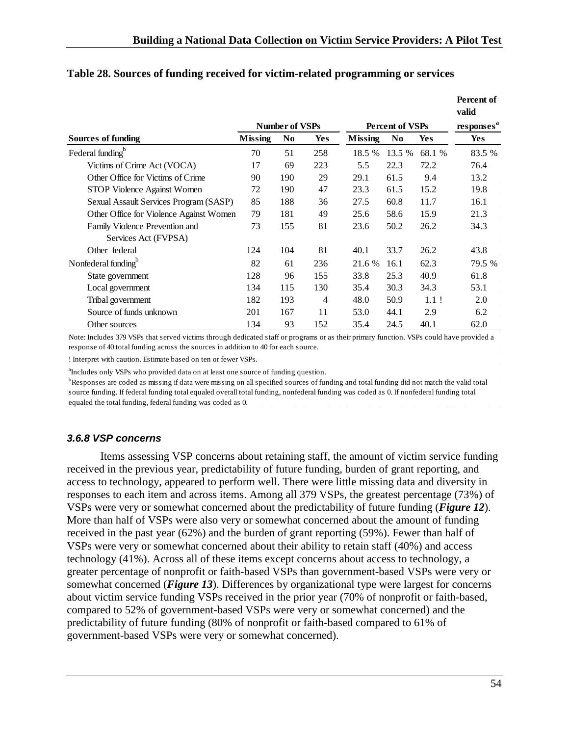|                                         |                       |                |                        |                |                        |            | Percent of<br>valid |
|-----------------------------------------|-----------------------|----------------|------------------------|----------------|------------------------|------------|---------------------|
|                                         | <b>Number of VSPs</b> |                | <b>Percent of VSPs</b> |                | responses <sup>a</sup> |            |                     |
| Sources of funding                      | <b>Missing</b>        | N <sub>0</sub> | Yes                    | <b>Missing</b> | N <sub>0</sub>         | <b>Yes</b> | <b>Yes</b>          |
| Federal funding <sup>b</sup>            | 70                    | 51             | 258                    | 18.5 %         | 13.5 %                 | 68.1 %     | 83.5 %              |
| Victims of Crime Act (VOCA)             | 17                    | 69             | 223                    | 5.5            | 22.3                   | 72.2       | 76.4                |
| Other Office for Victims of Crime       | 90                    | 190            | 29                     | 29.1           | 61.5                   | 9.4        | 13.2                |
| STOP Violence Against Women             | 72                    | 190            | 47                     | 23.3           | 61.5                   | 15.2       | 19.8                |
| Sexual Assault Services Program (SASP)  | 85                    | 188            | 36                     | 27.5           | 60.8                   | 11.7       | 16.1                |
| Other Office for Violence Against Women | 79                    | 181            | 49                     | 25.6           | 58.6                   | 15.9       | 21.3                |
| Family Violence Prevention and          | 73                    | 155            | 81                     | 23.6           | 50.2                   | 26.2       | 34.3                |
| Services Act (FVPSA)                    |                       |                |                        |                |                        |            |                     |
| Other federal                           | 124                   | 104            | 81                     | 40.1           | 33.7                   | 26.2       | 43.8                |
| Nonfederal funding <sup>b</sup>         | 82                    | 61             | 236                    | 21.6 %         | 16.1                   | 62.3       | 79.5 %              |
| State government                        | 128                   | 96             | 155                    | 33.8           | 25.3                   | 40.9       | 61.8                |
| Local government                        | 134                   | 115            | 130                    | 35.4           | 30.3                   | 34.3       | 53.1                |
| Tribal government                       | 182                   | 193            | $\overline{4}$         | 48.0           | 50.9                   | $1.1$ !    | 2.0                 |
| Source of funds unknown                 | 201                   | 167            | 11                     | 53.0           | 44.1                   | 2.9        | 6.2                 |
| Other sources                           | 134                   | 93             | 152                    | 35.4           | 24.5                   | 40.1       | 62.0                |

### <span id="page-54-1"></span>**Table 28. Sources of funding received for victim-related programming or services**

Note: Includes 379 VSPs that served victims through dedicated staff or programs or as their primary function. VSPs could have provided a response of 40 total funding across the sources in addition to 40 for each source.

! Interpret with caution. Estimate based on ten or fewer VSPs.

<sup>a</sup>Includes only VSPs who provided data on at least one source of funding question.

<sup>b</sup>Responses are coded as missing if data were missing on all specified sources of funding and total funding did not match the valid total source funding. If federal funding total equaled overall total funding, nonfederal funding was coded as 0. If nonfederal funding total equaled the total funding, federal funding was coded as 0.

#### <span id="page-54-0"></span>*3.6.8 VSP concerns*

Items assessing VSP concerns about retaining staff, the amount of victim service funding received in the previous year, predictability of future funding, burden of grant reporting, and access to technology, appeared to perform well. There were little missing data and diversity in responses to each item and across items. Among all 379 VSPs, the greatest percentage (73%) of VSPs were very or somewhat concerned about the predictability of future funding (*Figure 12*). More than half of VSPs were also very or somewhat concerned about the amount of funding received in the past year (62%) and the burden of grant reporting (59%). Fewer than half of VSPs were very or somewhat concerned about their ability to retain staff (40%) and access technology (41%). Across all of these items except concerns about access to technology, a greater percentage of nonprofit or faith-based VSPs than government-based VSPs were very or somewhat concerned (*Figure 13*). Differences by organizational type were largest for concerns about victim service funding VSPs received in the prior year (70% of nonprofit or faith-based, compared to 52% of government-based VSPs were very or somewhat concerned) and the predictability of future funding (80% of nonprofit or faith-based compared to 61% of government-based VSPs were very or somewhat concerned).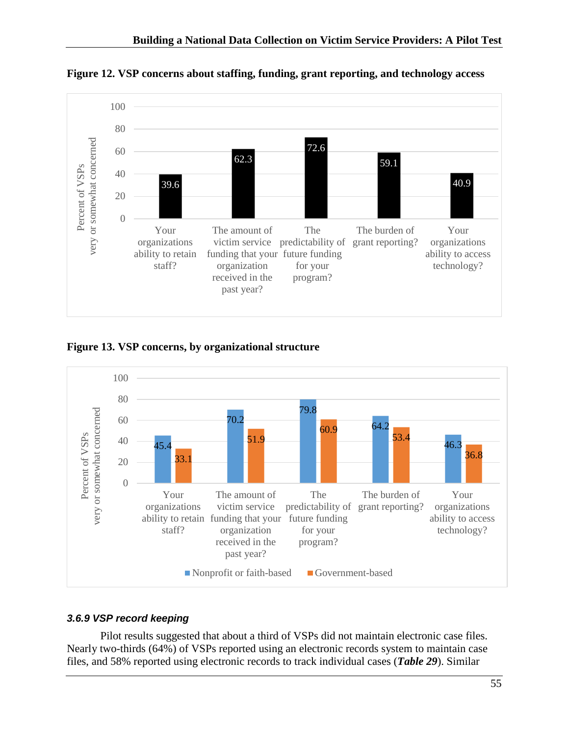

<span id="page-55-1"></span>**Figure 12. VSP concerns about staffing, funding, grant reporting, and technology access**

<span id="page-55-2"></span>**Figure 13. VSP concerns, by organizational structure**



## <span id="page-55-0"></span>*3.6.9 VSP record keeping*

Pilot results suggested that about a third of VSPs did not maintain electronic case files. Nearly two-thirds (64%) of VSPs reported using an electronic records system to maintain case files, and 58% reported using electronic records to track individual cases (*Table 29*). Similar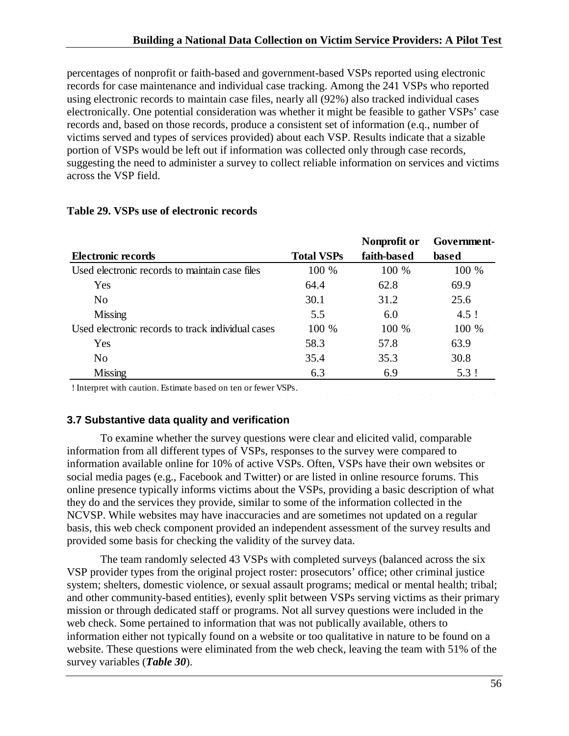percentages of nonprofit or faith-based and government-based VSPs reported using electronic records for case maintenance and individual case tracking. Among the 241 VSPs who reported using electronic records to maintain case files, nearly all (92%) also tracked individual cases electronically. One potential consideration was whether it might be feasible to gather VSPs' case records and, based on those records, produce a consistent set of information (e.q., number of victims served and types of services provided) about each VSP. Results indicate that a sizable portion of VSPs would be left out if information was collected only through case records, suggesting the need to administer a survey to collect reliable information on services and victims across the VSP field.

|                                                   |                   | Nonprofit or | Government- |
|---------------------------------------------------|-------------------|--------------|-------------|
| Electronic records                                | <b>Total VSPs</b> | faith-based  | based       |
| Used electronic records to maintain case files    | 100 %             | 100 %        | 100 %       |
| Yes                                               | 64.4              | 62.8         | 69.9        |
| No                                                | 30.1              | 31.2         | 25.6        |
| <b>Missing</b>                                    | 5.5               | 6.0          | $4.5$ !     |
| Used electronic records to track individual cases | 100 %             | 100 %        | 100 %       |
| Yes                                               | 58.3              | 57.8         | 63.9        |
| No                                                | 35.4              | 35.3         | 30.8        |
| <b>Missing</b>                                    | 6.3               | 6.9          | 5.3!        |

#### <span id="page-56-1"></span>**Table 29. VSPs use of electronic records**

! Interpret with caution. Estimate based on ten or fewer VSPs.

## <span id="page-56-0"></span>**3.7 Substantive data quality and verification**

To examine whether the survey questions were clear and elicited valid, comparable information from all different types of VSPs, responses to the survey were compared to information available online for 10% of active VSPs. Often, VSPs have their own websites or social media pages (e.g., Facebook and Twitter) or are listed in online resource forums. This online presence typically informs victims about the VSPs, providing a basic description of what they do and the services they provide, similar to some of the information collected in the NCVSP. While websites may have inaccuracies and are sometimes not updated on a regular basis, this web check component provided an independent assessment of the survey results and provided some basis for checking the validity of the survey data.

The team randomly selected 43 VSPs with completed surveys (balanced across the six VSP provider types from the original project roster: prosecutors' office; other criminal justice system; shelters, domestic violence, or sexual assault programs; medical or mental health; tribal; and other community-based entities), evenly split between VSPs serving victims as their primary mission or through dedicated staff or programs. Not all survey questions were included in the web check. Some pertained to information that was not publically available, others to information either not typically found on a website or too qualitative in nature to be found on a website. These questions were eliminated from the web check, leaving the team with 51% of the survey variables (*Table 30*).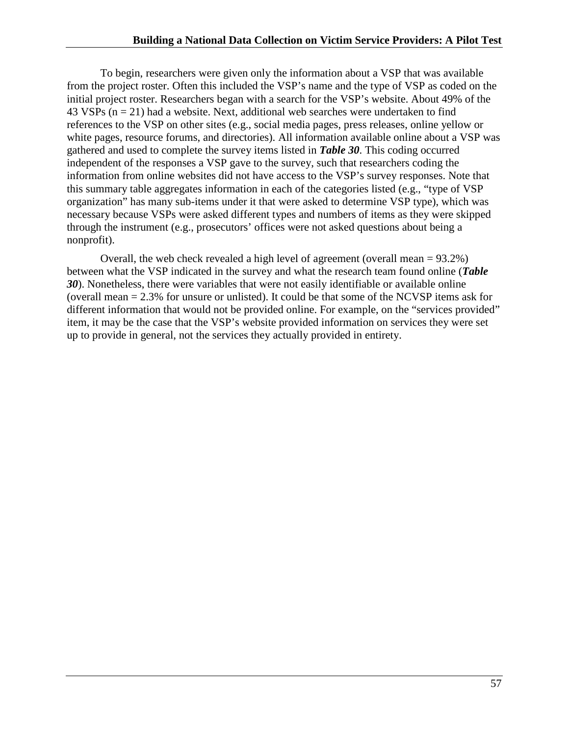To begin, researchers were given only the information about a VSP that was available from the project roster. Often this included the VSP's name and the type of VSP as coded on the initial project roster. Researchers began with a search for the VSP's website. About 49% of the 43 VSPs  $(n = 21)$  had a website. Next, additional web searches were undertaken to find references to the VSP on other sites (e.g., social media pages, press releases, online yellow or white pages, resource forums, and directories). All information available online about a VSP was gathered and used to complete the survey items listed in *Table 30*. This coding occurred independent of the responses a VSP gave to the survey, such that researchers coding the information from online websites did not have access to the VSP's survey responses. Note that this summary table aggregates information in each of the categories listed (e.g., "type of VSP organization" has many sub-items under it that were asked to determine VSP type), which was necessary because VSPs were asked different types and numbers of items as they were skipped through the instrument (e.g., prosecutors' offices were not asked questions about being a nonprofit).

Overall, the web check revealed a high level of agreement (overall mean = 93.2%) between what the VSP indicated in the survey and what the research team found online (*Table 30*). Nonetheless, there were variables that were not easily identifiable or available online (overall mean = 2.3% for unsure or unlisted). It could be that some of the NCVSP items ask for different information that would not be provided online. For example, on the "services provided" item, it may be the case that the VSP's website provided information on services they were set up to provide in general, not the services they actually provided in entirety.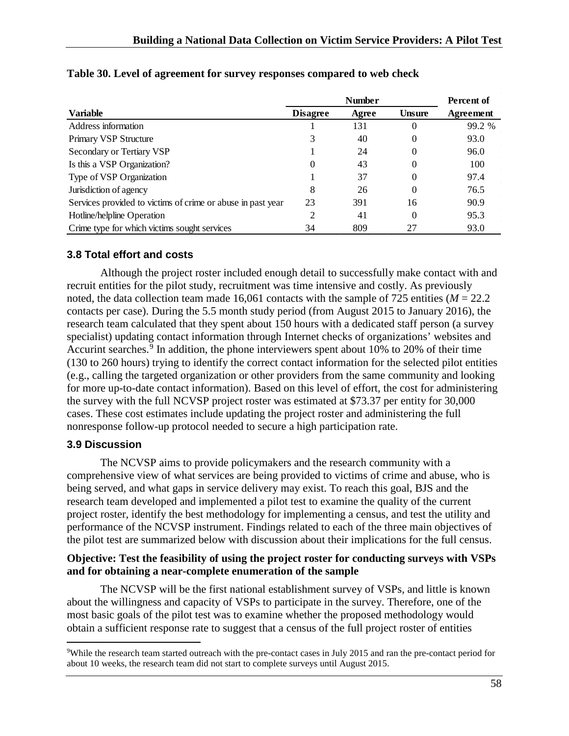|                                                             |                 | <b>Number</b> |               | Percent of |
|-------------------------------------------------------------|-----------------|---------------|---------------|------------|
| <b>Variable</b>                                             | <b>Disagree</b> | Agree         | <b>Unsure</b> | Agreement  |
| Address information                                         |                 | 131           | 0             | 99.2 %     |
| <b>Primary VSP Structure</b>                                |                 | 40            | 0             | 93.0       |
| Secondary or Tertiary VSP                                   |                 | 24            | 0             | 96.0       |
| Is this a VSP Organization?                                 | $\theta$        | 43            | $\theta$      | 100        |
| Type of VSP Organization                                    |                 | 37            | $\Omega$      | 97.4       |
| Jurisdiction of agency                                      | 8               | 26            | 0             | 76.5       |
| Services provided to victims of crime or abuse in past year | 23              | 391           | 16            | 90.9       |
| Hotline/helpline Operation                                  | 2               | 41            | $\Omega$      | 95.3       |
| Crime type for which victims sought services                | 34              | 809           | 27            | 93.0       |

#### <span id="page-58-2"></span>**Table 30. Level of agreement for survey responses compared to web check**

### <span id="page-58-0"></span>**3.8 Total effort and costs**

Although the project roster included enough detail to successfully make contact with and recruit entities for the pilot study, recruitment was time intensive and costly. As previously noted, the data collection team made 16,061 contacts with the sample of 725 entities ( $M = 22.2$ ) contacts per case). During the 5.5 month study period (from August 2015 to January 2016), the research team calculated that they spent about 150 hours with a dedicated staff person (a survey specialist) updating contact information through Internet checks of organizations' websites and Accurint searches.<sup>[9](#page-58-3)</sup> In addition, the phone interviewers spent about 10% to 20% of their time (130 to 260 hours) trying to identify the correct contact information for the selected pilot entities (e.g., calling the targeted organization or other providers from the same community and looking for more up-to-date contact information). Based on this level of effort, the cost for administering the survey with the full NCVSP project roster was estimated at \$73.37 per entity for 30,000 cases. These cost estimates include updating the project roster and administering the full nonresponse follow-up protocol needed to secure a high participation rate.

### <span id="page-58-1"></span>**3.9 Discussion**

The NCVSP aims to provide policymakers and the research community with a comprehensive view of what services are being provided to victims of crime and abuse, who is being served, and what gaps in service delivery may exist. To reach this goal, BJS and the research team developed and implemented a pilot test to examine the quality of the current project roster, identify the best methodology for implementing a census, and test the utility and performance of the NCVSP instrument. Findings related to each of the three main objectives of the pilot test are summarized below with discussion about their implications for the full census.

## **Objective: Test the feasibility of using the project roster for conducting surveys with VSPs and for obtaining a near-complete enumeration of the sample**

The NCVSP will be the first national establishment survey of VSPs, and little is known about the willingness and capacity of VSPs to participate in the survey. Therefore, one of the most basic goals of the pilot test was to examine whether the proposed methodology would obtain a sufficient response rate to suggest that a census of the full project roster of entities

<span id="page-58-3"></span><sup>-&</sup>lt;br>9 While the research team started outreach with the pre-contact cases in July 2015 and ran the pre-contact period for about 10 weeks, the research team did not start to complete surveys until August 2015.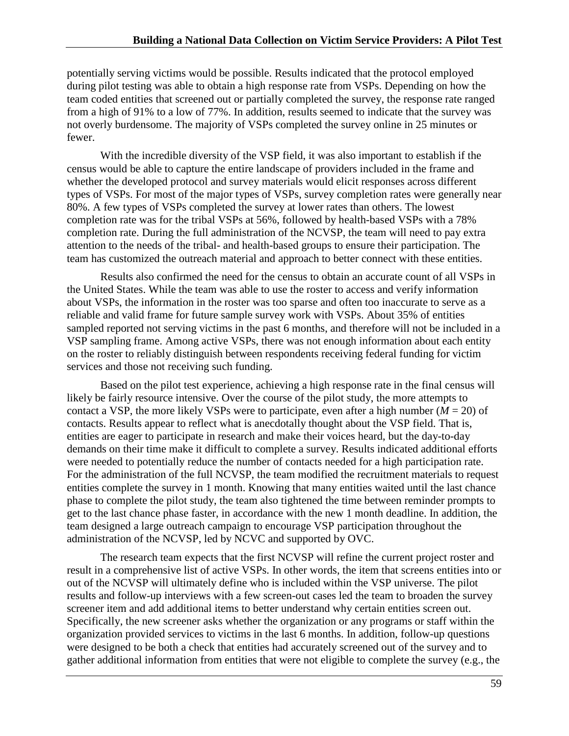potentially serving victims would be possible. Results indicated that the protocol employed during pilot testing was able to obtain a high response rate from VSPs. Depending on how the team coded entities that screened out or partially completed the survey, the response rate ranged from a high of 91% to a low of 77%. In addition, results seemed to indicate that the survey was not overly burdensome. The majority of VSPs completed the survey online in 25 minutes or fewer.

With the incredible diversity of the VSP field, it was also important to establish if the census would be able to capture the entire landscape of providers included in the frame and whether the developed protocol and survey materials would elicit responses across different types of VSPs. For most of the major types of VSPs, survey completion rates were generally near 80%. A few types of VSPs completed the survey at lower rates than others. The lowest completion rate was for the tribal VSPs at 56%, followed by health-based VSPs with a 78% completion rate. During the full administration of the NCVSP, the team will need to pay extra attention to the needs of the tribal- and health-based groups to ensure their participation. The team has customized the outreach material and approach to better connect with these entities.

Results also confirmed the need for the census to obtain an accurate count of all VSPs in the United States. While the team was able to use the roster to access and verify information about VSPs, the information in the roster was too sparse and often too inaccurate to serve as a reliable and valid frame for future sample survey work with VSPs. About 35% of entities sampled reported not serving victims in the past 6 months, and therefore will not be included in a VSP sampling frame. Among active VSPs, there was not enough information about each entity on the roster to reliably distinguish between respondents receiving federal funding for victim services and those not receiving such funding.

Based on the pilot test experience, achieving a high response rate in the final census will likely be fairly resource intensive. Over the course of the pilot study, the more attempts to contact a VSP, the more likely VSPs were to participate, even after a high number ( $M = 20$ ) of contacts. Results appear to reflect what is anecdotally thought about the VSP field. That is, entities are eager to participate in research and make their voices heard, but the day-to-day demands on their time make it difficult to complete a survey. Results indicated additional efforts were needed to potentially reduce the number of contacts needed for a high participation rate. For the administration of the full NCVSP, the team modified the recruitment materials to request entities complete the survey in 1 month. Knowing that many entities waited until the last chance phase to complete the pilot study, the team also tightened the time between reminder prompts to get to the last chance phase faster, in accordance with the new 1 month deadline. In addition, the team designed a large outreach campaign to encourage VSP participation throughout the administration of the NCVSP, led by NCVC and supported by OVC.

The research team expects that the first NCVSP will refine the current project roster and result in a comprehensive list of active VSPs. In other words, the item that screens entities into or out of the NCVSP will ultimately define who is included within the VSP universe. The pilot results and follow-up interviews with a few screen-out cases led the team to broaden the survey screener item and add additional items to better understand why certain entities screen out. Specifically, the new screener asks whether the organization or any programs or staff within the organization provided services to victims in the last 6 months. In addition, follow-up questions were designed to be both a check that entities had accurately screened out of the survey and to gather additional information from entities that were not eligible to complete the survey (e.g., the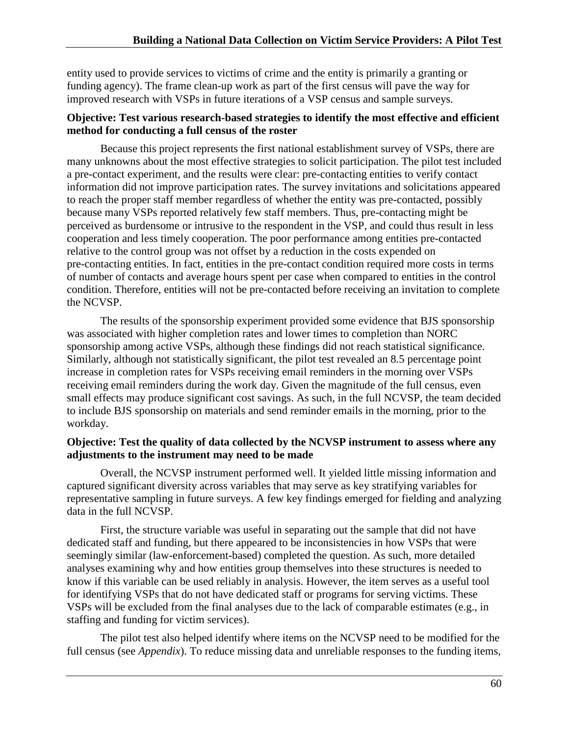entity used to provide services to victims of crime and the entity is primarily a granting or funding agency). The frame clean-up work as part of the first census will pave the way for improved research with VSPs in future iterations of a VSP census and sample surveys.

#### **Objective: Test various research-based strategies to identify the most effective and efficient method for conducting a full census of the roster**

Because this project represents the first national establishment survey of VSPs, there are many unknowns about the most effective strategies to solicit participation. The pilot test included a pre-contact experiment, and the results were clear: pre-contacting entities to verify contact information did not improve participation rates. The survey invitations and solicitations appeared to reach the proper staff member regardless of whether the entity was pre-contacted, possibly because many VSPs reported relatively few staff members. Thus, pre-contacting might be perceived as burdensome or intrusive to the respondent in the VSP, and could thus result in less cooperation and less timely cooperation. The poor performance among entities pre-contacted relative to the control group was not offset by a reduction in the costs expended on pre-contacting entities. In fact, entities in the pre-contact condition required more costs in terms of number of contacts and average hours spent per case when compared to entities in the control condition. Therefore, entities will not be pre-contacted before receiving an invitation to complete the NCVSP.

The results of the sponsorship experiment provided some evidence that BJS sponsorship was associated with higher completion rates and lower times to completion than NORC sponsorship among active VSPs, although these findings did not reach statistical significance. Similarly, although not statistically significant, the pilot test revealed an 8.5 percentage point increase in completion rates for VSPs receiving email reminders in the morning over VSPs receiving email reminders during the work day. Given the magnitude of the full census, even small effects may produce significant cost savings. As such, in the full NCVSP, the team decided to include BJS sponsorship on materials and send reminder emails in the morning, prior to the workday.

### **Objective: Test the quality of data collected by the NCVSP instrument to assess where any adjustments to the instrument may need to be made**

Overall, the NCVSP instrument performed well. It yielded little missing information and captured significant diversity across variables that may serve as key stratifying variables for representative sampling in future surveys. A few key findings emerged for fielding and analyzing data in the full NCVSP.

First, the structure variable was useful in separating out the sample that did not have dedicated staff and funding, but there appeared to be inconsistencies in how VSPs that were seemingly similar (law-enforcement-based) completed the question. As such, more detailed analyses examining why and how entities group themselves into these structures is needed to know if this variable can be used reliably in analysis. However, the item serves as a useful tool for identifying VSPs that do not have dedicated staff or programs for serving victims. These VSPs will be excluded from the final analyses due to the lack of comparable estimates (e.g., in staffing and funding for victim services).

The pilot test also helped identify where items on the NCVSP need to be modified for the full census (see *Appendix*). To reduce missing data and unreliable responses to the funding items,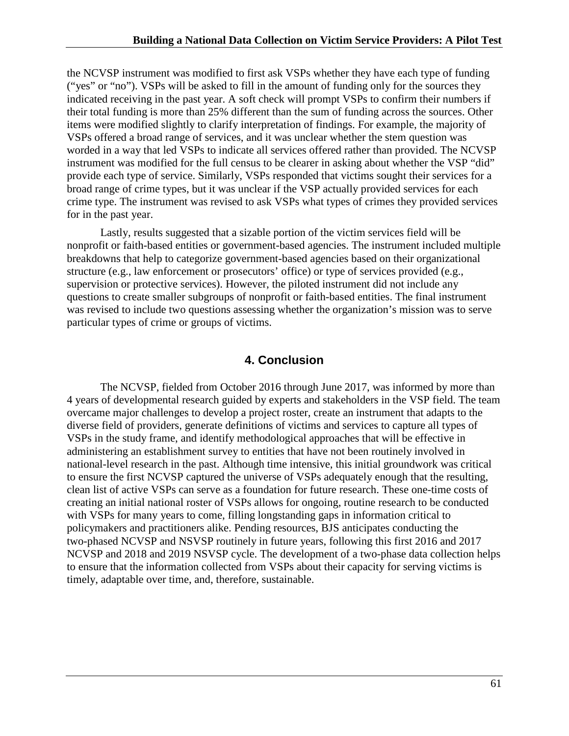the NCVSP instrument was modified to first ask VSPs whether they have each type of funding ("yes" or "no"). VSPs will be asked to fill in the amount of funding only for the sources they indicated receiving in the past year. A soft check will prompt VSPs to confirm their numbers if their total funding is more than 25% different than the sum of funding across the sources. Other items were modified slightly to clarify interpretation of findings. For example, the majority of VSPs offered a broad range of services, and it was unclear whether the stem question was worded in a way that led VSPs to indicate all services offered rather than provided. The NCVSP instrument was modified for the full census to be clearer in asking about whether the VSP "did" provide each type of service. Similarly, VSPs responded that victims sought their services for a broad range of crime types, but it was unclear if the VSP actually provided services for each crime type. The instrument was revised to ask VSPs what types of crimes they provided services for in the past year.

Lastly, results suggested that a sizable portion of the victim services field will be nonprofit or faith-based entities or government-based agencies. The instrument included multiple breakdowns that help to categorize government-based agencies based on their organizational structure (e.g., law enforcement or prosecutors' office) or type of services provided (e.g., supervision or protective services). However, the piloted instrument did not include any questions to create smaller subgroups of nonprofit or faith-based entities. The final instrument was revised to include two questions assessing whether the organization's mission was to serve particular types of crime or groups of victims.

## **4. Conclusion**

<span id="page-61-0"></span>The NCVSP, fielded from October 2016 through June 2017, was informed by more than 4 years of developmental research guided by experts and stakeholders in the VSP field. The team overcame major challenges to develop a project roster, create an instrument that adapts to the diverse field of providers, generate definitions of victims and services to capture all types of VSPs in the study frame, and identify methodological approaches that will be effective in administering an establishment survey to entities that have not been routinely involved in national-level research in the past. Although time intensive, this initial groundwork was critical to ensure the first NCVSP captured the universe of VSPs adequately enough that the resulting, clean list of active VSPs can serve as a foundation for future research. These one-time costs of creating an initial national roster of VSPs allows for ongoing, routine research to be conducted with VSPs for many years to come, filling longstanding gaps in information critical to policymakers and practitioners alike. Pending resources, BJS anticipates conducting the two-phased NCVSP and NSVSP routinely in future years, following this first 2016 and 2017 NCVSP and 2018 and 2019 NSVSP cycle. The development of a two-phase data collection helps to ensure that the information collected from VSPs about their capacity for serving victims is timely, adaptable over time, and, therefore, sustainable.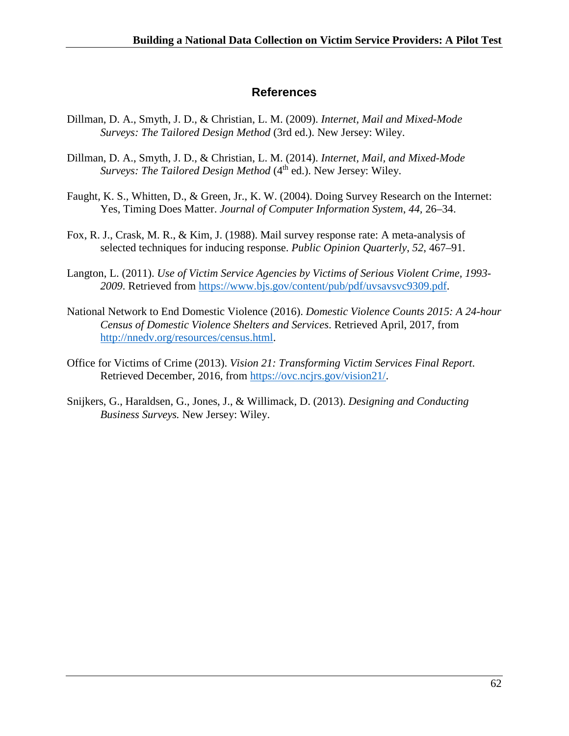## **References**

- <span id="page-62-0"></span>Dillman, D. A., Smyth, J. D., & Christian, L. M. (2009). *Internet, Mail and Mixed-Mode Surveys: The Tailored Design Method* (3rd ed.). New Jersey: Wiley.
- Dillman, D. A., Smyth, J. D., & Christian, L. M. (2014). *Internet, Mail, and Mixed-Mode Surveys: The Tailored Design Method* (4<sup>th</sup> ed.). New Jersey: Wiley.
- Faught, K. S., Whitten, D., & Green, Jr., K. W. (2004). Doing Survey Research on the Internet: Yes, Timing Does Matter. *Journal of Computer Information System*, *44,* 26–34.
- Fox, R. J., Crask, M. R., & Kim, J. (1988). Mail survey response rate: A meta-analysis of selected techniques for inducing response. *Public Opinion Quarterly*, *52*, 467–91.
- Langton, L. (2011). *Use of Victim Service Agencies by Victims of Serious Violent Crime, 1993- 2009*. Retrieved from [https://www.bjs.gov/content/pub/pdf/uvsavsvc9309.pdf.](https://www.bjs.gov/content/pub/pdf/uvsavsvc9309.pdf)
- National Network to End Domestic Violence (2016). *Domestic Violence Counts 2015: A 24-hour Census of Domestic Violence Shelters and Services*. Retrieved April, 2017, from [http://nnedv.org/resources/census.html.](http://nnedv.org/resources/census.html)
- Office for Victims of Crime (2013). *Vision 21: Transforming Victim Services Final Report*. Retrieved December, 2016, from [https://ovc.ncjrs.gov/vision21/.](https://ovc.ncjrs.gov/vision21/)
- Snijkers, G., Haraldsen, G., Jones, J., & Willimack, D. (2013). *Designing and Conducting Business Surveys.* New Jersey: Wiley.